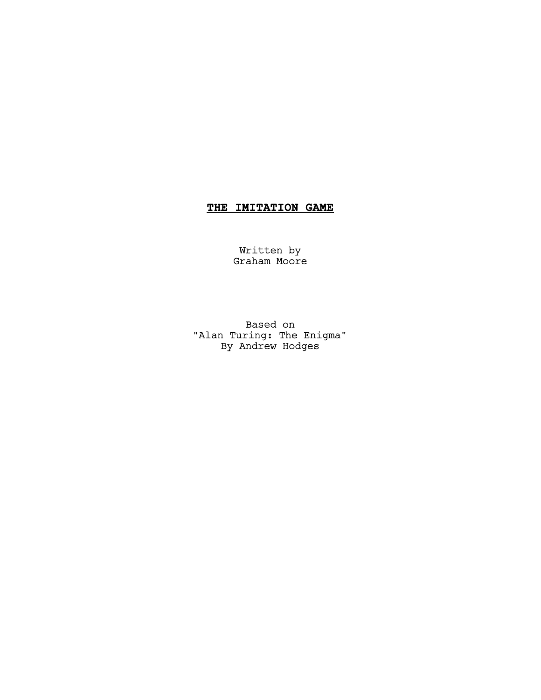# **THE IMITATION GAME**

Written by Graham Moore

Based on "Alan Turing: The Enigma" By Andrew Hodges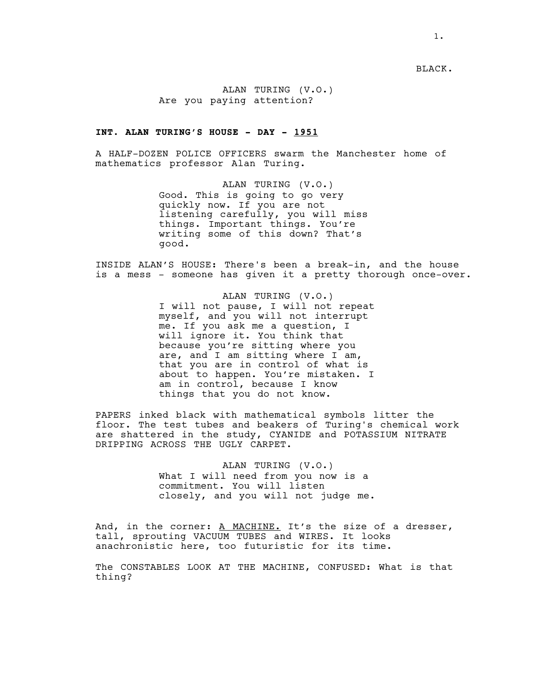BLACK.

ALAN TURING (V.O.) Are you paying attention?

# **INT. ALAN TURING'S HOUSE - DAY - 1951**

A HALF-DOZEN POLICE OFFICERS swarm the Manchester home of mathematics professor Alan Turing.

> ALAN TURING (V.O.) Good. This is going to go very quickly now. If you are not listening carefully, you will miss things. Important things. You're writing some of this down? That's good.

INSIDE ALAN'S HOUSE: There's been a break-in, and the house is a mess - someone has given it a pretty thorough once-over.

> ALAN TURING (V.O.) I will not pause, I will not repeat myself, and you will not interrupt me. If you ask me a question, I will ignore it. You think that because you're sitting where you are, and I am sitting where I am, that you are in control of what is about to happen. You're mistaken. I am in control, because I know things that you do not know.

PAPERS inked black with mathematical symbols litter the floor. The test tubes and beakers of Turing's chemical work are shattered in the study, CYANIDE and POTASSIUM NITRATE DRIPPING ACROSS THE UGLY CARPET.

> ALAN TURING (V.O.) What I will need from you now is a commitment. You will listen closely, and you will not judge me.

And, in the corner: A MACHINE. It's the size of a dresser, tall, sprouting VACUUM TUBES and WIRES. It looks anachronistic here, too futuristic for its time.

The CONSTABLES LOOK AT THE MACHINE, CONFUSED: What is that thing?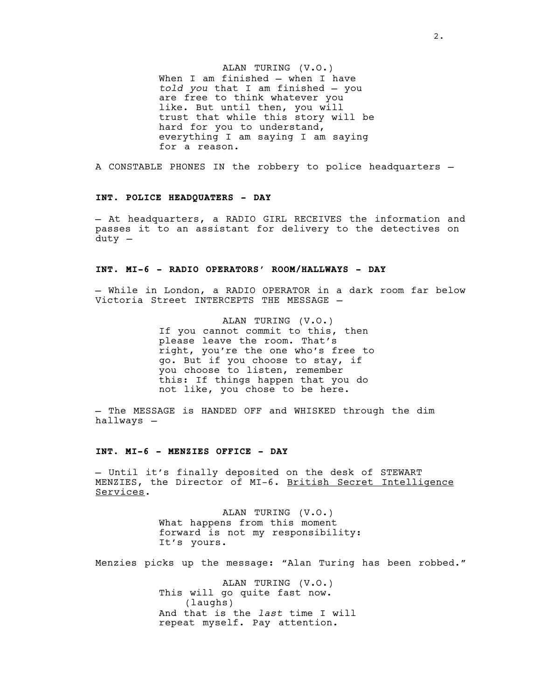ALAN TURING (V.O.) When I am finished — when I have *told you* that I am finished — you are free to think whatever you like. But until then, you will trust that while this story will be hard for you to understand, everything I am saying I am saying for a reason.

A CONSTABLE PHONES IN the robbery to police headquarters —

#### **INT. POLICE HEADQUATERS - DAY**

— At headquarters, a RADIO GIRL RECEIVES the information and passes it to an assistant for delivery to the detectives on duty —

# **INT. MI-6 - RADIO OPERATORS' ROOM/HALLWAYS - DAY**

— While in London, a RADIO OPERATOR in a dark room far below Victoria Street INTERCEPTS THE MESSAGE —

> ALAN TURING (V.O.) If you cannot commit to this, then please leave the room. That's right, you're the one who's free to go. But if you choose to stay, if you choose to listen, remember this: If things happen that you do not like, you chose to be here.

— The MESSAGE is HANDED OFF and WHISKED through the dim hallways —

# **INT. MI-6 - MENZIES OFFICE - DAY**

— Until it's finally deposited on the desk of STEWART MENZIES, the Director of MI-6. British Secret Intelligence Services.

> ALAN TURING (V.O.) What happens from this moment forward is not my responsibility: It's yours.

Menzies picks up the message: "Alan Turing has been robbed."

ALAN TURING (V.O.) This will go quite fast now. (laughs) And that is the *last* time I will repeat myself. Pay attention.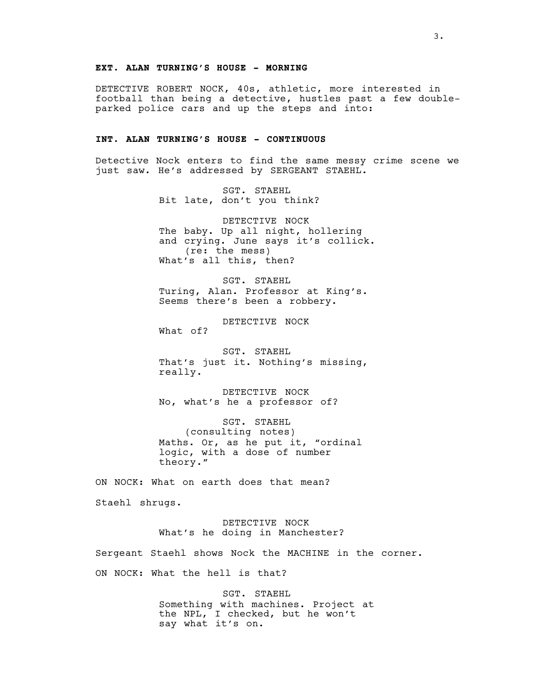# **EXT. ALAN TURNING'S HOUSE - MORNING**

DETECTIVE ROBERT NOCK, 40s, athletic, more interested in football than being a detective, hustles past a few doubleparked police cars and up the steps and into:

# **INT. ALAN TURNING'S HOUSE - CONTINUOUS**

Detective Nock enters to find the same messy crime scene we just saw. He's addressed by SERGEANT STAEHL.

> SGT. STAEHL Bit late, don't you think?

DETECTIVE NOCK The baby. Up all night, hollering and crying. June says it's collick. (re: the mess) What's all this, then?

SGT. STAEHL Turing, Alan. Professor at King's. Seems there's been a robbery.

DETECTIVE NOCK What of?

SGT. STAEHL That's just it. Nothing's missing, really.

DETECTIVE NOCK No, what's he a professor of?

SGT. STAEHL (consulting notes) Maths. Or, as he put it, "ordinal logic, with a dose of number theory."

ON NOCK: What on earth does that mean? Staehl shrugs.

> DETECTIVE NOCK What's he doing in Manchester?

Sergeant Staehl shows Nock the MACHINE in the corner. ON NOCK: What the hell is that?

> SGT. STAEHL Something with machines. Project at the NPL, I checked, but he won't say what it's on.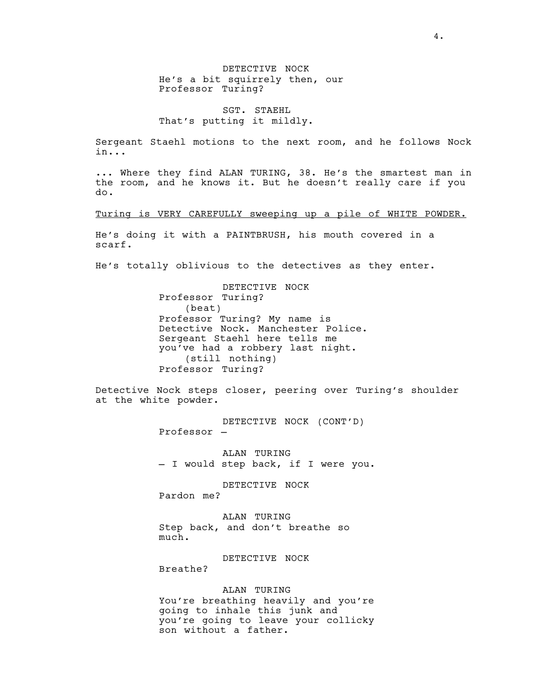DETECTIVE NOCK He's a bit squirrely then, our Professor Turing?

SGT. STAEHL That's putting it mildly.

Sergeant Staehl motions to the next room, and he follows Nock in...

... Where they find ALAN TURING, 38. He's the smartest man in the room, and he knows it. But he doesn't really care if you do.

Turing is VERY CAREFULLY sweeping up a pile of WHITE POWDER.

He's doing it with a PAINTBRUSH, his mouth covered in a scarf.

He's totally oblivious to the detectives as they enter.

DETECTIVE NOCK Professor Turing? (beat) Professor Turing? My name is Detective Nock. Manchester Police. Sergeant Staehl here tells me you've had a robbery last night. (still nothing) Professor Turing?

Detective Nock steps closer, peering over Turing's shoulder at the white powder.

> DETECTIVE NOCK (CONT'D) Professor —

ALAN TURING - I would step back, if I were you.

DETECTIVE NOCK Pardon me?

ALAN TURING Step back, and don't breathe so much.

DETECTIVE NOCK

Breathe?

ALAN TURING

You're breathing heavily and you're going to inhale this junk and you're going to leave your collicky son without a father.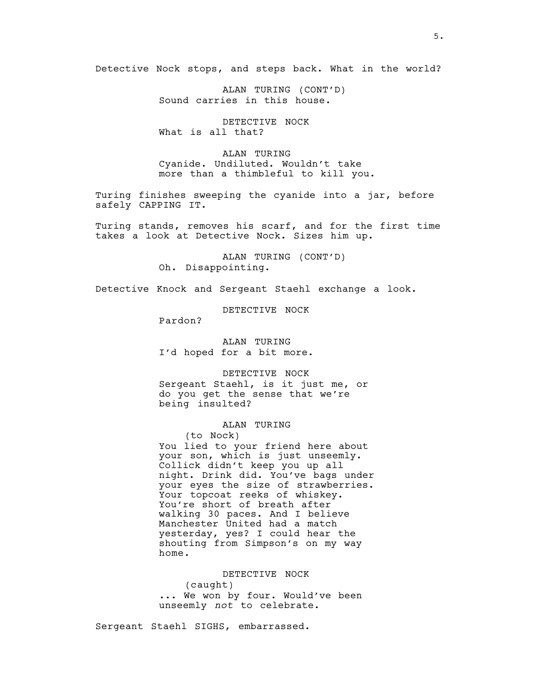Detective Nock stops, and steps back. What in the world?

ALAN TURING (CONT'D) Sound carries in this house.

DETECTIVE NOCK What is all that?

ALAN TURING Cyanide. Undiluted. Wouldn't take more than a thimbleful to kill you.

Turing finishes sweeping the cyanide into a jar, before safely CAPPING IT.

Turing stands, removes his scarf, and for the first time takes a look at Detective Nock. Sizes him up.

> ALAN TURING (CONT'D) Oh. Disappointing.

Detective Knock and Sergeant Staehl exchange a look.

DETECTIVE NOCK

Pardon?

ALAN TURING I'd hoped for a bit more.

DETECTIVE NOCK Sergeant Staehl, is it just me, or do you get the sense that we're being insulted?

### ALAN TURING

(to Nock) You lied to your friend here about your son, which is just unseemly. Collick didn't keep you up all night. Drink did. You've bags under your eyes the size of strawberries. Your topcoat reeks of whiskey. You're short of breath after walking 30 paces. And I believe Manchester United had a match yesterday, yes? I could hear the shouting from Simpson's on my way home.

DETECTIVE NOCK (caught) ... We won by four. Would've been unseemly *not* to celebrate.

Sergeant Staehl SIGHS, embarrassed.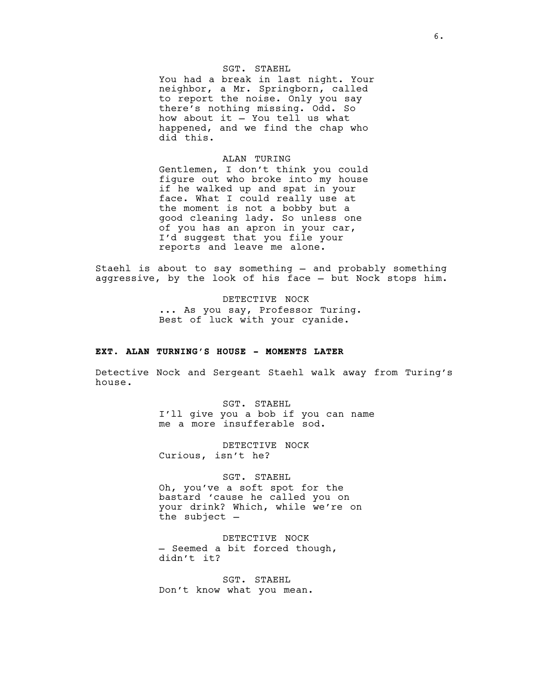# SGT. STAEHL

You had a break in last night. Your neighbor, a Mr. Springborn, called to report the noise. Only you say there's nothing missing. Odd. So how about it — You tell us what happened, and we find the chap who did this.

# ALAN TURING

Gentlemen, I don't think you could figure out who broke into my house if he walked up and spat in your face. What I could really use at the moment is not a bobby but a good cleaning lady. So unless one of you has an apron in your car, I'd suggest that you file your reports and leave me alone.

Staehl is about to say something — and probably something aggressive, by the look of his face — but Nock stops him.

> DETECTIVE NOCK ... As you say, Professor Turing. Best of luck with your cyanide.

### **EXT. ALAN TURNING'S HOUSE - MOMENTS LATER**

Detective Nock and Sergeant Staehl walk away from Turing's house.

> SGT. STAEHL I'll give you a bob if you can name me a more insufferable sod.

DETECTIVE NOCK Curious, isn't he?

SGT. STAEHL Oh, you've a soft spot for the bastard 'cause he called you on your drink? Which, while we're on the subject —

DETECTIVE NOCK — Seemed a bit forced though, didn't it?

SGT. STAEHL Don't know what you mean.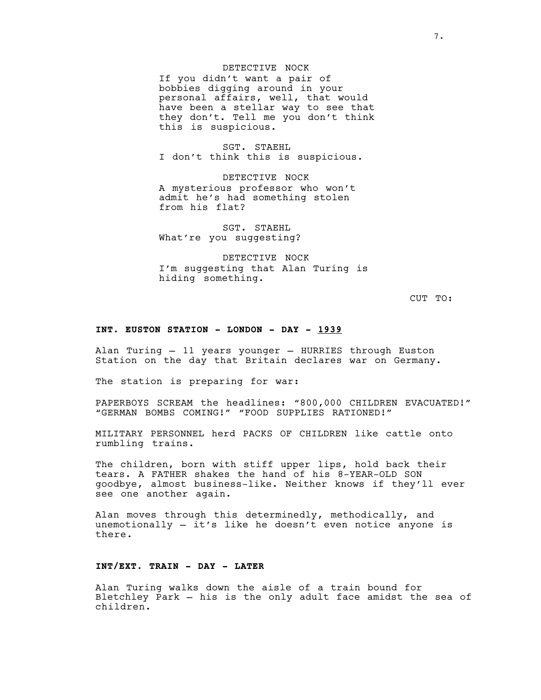### DETECTIVE NOCK

If you didn't want a pair of bobbies digging around in your personal affairs, well, that would have been a stellar way to see that they don't. Tell me you don't think this is suspicious.

SGT. STAEHL I don't think this is suspicious.

DETECTIVE NOCK A mysterious professor who won't admit he's had something stolen from his flat?

SGT. STAEHL What're you suggesting?

DETECTIVE NOCK I'm suggesting that Alan Turing is hiding something.

CUT TO:

#### **INT. EUSTON STATION - LONDON - DAY - 1939**

Alan Turing — 11 years younger — HURRIES through Euston Station on the day that Britain declares war on Germany.

The station is preparing for war:

PAPERBOYS SCREAM the headlines: "800,000 CHILDREN EVACUATED!" "GERMAN BOMBS COMING!" "FOOD SUPPLIES RATIONED!"

MILITARY PERSONNEL herd PACKS OF CHILDREN like cattle onto rumbling trains.

The children, born with stiff upper lips, hold back their tears. A FATHER shakes the hand of his 8-YEAR-OLD SON goodbye, almost business-like. Neither knows if they'll ever see one another again.

Alan moves through this determinedly, methodically, and unemotionally — it's like he doesn't even notice anyone is there.

### **INT/EXT. TRAIN - DAY - LATER**

Alan Turing walks down the aisle of a train bound for Bletchley Park — his is the only adult face amidst the sea of children.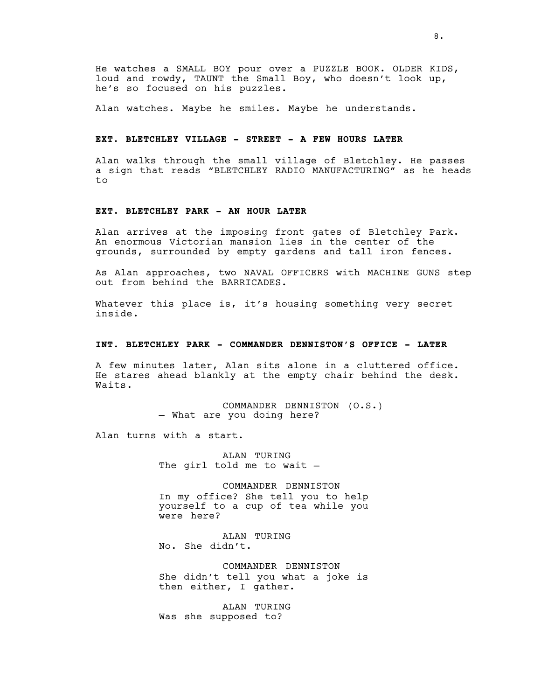He watches a SMALL BOY pour over a PUZZLE BOOK. OLDER KIDS, loud and rowdy, TAUNT the Small Boy, who doesn't look up, he's so focused on his puzzles.

Alan watches. Maybe he smiles. Maybe he understands.

### **EXT. BLETCHLEY VILLAGE - STREET - A FEW HOURS LATER**

Alan walks through the small village of Bletchley. He passes a sign that reads "BLETCHLEY RADIO MANUFACTURING" as he heads  $t \circ$ 

# **EXT. BLETCHLEY PARK - AN HOUR LATER**

Alan arrives at the imposing front gates of Bletchley Park. An enormous Victorian mansion lies in the center of the grounds, surrounded by empty gardens and tall iron fences.

As Alan approaches, two NAVAL OFFICERS with MACHINE GUNS step out from behind the BARRICADES.

Whatever this place is, it's housing something very secret inside.

#### **INT. BLETCHLEY PARK - COMMANDER DENNISTON'S OFFICE - LATER**

A few minutes later, Alan sits alone in a cluttered office. He stares ahead blankly at the empty chair behind the desk. Waits.

> COMMANDER DENNISTON (O.S.) — What are you doing here?

Alan turns with a start.

ALAN TURING The girl told me to wait -

COMMANDER DENNISTON In my office? She tell you to help yourself to a cup of tea while you were here?

ALAN TURING No. She didn't.

COMMANDER DENNISTON She didn't tell you what a joke is then either, I gather.

ALAN TURING Was she supposed to?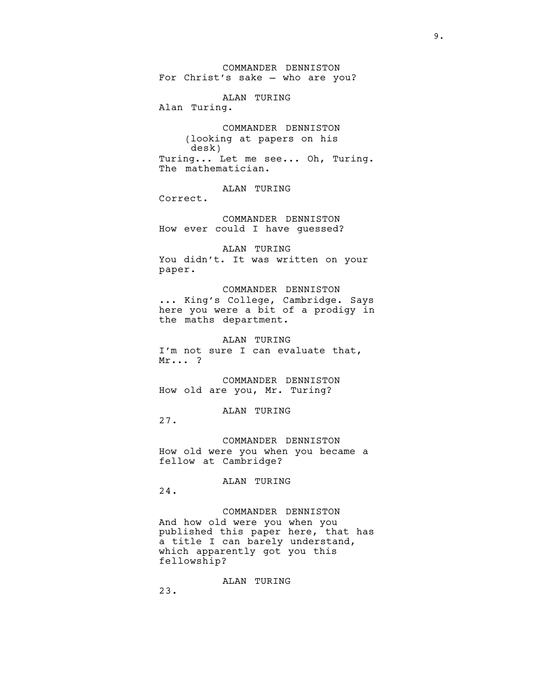COMMANDER DENNISTON For Christ's sake — who are you?

ALAN TURING Alan Turing.

COMMANDER DENNISTON (looking at papers on his desk) Turing... Let me see... Oh, Turing. The mathematician.

ALAN TURING

Correct.

COMMANDER DENNISTON How ever could I have guessed?

ALAN TURING You didn't. It was written on your paper.

COMMANDER DENNISTON ... King's College, Cambridge. Says here you were a bit of a prodigy in the maths department.

ALAN TURING I'm not sure I can evaluate that, Mr... ?

COMMANDER DENNISTON How old are you, Mr. Turing?

ALAN TURING

27.

COMMANDER DENNISTON How old were you when you became a fellow at Cambridge?

ALAN TURING

24.

COMMANDER DENNISTON And how old were you when you published this paper here, that has a title I can barely understand, which apparently got you this fellowship?

ALAN TURING

23.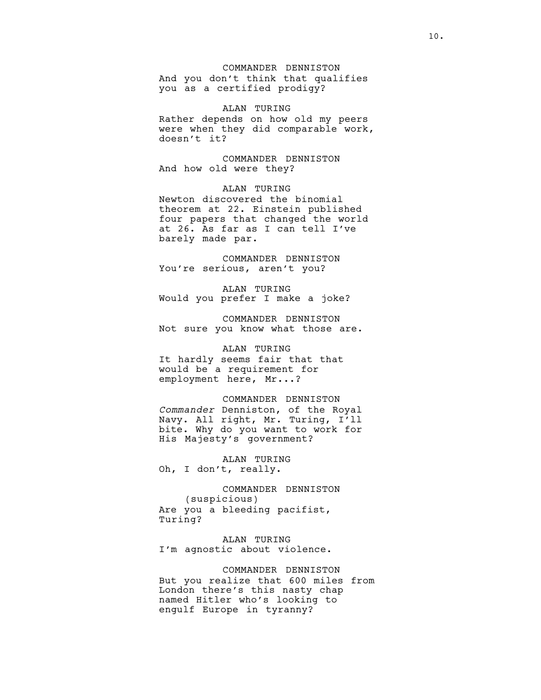# COMMANDER DENNISTON

And you don't think that qualifies you as a certified prodigy?

ALAN TURING Rather depends on how old my peers were when they did comparable work, doesn't it?

COMMANDER DENNISTON And how old were they?

ALAN TURING Newton discovered the binomial theorem at 22. Einstein published four papers that changed the world at 26. As far as I can tell I've barely made par.

COMMANDER DENNISTON You're serious, aren't you?

ALAN TURING Would you prefer I make a joke?

COMMANDER DENNISTON Not sure you know what those are.

# ALAN TURING

It hardly seems fair that that would be a requirement for employment here, Mr...?

# COMMANDER DENNISTON

*Commander* Denniston, of the Royal Navy. All right, Mr. Turing, I'll bite. Why do you want to work for His Majesty's government?

ALAN TURING Oh, I don't, really.

COMMANDER DENNISTON (suspicious) Are you a bleeding pacifist, Turing?

ALAN TURING I'm agnostic about violence.

COMMANDER DENNISTON But you realize that 600 miles from London there's this nasty chap named Hitler who's looking to engulf Europe in tyranny?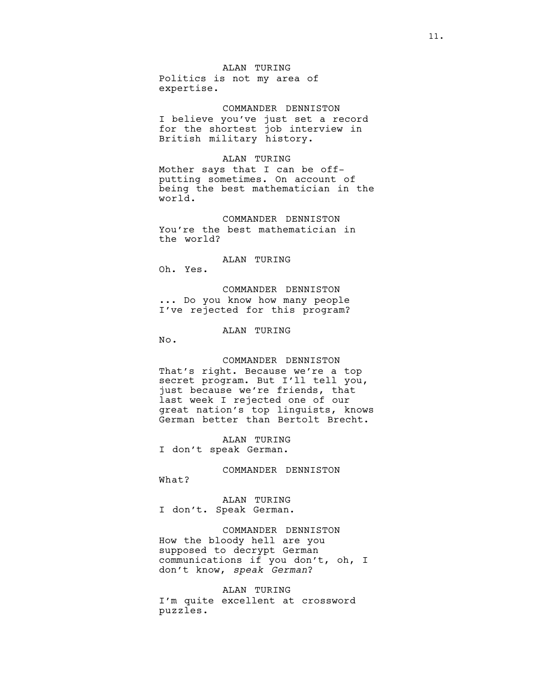# ALAN TURING

Politics is not my area of expertise.

COMMANDER DENNISTON I believe you've just set a record for the shortest job interview in British military history.

#### ALAN TURING

Mother says that I can be offputting sometimes. On account of being the best mathematician in the world.

COMMANDER DENNISTON You're the best mathematician in the world?

# ALAN TURING

Oh. Yes.

COMMANDER DENNISTON ... Do you know how many people I've rejected for this program?

# ALAN TURING

No.

# COMMANDER DENNISTON That's right. Because we're a top secret program. But I'll tell you, just because we're friends, that last week I rejected one of our great nation's top linguists, knows German better than Bertolt Brecht.

ALAN TURING I don't speak German.

COMMANDER DENNISTON What?

ALAN TURING I don't. Speak German.

# COMMANDER DENNISTON How the bloody hell are you supposed to decrypt German communications if you don't, oh, I don't know, *speak German*?

#### ALAN TURING

I'm quite excellent at crossword puzzles.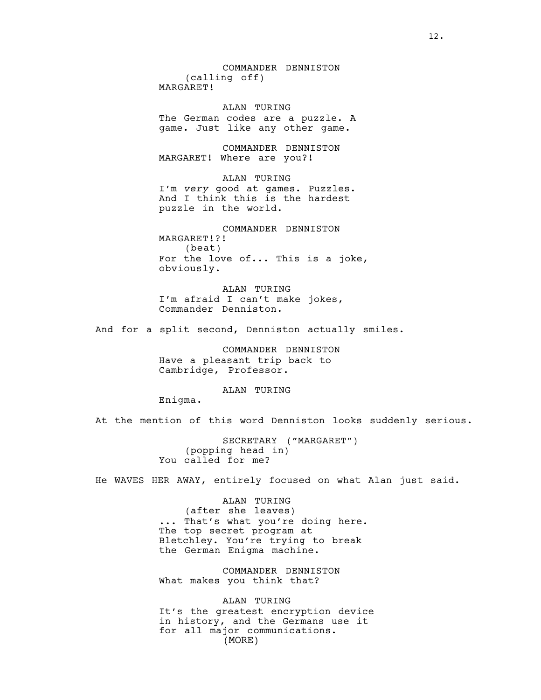COMMANDER DENNISTON (calling off) MARGARET!

ALAN TURING The German codes are a puzzle. A game. Just like any other game.

COMMANDER DENNISTON MARGARET! Where are you?!

ALAN TURING I'm *very* good at games. Puzzles. And I think this is the hardest puzzle in the world.

COMMANDER DENNISTON MARGARET!?! (beat) For the love of... This is a joke, obviously.

ALAN TURING I'm afraid I can't make jokes, Commander Denniston.

And for a split second, Denniston actually smiles.

COMMANDER DENNISTON Have a pleasant trip back to Cambridge, Professor.

ALAN TURING

Enigma.

At the mention of this word Denniston looks suddenly serious.

SECRETARY ("MARGARET") (popping head in) You called for me?

He WAVES HER AWAY, entirely focused on what Alan just said.

ALAN TURING (after she leaves) ... That's what you're doing here. The top secret program at Bletchley. You're trying to break the German Enigma machine.

COMMANDER DENNISTON What makes you think that?

ALAN TURING It's the greatest encryption device in history, and the Germans use it for all major communications. (MORE)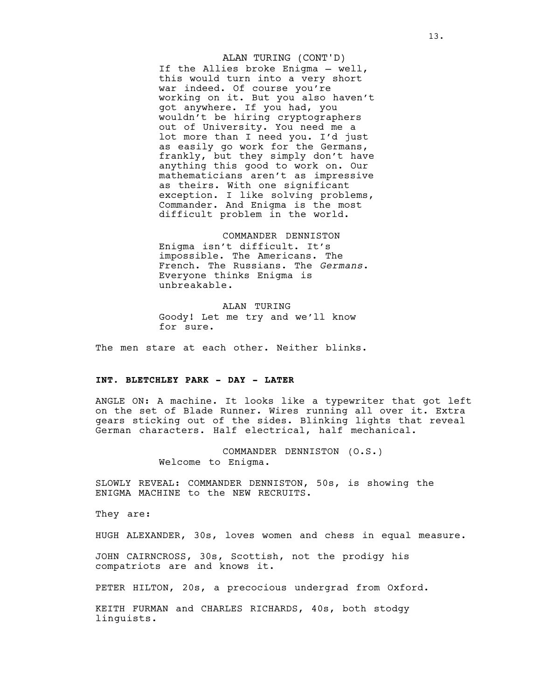If the Allies broke Enigma — well, this would turn into a very short war indeed. Of course you're working on it. But you also haven't got anywhere. If you had, you wouldn't be hiring cryptographers out of University. You need me a lot more than I need you. I'd just as easily go work for the Germans, frankly, but they simply don't have anything this good to work on. Our mathematicians aren't as impressive as theirs. With one significant exception. I like solving problems, Commander. And Enigma is the most difficult problem in the world. ALAN TURING (CONT'D)

#### COMMANDER DENNISTON

Enigma isn't difficult. It's impossible. The Americans. The French. The Russians. The *Germans*. Everyone thinks Enigma is unbreakable.

ALAN TURING Goody! Let me try and we'll know for sure.

The men stare at each other. Neither blinks.

# **INT. BLETCHLEY PARK - DAY - LATER**

ANGLE ON: A machine. It looks like a typewriter that got left on the set of Blade Runner. Wires running all over it. Extra gears sticking out of the sides. Blinking lights that reveal German characters. Half electrical, half mechanical.

> COMMANDER DENNISTON (O.S.) Welcome to Enigma.

SLOWLY REVEAL: COMMANDER DENNISTON, 50s, is showing the ENIGMA MACHINE to the NEW RECRUITS.

They are:

HUGH ALEXANDER, 30s, loves women and chess in equal measure.

JOHN CAIRNCROSS, 30s, Scottish, not the prodigy his compatriots are and knows it.

PETER HILTON, 20s, a precocious undergrad from Oxford.

KEITH FURMAN and CHARLES RICHARDS, 40s, both stodgy linguists.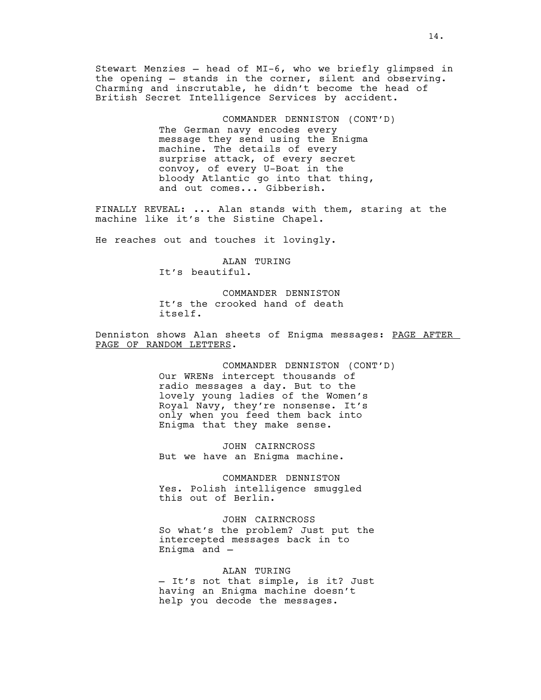Stewart Menzies — head of MI-6, who we briefly glimpsed in the opening — stands in the corner, silent and observing. Charming and inscrutable, he didn't become the head of British Secret Intelligence Services by accident.

> COMMANDER DENNISTON (CONT'D) The German navy encodes every message they send using the Enigma machine. The details of every surprise attack, of every secret convoy, of every U-Boat in the bloody Atlantic go into that thing, and out comes... Gibberish.

FINALLY REVEAL: ... Alan stands with them, staring at the machine like it's the Sistine Chapel.

He reaches out and touches it lovingly.

ALAN TURING It's beautiful.

COMMANDER DENNISTON It's the crooked hand of death itself.

Denniston shows Alan sheets of Enigma messages: PAGE AFTER PAGE OF RANDOM LETTERS.

> COMMANDER DENNISTON (CONT'D) Our WRENs intercept thousands of radio messages a day. But to the lovely young ladies of the Women's Royal Navy, they're nonsense. It's only when you feed them back into Enigma that they make sense.

JOHN CAIRNCROSS But we have an Enigma machine.

COMMANDER DENNISTON Yes. Polish intelligence smuggled this out of Berlin.

JOHN CAIRNCROSS So what's the problem? Just put the intercepted messages back in to Enigma and —

ALAN TURING — It's not that simple, is it? Just having an Enigma machine doesn't help you decode the messages.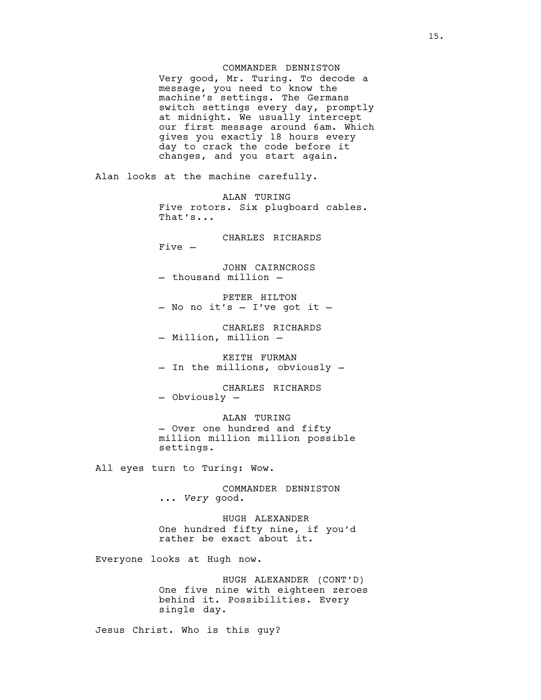### COMMANDER DENNISTON

Very good, Mr. Turing. To decode a message, you need to know the machine's settings. The Germans switch settings every day, promptly at midnight. We usually intercept our first message around 6am. Which gives you exactly 18 hours every day to crack the code before it changes, and you start again.

Alan looks at the machine carefully.

ALAN TURING Five rotors. Six plugboard cables. That's...

CHARLES RICHARDS Five —

JOHN CAIRNCROSS — thousand million —

PETER HILTON<br>- No no it's - I've got it -

CHARLES RICHARDS — Million, million —

KEITH FURMAN — In the millions, obviously —

CHARLES RICHARDS — Obviously —

ALAN TURING — Over one hundred and fifty million million million possible settings.

All eyes turn to Turing: Wow.

COMMANDER DENNISTON ... *Very* good.

HUGH ALEXANDER One hundred fifty nine, if you'd rather be exact about it.

Everyone looks at Hugh now.

HUGH ALEXANDER (CONT'D) One five nine with eighteen zeroes behind it. Possibilities. Every single day.

Jesus Christ. Who is this guy?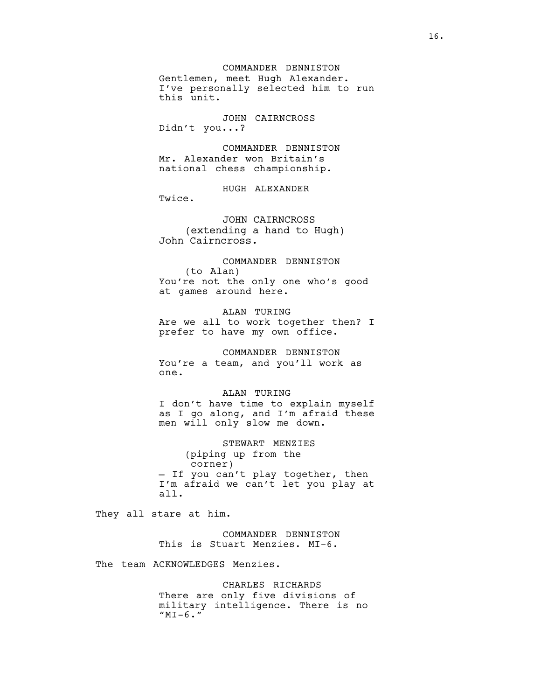COMMANDER DENNISTON Gentlemen, meet Hugh Alexander. I've personally selected him to run this unit.

JOHN CAIRNCROSS Didn't you...?

COMMANDER DENNISTON Mr. Alexander won Britain's national chess championship.

HUGH ALEXANDER

Twice.

JOHN CAIRNCROSS (extending a hand to Hugh) John Cairncross.

COMMANDER DENNISTON (to Alan) You're not the only one who's good at games around here.

ALAN TURING Are we all to work together then? I prefer to have my own office.

COMMANDER DENNISTON You're a team, and you'll work as one.

ALAN TURING I don't have time to explain myself as I go along, and I'm afraid these men will only slow me down.

STEWART MENZIES (piping up from the corner) - If you can't play together, then I'm afraid we can't let you play at all.

They all stare at him.

COMMANDER DENNISTON This is Stuart Menzies. MI-6.

The team ACKNOWLEDGES Menzies.

CHARLES RICHARDS There are only five divisions of military intelligence. There is no  $"MI-6."$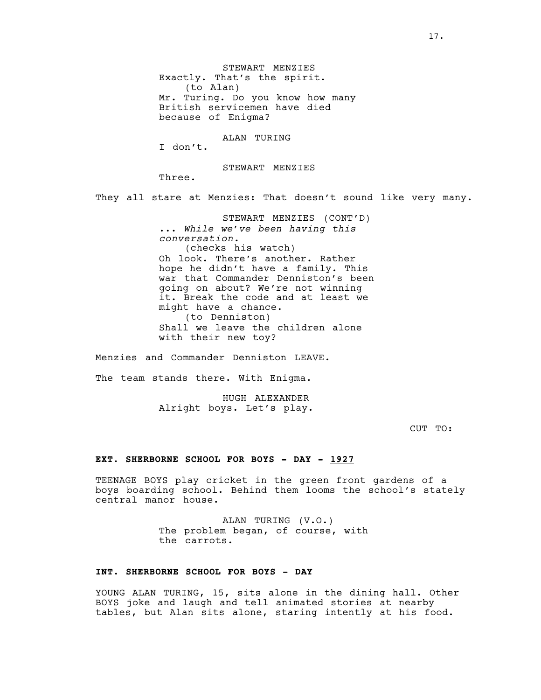STEWART MENZIES Exactly. That's the spirit. (to Alan) Mr. Turing. Do you know how many British servicemen have died because of Enigma?

ALAN TURING

I don't.

STEWART MENZIES

Three.

They all stare at Menzies: That doesn't sound like very many.

STEWART MENZIES (CONT'D) ... *While we've been having this conversation.* (checks his watch) Oh look. There's another. Rather hope he didn't have a family. This war that Commander Denniston's been going on about? We're not winning it. Break the code and at least we might have a chance. (to Denniston) Shall we leave the children alone with their new toy?

Menzies and Commander Denniston LEAVE.

The team stands there. With Enigma.

HUGH ALEXANDER Alright boys. Let's play.

CUT TO:

### **EXT. SHERBORNE SCHOOL FOR BOYS - DAY - 1927**

TEENAGE BOYS play cricket in the green front gardens of a boys boarding school. Behind them looms the school's stately central manor house.

> ALAN TURING (V.O.) The problem began, of course, with the carrots.

# **INT. SHERBORNE SCHOOL FOR BOYS - DAY**

YOUNG ALAN TURING, 15, sits alone in the dining hall. Other BOYS joke and laugh and tell animated stories at nearby tables, but Alan sits alone, staring intently at his food.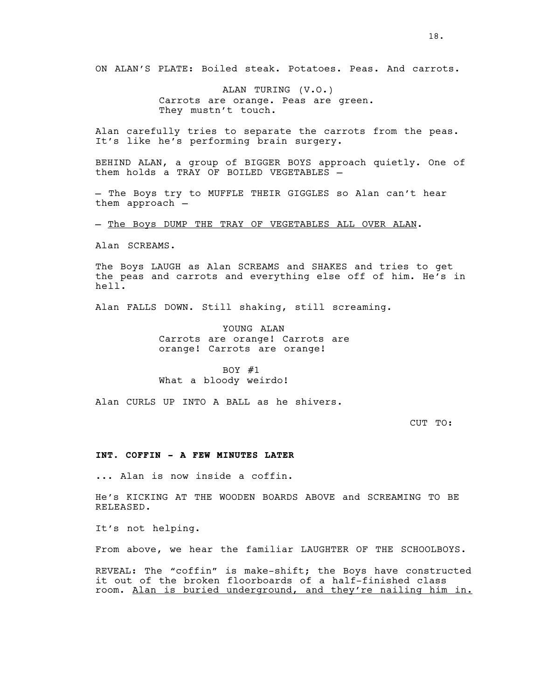ON ALAN'S PLATE: Boiled steak. Potatoes. Peas. And carrots.

ALAN TURING (V.O.) Carrots are orange. Peas are green. They mustn't touch.

Alan carefully tries to separate the carrots from the peas. It's like he's performing brain surgery.

BEHIND ALAN, a group of BIGGER BOYS approach quietly. One of them holds a TRAY OF BOILED VEGETABLES —

— The Boys try to MUFFLE THEIR GIGGLES so Alan can't hear them approach —

— The Boys DUMP THE TRAY OF VEGETABLES ALL OVER ALAN.

Alan SCREAMS.

The Boys LAUGH as Alan SCREAMS and SHAKES and tries to get the peas and carrots and everything else off of him. He's in hell.

Alan FALLS DOWN. Still shaking, still screaming.

YOUNG ALAN Carrots are orange! Carrots are orange! Carrots are orange!

BOY  $#1$ What a bloody weirdo!

Alan CURLS UP INTO A BALL as he shivers.

CUT TO:

### **INT. COFFIN - A FEW MINUTES LATER**

... Alan is now inside a coffin.

He's KICKING AT THE WOODEN BOARDS ABOVE and SCREAMING TO BE RELEASED.

It's not helping.

From above, we hear the familiar LAUGHTER OF THE SCHOOLBOYS.

REVEAL: The "coffin" is make-shift; the Boys have constructed it out of the broken floorboards of a half-finished class room. Alan is buried underground, and they're nailing him in.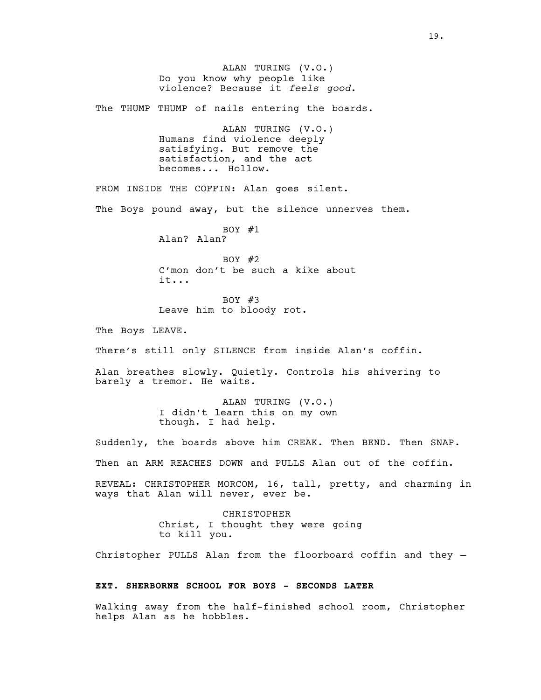ALAN TURING (V.O.) Do you know why people like violence? Because it *feels good*. The THUMP THUMP of nails entering the boards. ALAN TURING (V.O.) Humans find violence deeply satisfying. But remove the satisfaction, and the act becomes... Hollow. FROM INSIDE THE COFFIN: Alan goes silent. The Boys pound away, but the silence unnerves them. BOY  $#1$ Alan? Alan? BOY #2 C'mon don't be such a kike about it... BOY #3 Leave him to bloody rot. The Boys LEAVE. There's still only SILENCE from inside Alan's coffin. Alan breathes slowly. Quietly. Controls his shivering to barely a tremor. He waits. ALAN TURING (V.O.) I didn't learn this on my own though. I had help. Suddenly, the boards above him CREAK. Then BEND. Then SNAP. Then an ARM REACHES DOWN and PULLS Alan out of the coffin. REVEAL: CHRISTOPHER MORCOM, 16, tall, pretty, and charming in ways that Alan will never, ever be. CHRISTOPHER Christ, I thought they were going to kill you. Christopher PULLS Alan from the floorboard coffin and they — **EXT. SHERBORNE SCHOOL FOR BOYS - SECONDS LATER** Walking away from the half-finished school room, Christopher helps Alan as he hobbles.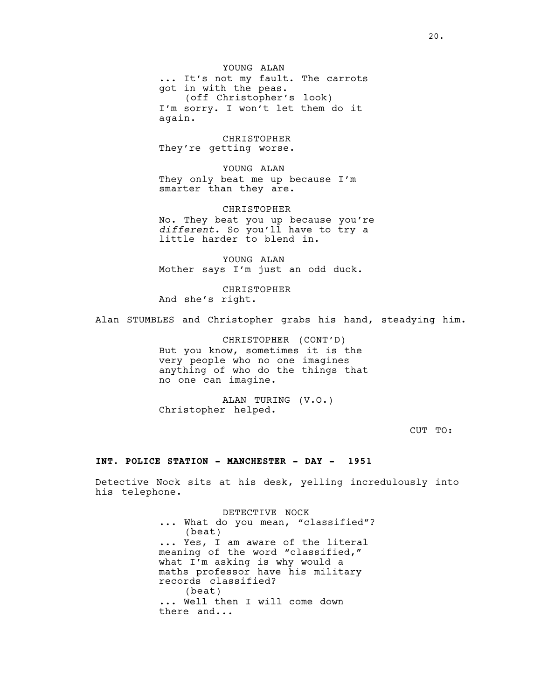YOUNG ALAN ... It's not my fault. The carrots got in with the peas. (off Christopher's look) I'm sorry. I won't let them do it again.

CHRISTOPHER They're getting worse.

YOUNG ALAN They only beat me up because I'm smarter than they are.

CHRISTOPHER No. They beat you up because you're *different*. So you'll have to try a little harder to blend in.

YOUNG ALAN Mother says I'm just an odd duck.

CHRISTOPHER And she's right.

Alan STUMBLES and Christopher grabs his hand, steadying him.

CHRISTOPHER (CONT'D) But you know, sometimes it is the very people who no one imagines anything of who do the things that no one can imagine.

ALAN TURING (V.O.) Christopher helped.

CUT TO:

#### **INT. POLICE STATION - MANCHESTER - DAY - 1951**

Detective Nock sits at his desk, yelling incredulously into his telephone.

> DETECTIVE NOCK ... What do you mean, "classified"? (beat) ... Yes, I am aware of the literal meaning of the word "classified," what I'm asking is why would a maths professor have his military records classified? (beat) ... Well then I will come down there and...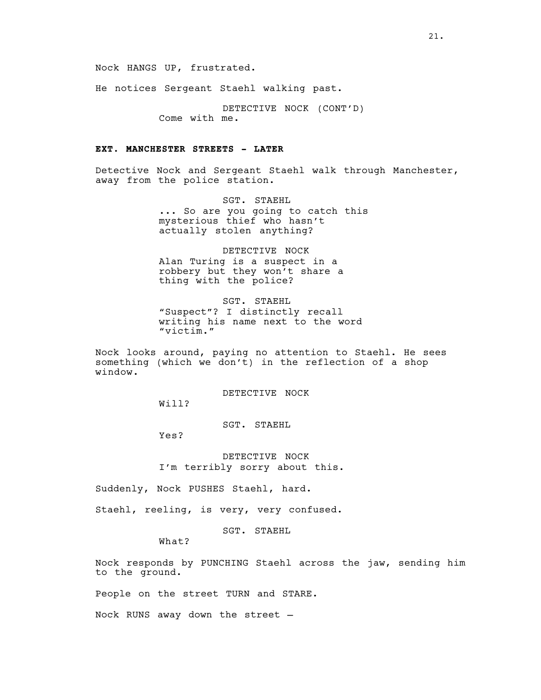Nock HANGS UP, frustrated.

He notices Sergeant Staehl walking past.

DETECTIVE NOCK (CONT'D) Come with me.

# **EXT. MANCHESTER STREETS - LATER**

Detective Nock and Sergeant Staehl walk through Manchester, away from the police station.

> SGT. STAEHL ... So are you going to catch this mysterious thief who hasn't actually stolen anything?

DETECTIVE NOCK Alan Turing is a suspect in a robbery but they won't share a thing with the police?

SGT. STAEHL "Suspect"? I distinctly recall writing his name next to the word "victim."

Nock looks around, paying no attention to Staehl. He sees something (which we don't) in the reflection of a shop window.

DETECTIVE NOCK

Will?

SGT. STAEHL

Yes?

DETECTIVE NOCK I'm terribly sorry about this.

Suddenly, Nock PUSHES Staehl, hard.

Staehl, reeling, is very, very confused.

SGT. STAEHL

What?

Nock responds by PUNCHING Staehl across the jaw, sending him to the ground.

People on the street TURN and STARE.

Nock RUNS away down the street —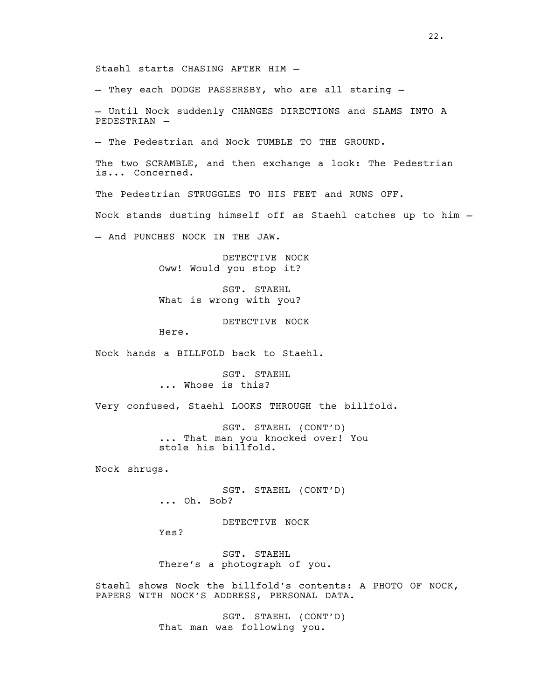Staehl starts CHASING AFTER HIM —

— They each DODGE PASSERSBY, who are all staring —

— Until Nock suddenly CHANGES DIRECTIONS and SLAMS INTO A PEDESTRIAN —

— The Pedestrian and Nock TUMBLE TO THE GROUND.

The two SCRAMBLE, and then exchange a look: The Pedestrian is... Concerned.

The Pedestrian STRUGGLES TO HIS FEET and RUNS OFF.

Nock stands dusting himself off as Staehl catches up to him —

— And PUNCHES NOCK IN THE JAW.

DETECTIVE NOCK Oww! Would you stop it?

SGT. STAEHL What is wrong with you?

DETECTIVE NOCK

Here.

Nock hands a BILLFOLD back to Staehl.

SGT. STAEHL ... Whose is this?

Very confused, Staehl LOOKS THROUGH the billfold.

SGT. STAEHL (CONT'D) ... That man you knocked over! You stole his billfold.

Nock shrugs.

SGT. STAEHL (CONT'D) ... Oh. Bob?

DETECTIVE NOCK

Yes?

SGT. STAEHL There's a photograph of you.

Staehl shows Nock the billfold's contents: A PHOTO OF NOCK, PAPERS WITH NOCK'S ADDRESS, PERSONAL DATA.

> SGT. STAEHL (CONT'D) That man was following you.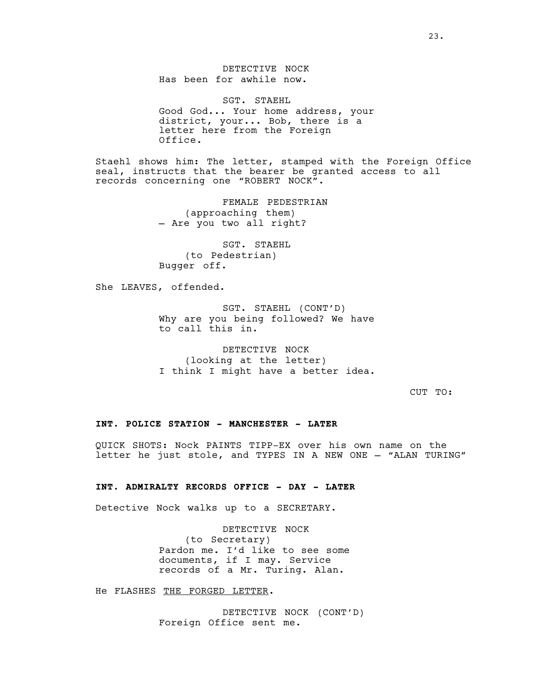DETECTIVE NOCK Has been for awhile now.

SGT. STAEHL Good God... Your home address, your district, your... Bob, there is a letter here from the Foreign Office.

Staehl shows him: The letter, stamped with the Foreign Office seal, instructs that the bearer be granted access to all records concerning one "ROBERT NOCK".

> FEMALE PEDESTRIAN (approaching them) — Are you two all right?

SGT. STAEHL (to Pedestrian) Bugger off.

She LEAVES, offended.

SGT. STAEHL (CONT'D) Why are you being followed? We have to call this in.

DETECTIVE NOCK (looking at the letter) I think I might have a better idea.

CUT TO:

# **INT. POLICE STATION - MANCHESTER - LATER**

QUICK SHOTS: Nock PAINTS TIPP-EX over his own name on the letter he just stole, and TYPES IN A NEW ONE — "ALAN TURING"

# **INT. ADMIRALTY RECORDS OFFICE - DAY - LATER**

Detective Nock walks up to a SECRETARY.

DETECTIVE NOCK (to Secretary) Pardon me. I'd like to see some documents, if I may. Service records of a Mr. Turing. Alan.

He FLASHES THE FORGED LETTER.

DETECTIVE NOCK (CONT'D) Foreign Office sent me.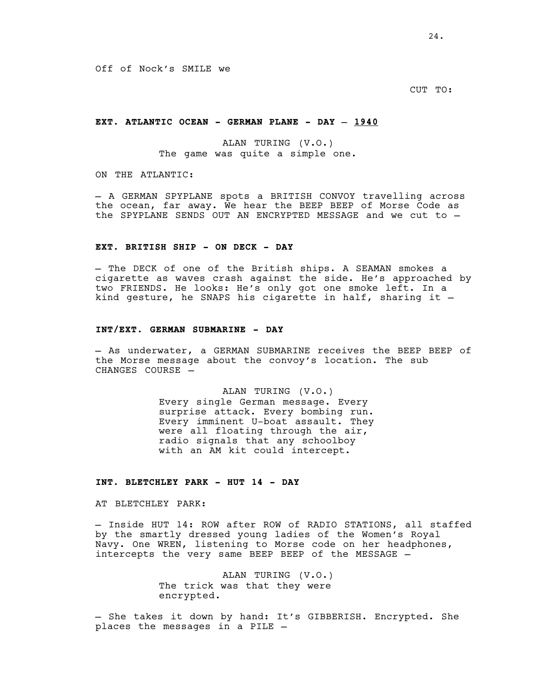CUT TO:

# **EXT. ATLANTIC OCEAN - GERMAN PLANE - DAY — 1940**

ALAN TURING (V.O.) The game was quite a simple one.

ON THE ATLANTIC:

— A GERMAN SPYPLANE spots a BRITISH CONVOY travelling across the ocean, far away. We hear the BEEP BEEP of Morse Code as the SPYPLANE SENDS OUT AN ENCRYPTED MESSAGE and we cut to —

### **EXT. BRITISH SHIP - ON DECK - DAY**

— The DECK of one of the British ships. A SEAMAN smokes a cigarette as waves crash against the side. He's approached by two FRIENDS. He looks: He's only got one smoke left. In a kind gesture, he SNAPS his cigarette in half, sharing it  $-$ 

#### **INT/EXT. GERMAN SUBMARINE - DAY**

- As underwater, a GERMAN SUBMARINE receives the BEEP BEEP of the Morse message about the convoy's location. The sub CHANGES COURSE —

> ALAN TURING (V.O.) Every single German message. Every surprise attack. Every bombing run. Every imminent U-boat assault. They were all floating through the air, radio signals that any schoolboy with an AM kit could intercept.

# **INT. BLETCHLEY PARK - HUT 14 - DAY**

AT BLETCHLEY PARK:

— Inside HUT 14: ROW after ROW of RADIO STATIONS, all staffed by the smartly dressed young ladies of the Women's Royal Navy. One WREN, listening to Morse code on her headphones, intercepts the very same BEEP BEEP of the MESSAGE —

> ALAN TURING (V.O.) The trick was that they were encrypted.

- She takes it down by hand: It's GIBBERISH. Encrypted. She places the messages in a PILE —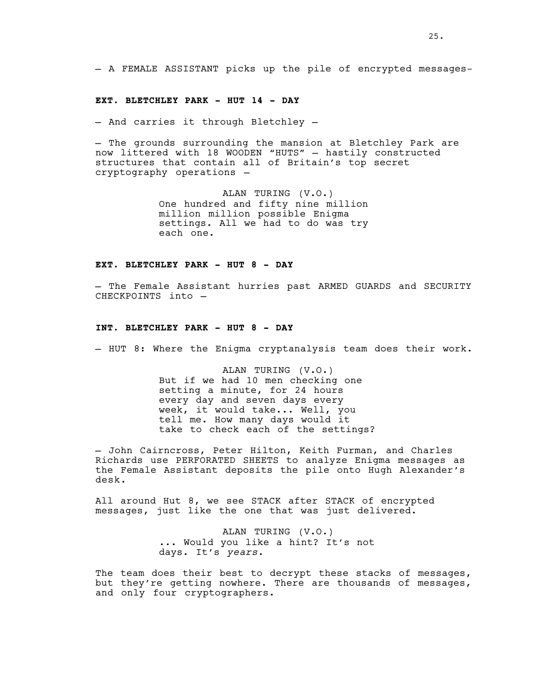— A FEMALE ASSISTANT picks up the pile of encrypted messages-

#### **EXT. BLETCHLEY PARK - HUT 14 - DAY**

— And carries it through Bletchley —

— The grounds surrounding the mansion at Bletchley Park are now littered with 18 WOODEN "HUTS" — hastily constructed structures that contain all of Britain's top secret cryptography operations —

> ALAN TURING (V.O.) One hundred and fifty nine million million million possible Enigma settings. All we had to do was try each one.

# **EXT. BLETCHLEY PARK - HUT 8 - DAY**

— The Female Assistant hurries past ARMED GUARDS and SECURITY CHECKPOINTS into —

# **INT. BLETCHLEY PARK - HUT 8 - DAY**

— HUT 8: Where the Enigma cryptanalysis team does their work.

ALAN TURING (V.O.) But if we had 10 men checking one setting a minute, for 24 hours every day and seven days every week, it would take... Well, you tell me. How many days would it take to check each of the settings?

— John Cairncross, Peter Hilton, Keith Furman, and Charles Richards use PERFORATED SHEETS to analyze Enigma messages as the Female Assistant deposits the pile onto Hugh Alexander's desk.

All around Hut 8, we see STACK after STACK of encrypted messages, just like the one that was just delivered.

> ALAN TURING (V.O.) ... Would you like a hint? It's not days. It's *years*.

The team does their best to decrypt these stacks of messages, but they're getting nowhere. There are thousands of messages, and only four cryptographers.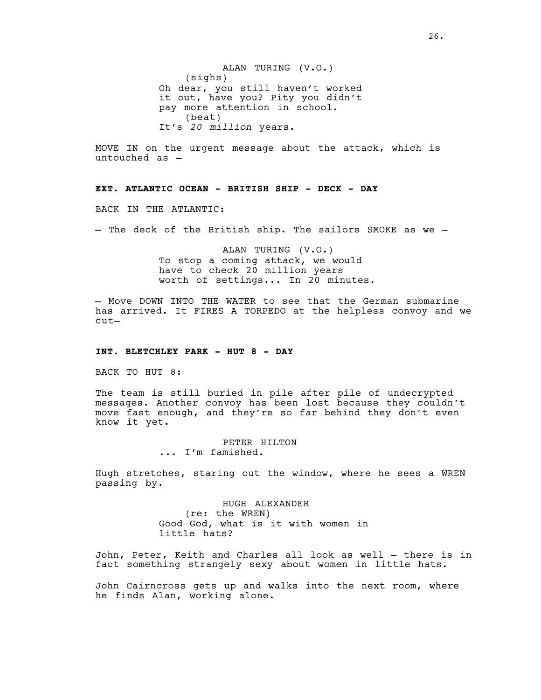ALAN TURING (V.O.) (sighs) Oh dear, you still haven't worked it out, have you? Pity you didn't pay more attention in school. (beat) It's *20 million* years.

MOVE IN on the urgent message about the attack, which is untouched as —

# **EXT. ATLANTIC OCEAN - BRITISH SHIP - DECK - DAY**

BACK IN THE ATLANTIC:

— The deck of the British ship. The sailors SMOKE as we —

ALAN TURING (V.O.) To stop a coming attack, we would have to check 20 million years worth of settings... In 20 minutes.

— Move DOWN INTO THE WATER to see that the German submarine has arrived. It FIRES A TORPEDO at the helpless convoy and we cut—

#### **INT. BLETCHLEY PARK - HUT 8 - DAY**

BACK TO HUT 8:

The team is still buried in pile after pile of undecrypted messages. Another convoy has been lost because they couldn't move fast enough, and they're so far behind they don't even know it yet.

> PETER HILTON ... I'm famished.

Hugh stretches, staring out the window, where he sees a WREN passing by.

> HUGH ALEXANDER (re: the WREN) Good God, what is it with women in little hats?

John, Peter, Keith and Charles all look as well — there is in fact something strangely sexy about women in little hats.

John Cairncross gets up and walks into the next room, where he finds Alan, working alone.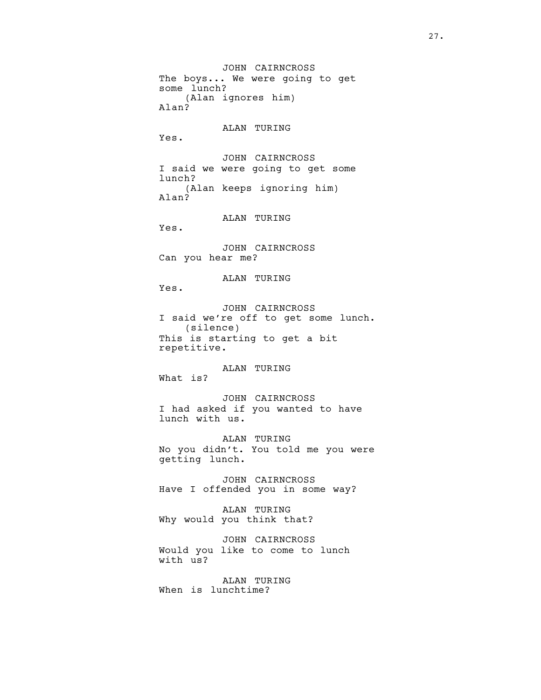JOHN CAIRNCROSS The boys... We were going to get some lunch? (Alan ignores him) Alan? ALAN TURING Yes. JOHN CAIRNCROSS I said we were going to get some lunch? (Alan keeps ignoring him) Alan? ALAN TURING Yes. JOHN CAIRNCROSS Can you hear me? ALAN TURING Yes. JOHN CAIRNCROSS I said we're off to get some lunch. (silence) This is starting to get a bit repetitive. ALAN TURING What is? JOHN CAIRNCROSS I had asked if you wanted to have lunch with us. ALAN TURING No you didn't. You told me you were getting lunch. JOHN CAIRNCROSS Have I offended you in some way? ALAN TURING Why would you think that? JOHN CAIRNCROSS Would you like to come to lunch with us?

ALAN TURING When is lunchtime?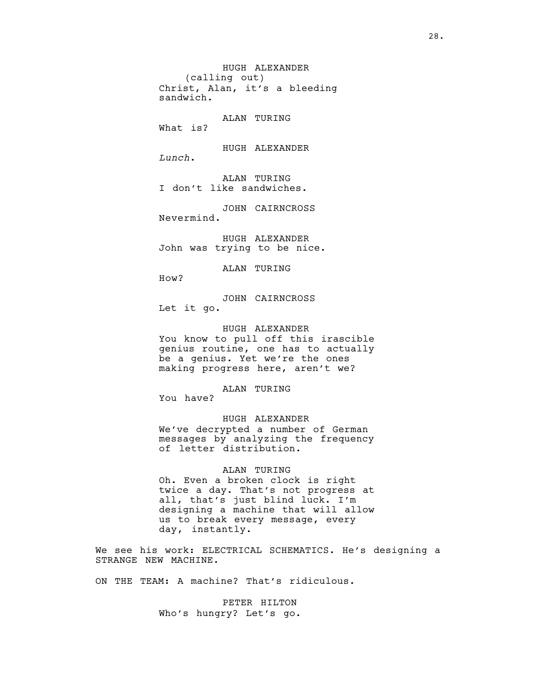HUGH ALEXANDER (calling out) Christ, Alan, it's a bleeding sandwich. ALAN TURING What is? HUGH ALEXANDER *Lunch*. ALAN TURING I don't like sandwiches. JOHN CAIRNCROSS Nevermind. HUGH ALEXANDER John was trying to be nice.

ALAN TURING

How?

JOHN CAIRNCROSS Let it go.

HUGH ALEXANDER You know to pull off this irascible genius routine, one has to actually be a genius. Yet we're the ones making progress here, aren't we?

ALAN TURING

You have?

HUGH ALEXANDER We've decrypted a number of German messages by analyzing the frequency of letter distribution.

# ALAN TURING

Oh. Even a broken clock is right twice a day. That's not progress at all, that's just blind luck. I'm designing a machine that will allow us to break every message, every day, instantly.

We see his work: ELECTRICAL SCHEMATICS. He's designing a STRANGE NEW MACHINE.

ON THE TEAM: A machine? That's ridiculous.

PETER HILTON Who's hungry? Let's go.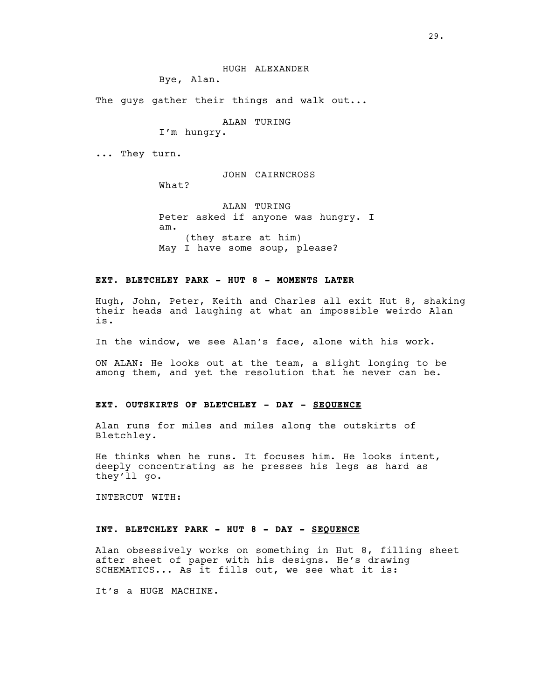Bye, Alan.

The guys gather their things and walk out...

ALAN TURING

I'm hungry.

... They turn.

JOHN CAIRNCROSS

What?

ALAN TURING Peter asked if anyone was hungry. I am. (they stare at him) May I have some soup, please?

# **EXT. BLETCHLEY PARK - HUT 8 - MOMENTS LATER**

Hugh, John, Peter, Keith and Charles all exit Hut 8, shaking their heads and laughing at what an impossible weirdo Alan is.

In the window, we see Alan's face, alone with his work.

ON ALAN: He looks out at the team, a slight longing to be among them, and yet the resolution that he never can be.

# **EXT. OUTSKIRTS OF BLETCHLEY - DAY - SEQUENCE**

Alan runs for miles and miles along the outskirts of Bletchley.

He thinks when he runs. It focuses him. He looks intent, deeply concentrating as he presses his legs as hard as they'll go.

INTERCUT WITH:

# **INT. BLETCHLEY PARK - HUT 8 - DAY - SEQUENCE**

Alan obsessively works on something in Hut 8, filling sheet after sheet of paper with his designs. He's drawing SCHEMATICS... As it fills out, we see what it is:

It's a HUGE MACHINE.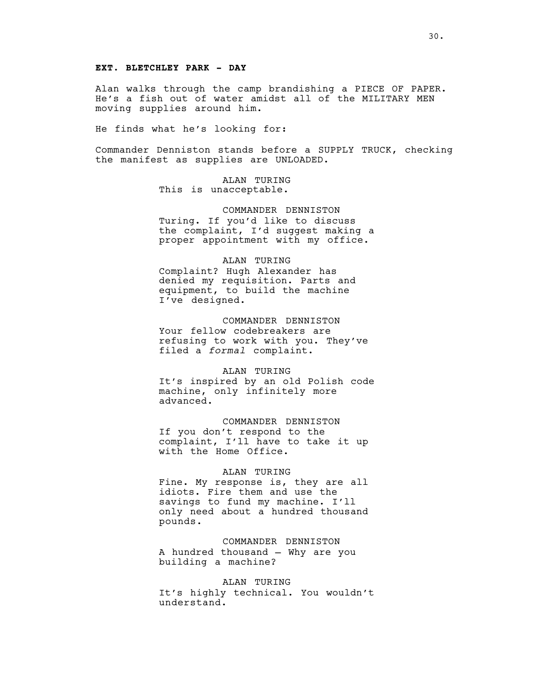# **EXT. BLETCHLEY PARK - DAY**

Alan walks through the camp brandishing a PIECE OF PAPER. He's a fish out of water amidst all of the MILITARY MEN moving supplies around him.

He finds what he's looking for:

Commander Denniston stands before a SUPPLY TRUCK, checking the manifest as supplies are UNLOADED.

> ALAN TURING This is unacceptable.

COMMANDER DENNISTON Turing. If you'd like to discuss the complaint, I'd suggest making a proper appointment with my office.

### ALAN TURING

Complaint? Hugh Alexander has denied my requisition. Parts and equipment, to build the machine I've designed.

# COMMANDER DENNISTON

Your fellow codebreakers are refusing to work with you. They've filed a *formal* complaint.

#### ALAN TURING

It's inspired by an old Polish code machine, only infinitely more advanced.

# COMMANDER DENNISTON

If you don't respond to the complaint, I'll have to take it up with the Home Office.

### ALAN TURING

Fine. My response is, they are all idiots. Fire them and use the savings to fund my machine. I'll only need about a hundred thousand pounds.

# COMMANDER DENNISTON

A hundred thousand — Why are you building a machine?

# ALAN TURING

It's highly technical. You wouldn't understand.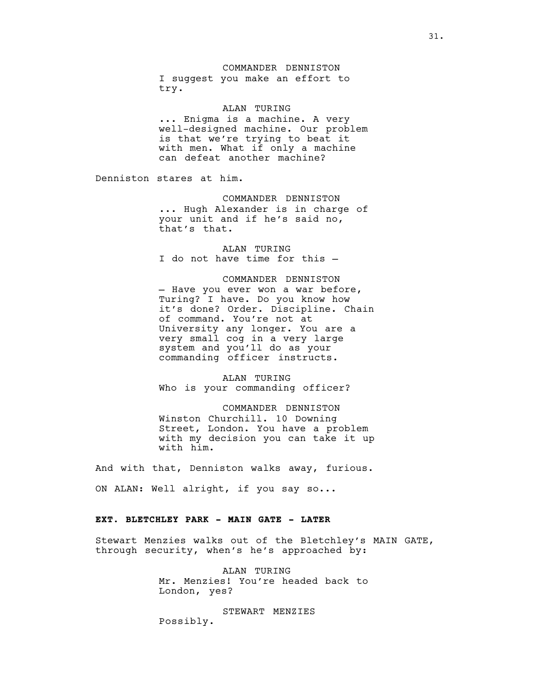#### COMMANDER DENNISTON

I suggest you make an effort to try.

ALAN TURING ... Enigma is a machine. A very well-designed machine. Our problem is that we're trying to beat it with men. What if only a machine can defeat another machine?

Denniston stares at him.

COMMANDER DENNISTON ... Hugh Alexander is in charge of your unit and if he's said no, that's that.

ALAN TURING I do not have time for this —

# COMMANDER DENNISTON

— Have you ever won a war before, Turing? I have. Do you know how it's done? Order. Discipline. Chain of command. You're not at University any longer. You are a very small cog in a very large system and you'll do as your commanding officer instructs.

ALAN TURING Who is your commanding officer?

#### COMMANDER DENNISTON

Winston Churchill. 10 Downing Street, London. You have a problem with my decision you can take it up with him.

And with that, Denniston walks away, furious.

ON ALAN: Well alright, if you say so...

# **EXT. BLETCHLEY PARK - MAIN GATE - LATER**

Stewart Menzies walks out of the Bletchley's MAIN GATE, through security, when's he's approached by:

> ALAN TURING Mr. Menzies! You're headed back to London, yes?

STEWART MENZIES Possibly.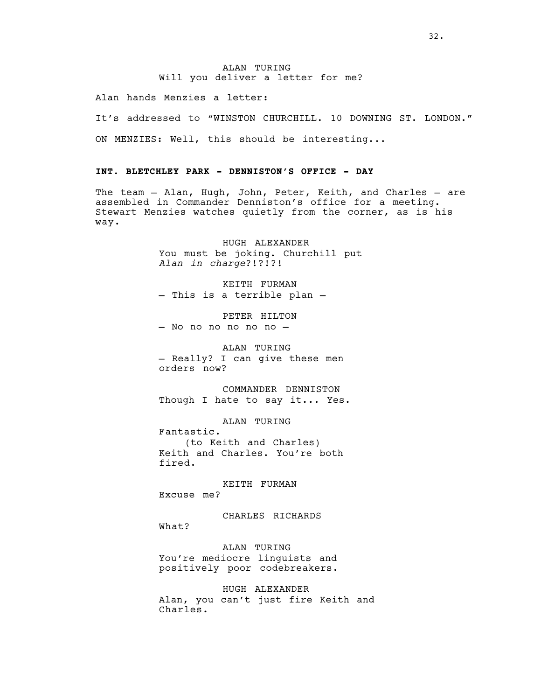# ALAN TURING Will you deliver a letter for me?

Alan hands Menzies a letter:

It's addressed to "WINSTON CHURCHILL. 10 DOWNING ST. LONDON." ON MENZIES: Well, this should be interesting...

# **INT. BLETCHLEY PARK - DENNISTON'S OFFICE - DAY**

The team — Alan, Hugh, John, Peter, Keith, and Charles — are assembled in Commander Denniston's office for a meeting. Stewart Menzies watches quietly from the corner, as is his way.

> HUGH ALEXANDER You must be joking. Churchill put *Alan in charge*?!?!?!

KEITH FURMAN — This is a terrible plan —

PETER HILTON — No no no no no no —

ALAN TURING — Really? I can give these men orders now?

COMMANDER DENNISTON Though I hate to say it... Yes.

ALAN TURING

Fantastic. (to Keith and Charles) Keith and Charles. You're both fired.

KEITH FURMAN Excuse me?

What?

CHARLES RICHARDS

ALAN TURING You're mediocre linguists and positively poor codebreakers.

HUGH ALEXANDER Alan, you can't just fire Keith and Charles.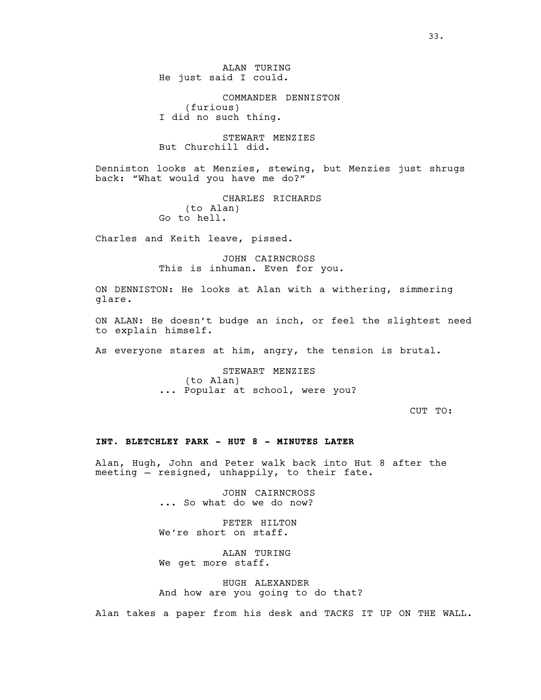ALAN TURING He just said I could.

COMMANDER DENNISTON (furious) I did no such thing.

STEWART MENZIES But Churchill did.

Denniston looks at Menzies, stewing, but Menzies just shrugs back: "What would you have me do?"

> CHARLES RICHARDS (to Alan) Go to hell.

Charles and Keith leave, pissed.

JOHN CAIRNCROSS This is inhuman. Even for you.

ON DENNISTON: He looks at Alan with a withering, simmering glare.

ON ALAN: He doesn't budge an inch, or feel the slightest need to explain himself.

As everyone stares at him, angry, the tension is brutal.

STEWART MENZIES (to Alan) ... Popular at school, were you?

CUT TO:

# **INT. BLETCHLEY PARK - HUT 8 - MINUTES LATER**

Alan, Hugh, John and Peter walk back into Hut 8 after the meeting — resigned, unhappily, to their fate.

> JOHN CAIRNCROSS ... So what do we do now?

PETER HILTON We're short on staff.

ALAN TURING We get more staff.

HUGH ALEXANDER And how are you going to do that?

Alan takes a paper from his desk and TACKS IT UP ON THE WALL.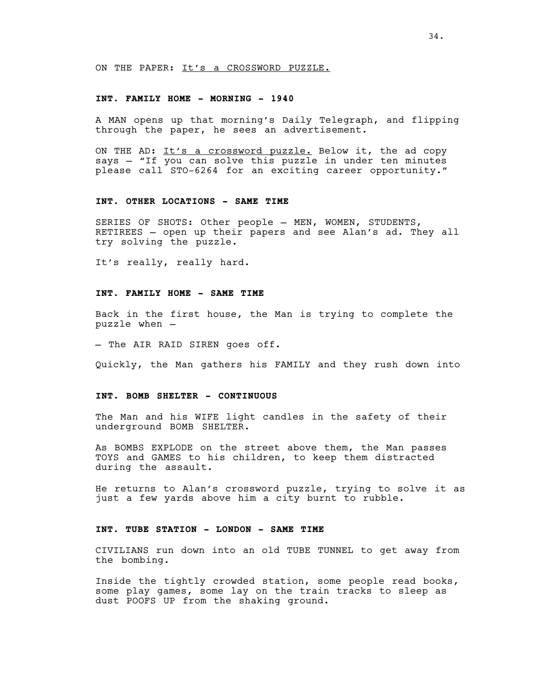ON THE PAPER: It's a CROSSWORD PUZZLE.

### **INT. FAMILY HOME - MORNING - 1940**

A MAN opens up that morning's Daily Telegraph, and flipping through the paper, he sees an advertisement.

ON THE AD: It's a crossword puzzle. Below it, the ad copy says — "If you can solve this puzzle in under ten minutes please call STO-6264 for an exciting career opportunity."

# **INT. OTHER LOCATIONS - SAME TIME**

SERIES OF SHOTS: Other people — MEN, WOMEN, STUDENTS, RETIREES — open up their papers and see Alan's ad. They all try solving the puzzle.

It's really, really hard.

# **INT. FAMILY HOME - SAME TIME**

Back in the first house, the Man is trying to complete the puzzle when —

— The AIR RAID SIREN goes off.

Quickly, the Man gathers his FAMILY and they rush down into

### **INT. BOMB SHELTER - CONTINUOUS**

The Man and his WIFE light candles in the safety of their underground BOMB SHELTER.

As BOMBS EXPLODE on the street above them, the Man passes TOYS and GAMES to his children, to keep them distracted during the assault.

He returns to Alan's crossword puzzle, trying to solve it as just a few yards above him a city burnt to rubble.

# **INT. TUBE STATION - LONDON - SAME TIME**

CIVILIANS run down into an old TUBE TUNNEL to get away from the bombing.

Inside the tightly crowded station, some people read books, some play games, some lay on the train tracks to sleep as dust POOFS UP from the shaking ground.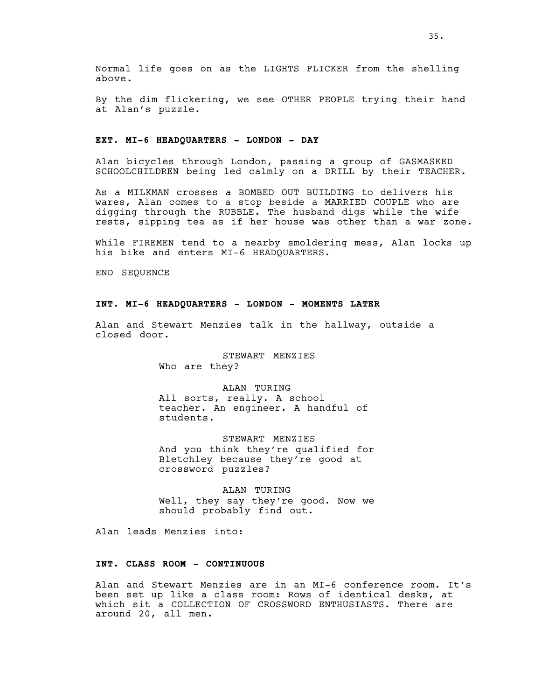By the dim flickering, we see OTHER PEOPLE trying their hand at Alan's puzzle.

# **EXT. MI-6 HEADQUARTERS - LONDON - DAY**

Alan bicycles through London, passing a group of GASMASKED SCHOOLCHILDREN being led calmly on a DRILL by their TEACHER.

As a MILKMAN crosses a BOMBED OUT BUILDING to delivers his wares, Alan comes to a stop beside a MARRIED COUPLE who are digging through the RUBBLE. The husband digs while the wife rests, sipping tea as if her house was other than a war zone.

While FIREMEN tend to a nearby smoldering mess, Alan locks up his bike and enters MI-6 HEADQUARTERS.

END SEQUENCE

# **INT. MI-6 HEADQUARTERS - LONDON - MOMENTS LATER**

Alan and Stewart Menzies talk in the hallway, outside a closed door.

> STEWART MENZIES Who are they?

ALAN TURING All sorts, really. A school teacher. An engineer. A handful of students.

STEWART MENZIES And you think they're qualified for Bletchley because they're good at crossword puzzles?

ALAN TURING Well, they say they're good. Now we should probably find out.

Alan leads Menzies into:

# **INT. CLASS ROOM - CONTINUOUS**

Alan and Stewart Menzies are in an MI-6 conference room. It's been set up like a class room: Rows of identical desks, at which sit a COLLECTION OF CROSSWORD ENTHUSIASTS. There are around 20, all men.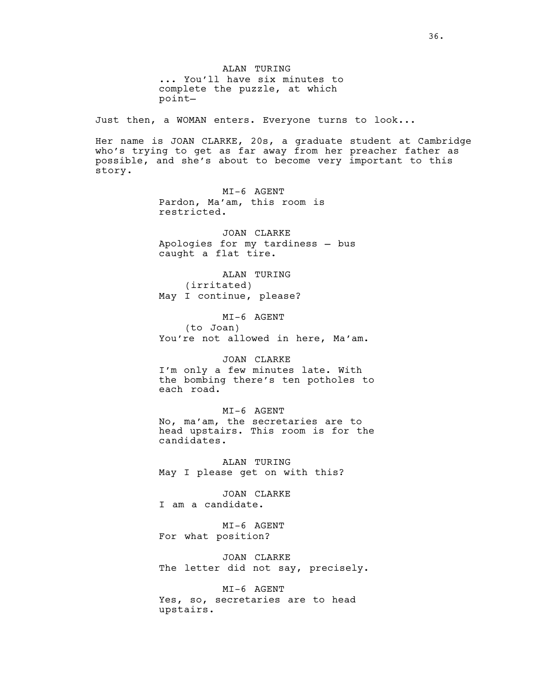ALAN TURING ... You'll have six minutes to complete the puzzle, at which point—

Just then, a WOMAN enters. Everyone turns to look...

Her name is JOAN CLARKE, 20s, a graduate student at Cambridge who's trying to get as far away from her preacher father as possible, and she's about to become very important to this story.

> MI-6 AGENT Pardon, Ma'am, this room is restricted.

JOAN CLARKE Apologies for my tardiness — bus caught a flat tire.

ALAN TURING (irritated) May I continue, please?

MI-6 AGENT (to Joan) You're not allowed in here, Ma'am.

# JOAN CLARKE

I'm only a few minutes late. With the bombing there's ten potholes to each road.

# MI-6 AGENT

No, ma'am, the secretaries are to head upstairs. This room is for the candidates.

ALAN TURING May I please get on with this?

JOAN CLARKE I am a candidate.

MI-6 AGENT For what position?

JOAN CLARKE The letter did not say, precisely.

MI-6 AGENT Yes, so, secretaries are to head upstairs.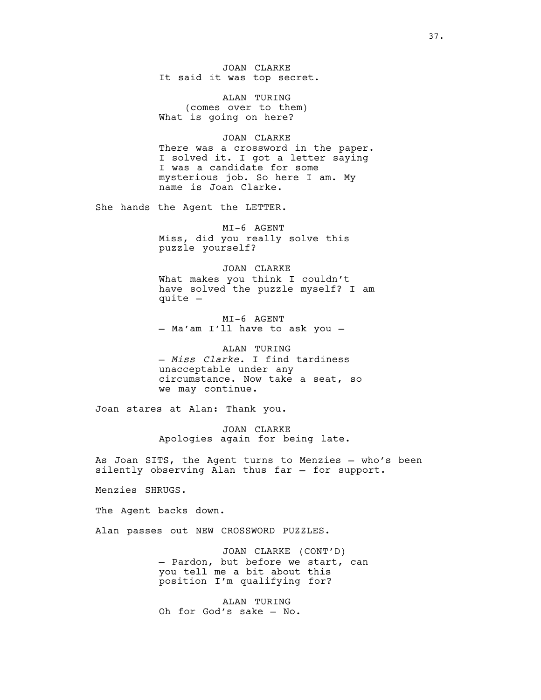JOAN CLARKE It said it was top secret.

ALAN TURING (comes over to them) What is going on here?

JOAN CLARKE There was a crossword in the paper. I solved it. I got a letter saying I was a candidate for some mysterious job. So here I am. My name is Joan Clarke.

She hands the Agent the LETTER.

MI-6 AGENT Miss, did you really solve this puzzle yourself?

JOAN CLARKE What makes you think I couldn't have solved the puzzle myself? I am quite —

MI-6 AGENT — Ma'am I'll have to ask you —

ALAN TURING — *Miss Clarke*. I find tardiness unacceptable under any circumstance. Now take a seat, so we may continue.

Joan stares at Alan: Thank you.

JOAN CLARKE Apologies again for being late.

As Joan SITS, the Agent turns to Menzies — who's been silently observing Alan thus far — for support.

Menzies SHRUGS.

The Agent backs down.

Alan passes out NEW CROSSWORD PUZZLES.

JOAN CLARKE (CONT'D) — Pardon, but before we start, can you tell me a bit about this position I'm qualifying for?

ALAN TURING Oh for God's sake — No.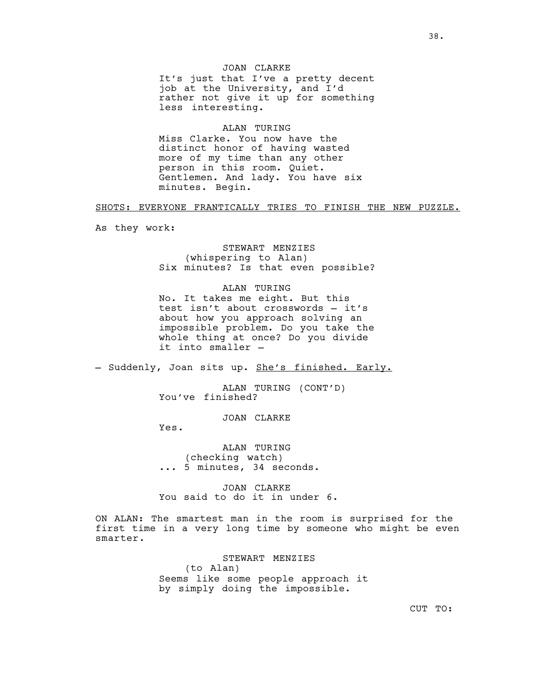JOAN CLARKE It's just that I've a pretty decent job at the University, and I'd rather not give it up for something less interesting.

ALAN TURING Miss Clarke. You now have the distinct honor of having wasted more of my time than any other person in this room. Quiet. Gentlemen. And lady. You have six minutes. Begin.

#### SHOTS: EVERYONE FRANTICALLY TRIES TO FINISH THE NEW PUZZLE.

As they work:

STEWART MENZIES (whispering to Alan) Six minutes? Is that even possible?

### ALAN TURING

No. It takes me eight. But this test isn't about crosswords — it's about how you approach solving an impossible problem. Do you take the whole thing at once? Do you divide it into smaller —

- Suddenly, Joan sits up. She's finished. Early.

ALAN TURING (CONT'D) You've finished?

JOAN CLARKE

Yes.

ALAN TURING (checking watch) ... 5 minutes, 34 seconds.

JOAN CLARKE You said to do it in under 6.

ON ALAN: The smartest man in the room is surprised for the first time in a very long time by someone who might be even smarter.

> STEWART MENZIES (to Alan) Seems like some people approach it by simply doing the impossible.

> > CUT TO: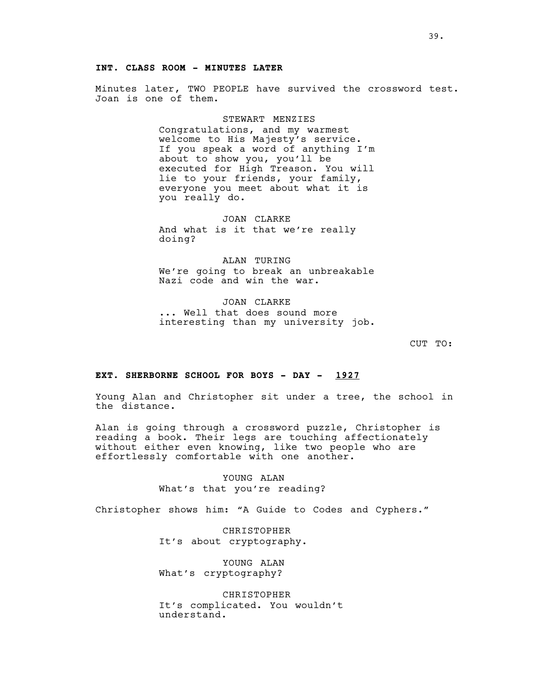## **INT. CLASS ROOM - MINUTES LATER**

Minutes later, TWO PEOPLE have survived the crossword test. Joan is one of them.

## STEWART MENZIES

Congratulations, and my warmest welcome to His Majesty's service. If you speak a word of anything I'm about to show you, you'll be executed for High Treason. You will lie to your friends, your family, everyone you meet about what it is you really do.

JOAN CLARKE And what is it that we're really doing?

ALAN TURING We're going to break an unbreakable Nazi code and win the war.

JOAN CLARKE ... Well that does sound more interesting than my university job.

CUT TO:

## **EXT. SHERBORNE SCHOOL FOR BOYS - DAY - 1927**

Young Alan and Christopher sit under a tree, the school in the distance.

Alan is going through a crossword puzzle, Christopher is reading a book. Their legs are touching affectionately without either even knowing, like two people who are effortlessly comfortable with one another.

> YOUNG ALAN What's that you're reading?

Christopher shows him: "A Guide to Codes and Cyphers."

CHRISTOPHER It's about cryptography.

YOUNG ALAN What's cryptography?

CHRISTOPHER It's complicated. You wouldn't understand.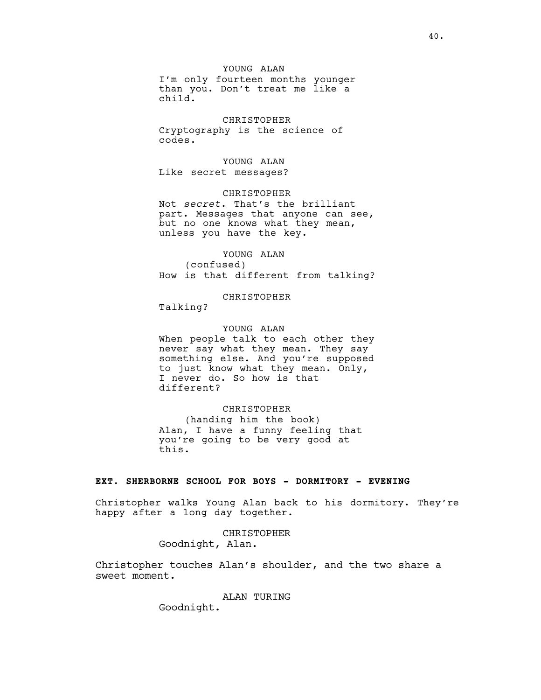YOUNG ALAN

I'm only fourteen months younger than you. Don't treat me like a child.

CHRISTOPHER Cryptography is the science of codes.

YOUNG ALAN Like secret messages?

CHRISTOPHER

Not *secret*. That's the brilliant part. Messages that anyone can see, but no one knows what they mean, unless you have the key.

#### YOUNG ALAN

(confused) How is that different from talking?

CHRISTOPHER

Talking?

## YOUNG ALAN

When people talk to each other they never say what they mean. They say something else. And you're supposed to just know what they mean. Only, I never do. So how is that different?

#### CHRISTOPHER

(handing him the book) Alan, I have a funny feeling that you're going to be very good at this.

# **EXT. SHERBORNE SCHOOL FOR BOYS - DORMITORY - EVENING**

Christopher walks Young Alan back to his dormitory. They're happy after a long day together.

CHRISTOPHER

Goodnight, Alan.

Christopher touches Alan's shoulder, and the two share a sweet moment.

## ALAN TURING

Goodnight.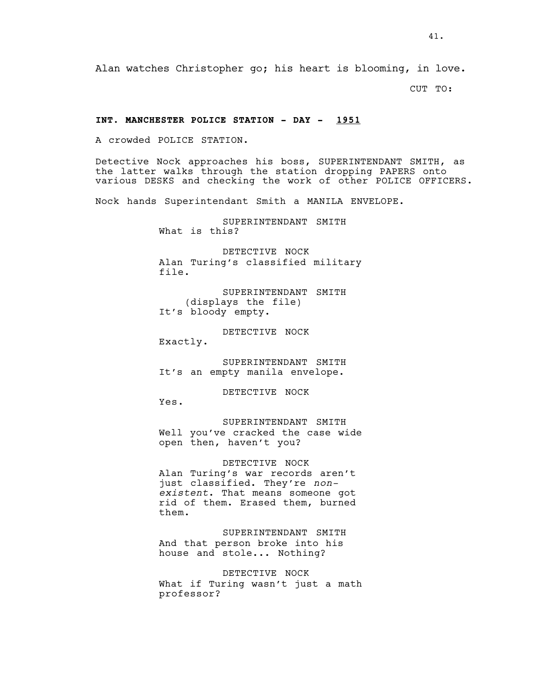CUT TO:

## **INT. MANCHESTER POLICE STATION - DAY - 1951**

A crowded POLICE STATION.

Detective Nock approaches his boss, SUPERINTENDANT SMITH, as the latter walks through the station dropping PAPERS onto various DESKS and checking the work of other POLICE OFFICERS.

Nock hands Superintendant Smith a MANILA ENVELOPE.

SUPERINTENDANT SMITH What is this?

DETECTIVE NOCK Alan Turing's classified military file.

SUPERINTENDANT SMITH (displays the file) It's bloody empty.

DETECTIVE NOCK Exactly.

SUPERINTENDANT SMITH It's an empty manila envelope.

DETECTIVE NOCK

Yes.

SUPERINTENDANT SMITH Well you've cracked the case wide open then, haven't you?

DETECTIVE NOCK Alan Turing's war records aren't just classified. They're *nonexistent*. That means someone got rid of them. Erased them, burned them.

SUPERINTENDANT SMITH And that person broke into his house and stole... Nothing?

DETECTIVE NOCK What if Turing wasn't just a math professor?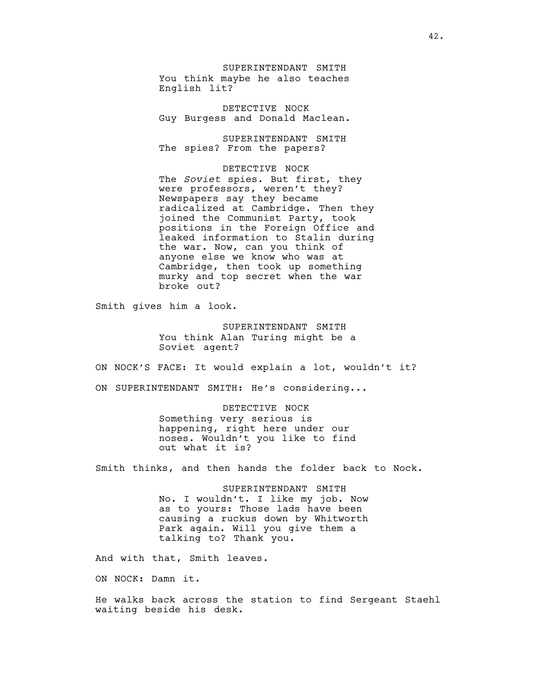SUPERINTENDANT SMITH You think maybe he also teaches English lit?

DETECTIVE NOCK Guy Burgess and Donald Maclean.

SUPERINTENDANT SMITH The spies? From the papers?

DETECTIVE NOCK The *Soviet* spies. But first, they were professors, weren't they? Newspapers say they became radicalized at Cambridge. Then they joined the Communist Party, took positions in the Foreign Office and leaked information to Stalin during the war. Now, can you think of anyone else we know who was at Cambridge, then took up something murky and top secret when the war broke out?

Smith gives him a look.

SUPERINTENDANT SMITH You think Alan Turing might be a Soviet agent?

ON NOCK'S FACE: It would explain a lot, wouldn't it?

ON SUPERINTENDANT SMITH: He's considering...

#### DETECTIVE NOCK

Something very serious is happening, right here under our noses. Wouldn't you like to find out what it is?

Smith thinks, and then hands the folder back to Nock.

SUPERINTENDANT SMITH No. I wouldn't. I like my job. Now as to yours: Those lads have been causing a ruckus down by Whitworth Park again. Will you give them a talking to? Thank you.

And with that, Smith leaves.

ON NOCK: Damn it.

He walks back across the station to find Sergeant Staehl waiting beside his desk.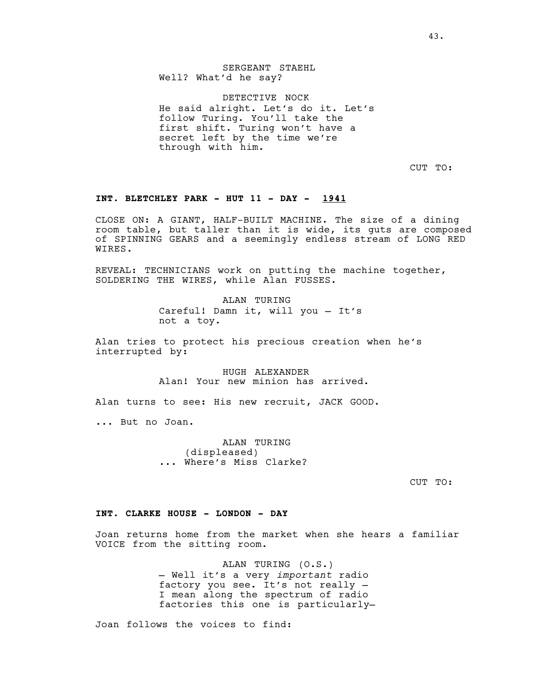43.

SERGEANT STAEHL Well? What'd he say?

DETECTIVE NOCK He said alright. Let's do it. Let's follow Turing. You'll take the first shift. Turing won't have a secret left by the time we're through with him.

CUT TO:

## **INT. BLETCHLEY PARK - HUT 11 - DAY - 1941**

CLOSE ON: A GIANT, HALF-BUILT MACHINE. The size of a dining room table, but taller than it is wide, its guts are composed of SPINNING GEARS and a seemingly endless stream of LONG RED WIRES.

REVEAL: TECHNICIANS work on putting the machine together, SOLDERING THE WIRES, while Alan FUSSES.

> ALAN TURING Careful! Damn it, will you — It's not a toy.

Alan tries to protect his precious creation when he's interrupted by:

> HUGH ALEXANDER Alan! Your new minion has arrived.

Alan turns to see: His new recruit, JACK GOOD.

... But no Joan.

ALAN TURING (displeased) ... Where's Miss Clarke?

CUT TO:

#### **INT. CLARKE HOUSE - LONDON - DAY**

Joan returns home from the market when she hears a familiar VOICE from the sitting room.

> ALAN TURING (O.S.) — Well it's a very *important* radio factory you see. It's not really — I mean along the spectrum of radio factories this one is particularly—

Joan follows the voices to find: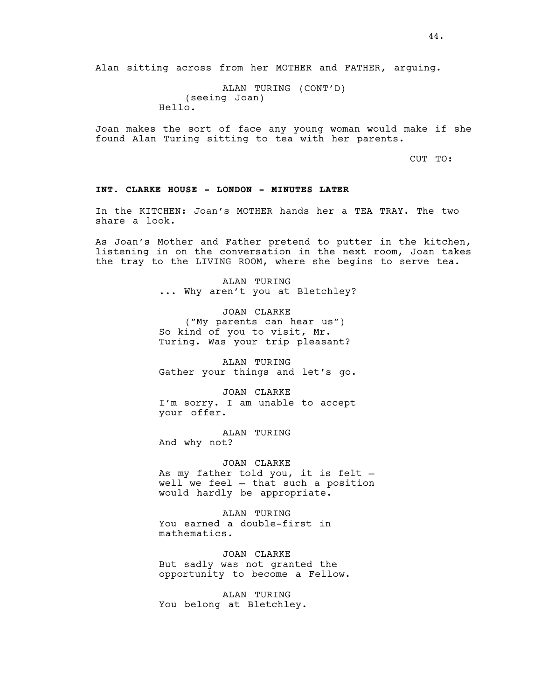ALAN TURING (CONT'D) (seeing Joan) Hello.

Joan makes the sort of face any young woman would make if she found Alan Turing sitting to tea with her parents.

CUT TO:

# **INT. CLARKE HOUSE - LONDON - MINUTES LATER**

In the KITCHEN: Joan's MOTHER hands her a TEA TRAY. The two share a look.

As Joan's Mother and Father pretend to putter in the kitchen, listening in on the conversation in the next room, Joan takes the tray to the LIVING ROOM, where she begins to serve tea.

ALAN TURING<br>... Why aren't you at Bletchley?

JOAN CLARKE ("My parents can hear us") So kind of you to visit, Mr. Turing. Was your trip pleasant?

ALAN TURING Gather your things and let's go.

JOAN CLARKE I'm sorry. I am unable to accept your offer.

ALAN TURING And why not?

JOAN CLARKE As my father told you, it is felt well we feel — that such a position would hardly be appropriate.

ALAN TURING You earned a double-first in mathematics.

JOAN CLARKE But sadly was not granted the opportunity to become a Fellow.

ALAN TURING You belong at Bletchley.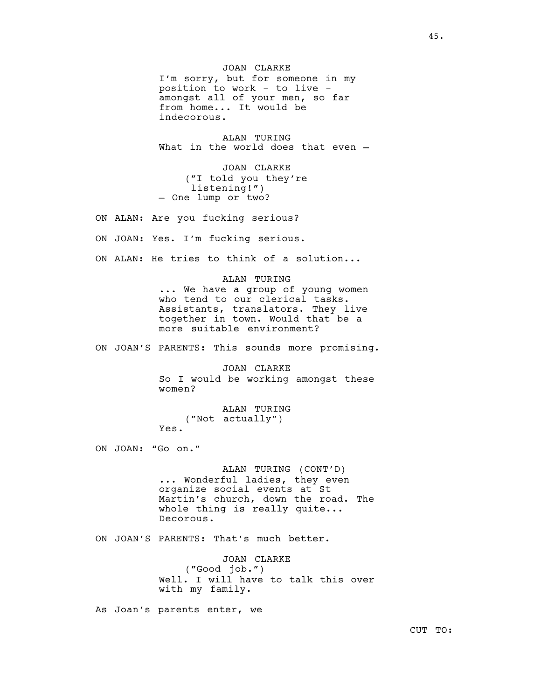JOAN CLARKE I'm sorry, but for someone in my position to work - to live amongst all of your men, so far from home... It would be indecorous.

ALAN TURING What in the world does that even -

JOAN CLARKE ("I told you they're listening!") — One lump or two?

ON ALAN: Are you fucking serious?

ON JOAN: Yes. I'm fucking serious.

ON ALAN: He tries to think of a solution...

ALAN TURING ... We have a group of young women who tend to our clerical tasks. Assistants, translators. They live together in town. Would that be a more suitable environment?

ON JOAN'S PARENTS: This sounds more promising.

JOAN CLARKE So I would be working amongst these women?

ALAN TURING ("Not actually") Yes.

ON JOAN: "Go on."

ALAN TURING (CONT'D) ... Wonderful ladies, they even organize social events at St Martin's church, down the road. The whole thing is really quite... Decorous.

ON JOAN'S PARENTS: That's much better.

JOAN CLARKE ("Good job.") Well. I will have to talk this over with my family.

As Joan's parents enter, we

CUT TO: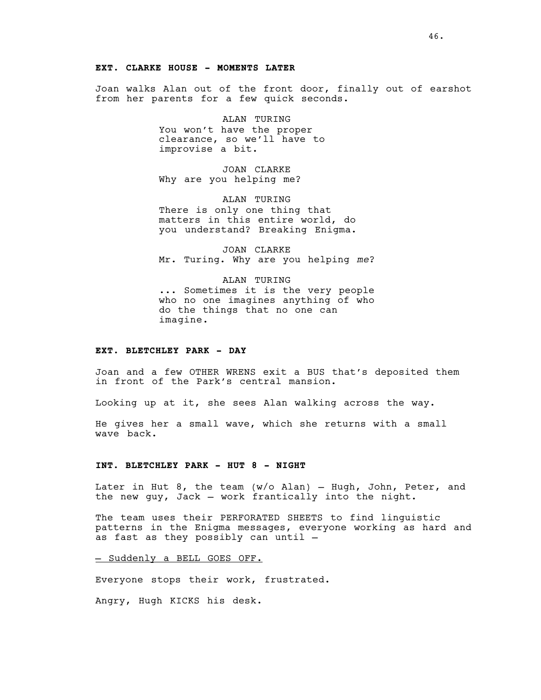46.

## **EXT. CLARKE HOUSE - MOMENTS LATER**

Joan walks Alan out of the front door, finally out of earshot from her parents for a few quick seconds.

ALAN TURING

You won't have the proper clearance, so we'll have to improvise a bit.

JOAN CLARKE Why are you helping me?

ALAN TURING There is only one thing that matters in this entire world, do you understand? Breaking Enigma.

JOAN CLARKE Mr. Turing. Why are you helping *me*?

ALAN TURING ... Sometimes it is the very people who no one imagines anything of who do the things that no one can imagine.

# **EXT. BLETCHLEY PARK - DAY**

Joan and a few OTHER WRENS exit a BUS that's deposited them in front of the Park's central mansion.

Looking up at it, she sees Alan walking across the way.

He gives her a small wave, which she returns with a small wave back.

#### **INT. BLETCHLEY PARK - HUT 8 - NIGHT**

Later in Hut 8, the team (w/o Alan) — Hugh, John, Peter, and the new guy, Jack — work frantically into the night.

The team uses their PERFORATED SHEETS to find linguistic patterns in the Enigma messages, everyone working as hard and as fast as they possibly can until —

- Suddenly a BELL GOES OFF.

Everyone stops their work, frustrated.

Angry, Hugh KICKS his desk.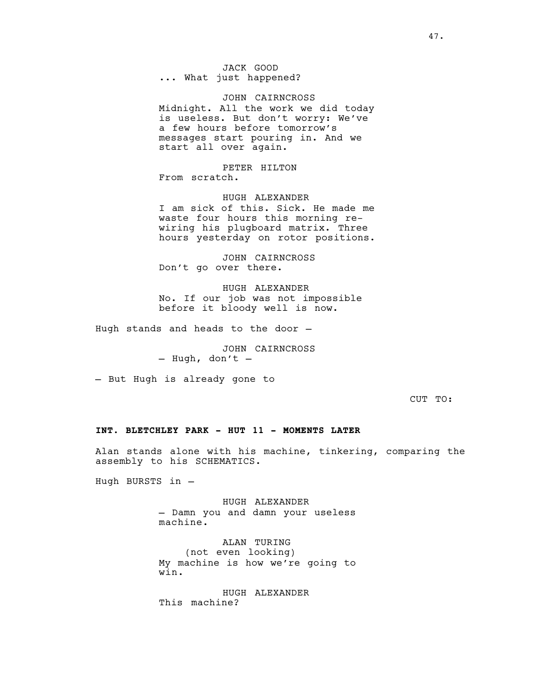JACK GOOD<br>... What just happened?

JOHN CAIRNCROSS Midnight. All the work we did today is useless. But don't worry: We've a few hours before tomorrow's messages start pouring in. And we start all over again.

PETER HILTON From scratch.

HUGH ALEXANDER I am sick of this. Sick. He made me waste four hours this morning rewiring his plugboard matrix. Three hours yesterday on rotor positions.

JOHN CAIRNCROSS Don't go over there.

HUGH ALEXANDER No. If our job was not impossible before it bloody well is now.

Hugh stands and heads to the door —

JOHN CAIRNCROSS<br>- Hugh, don't -

— But Hugh is already gone to

CUT TO:

## **INT. BLETCHLEY PARK - HUT 11 - MOMENTS LATER**

Alan stands alone with his machine, tinkering, comparing the assembly to his SCHEMATICS.

Hugh BURSTS in —

HUGH ALEXANDER — Damn you and damn your useless machine.

ALAN TURING (not even looking) My machine is how we're going to win.

HUGH ALEXANDER This machine?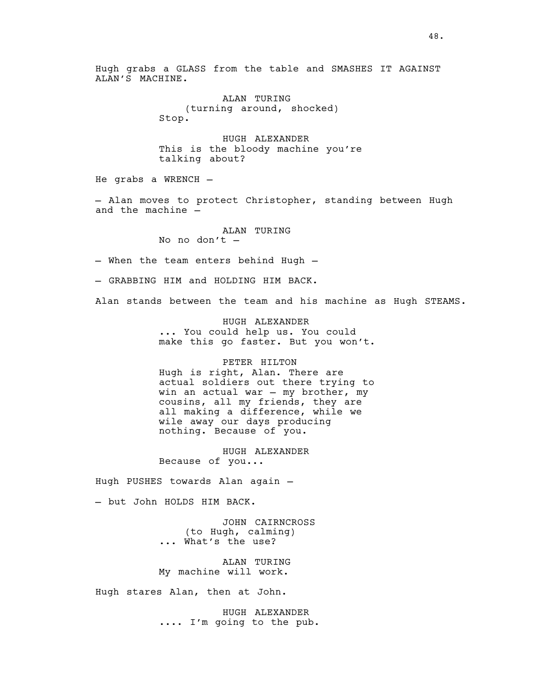Hugh grabs a GLASS from the table and SMASHES IT AGAINST ALAN'S MACHINE.

> ALAN TURING (turning around, shocked) Stop.

HUGH ALEXANDER This is the bloody machine you're talking about?

He grabs a WRENCH —

— Alan moves to protect Christopher, standing between Hugh and the machine —

ALAN TURING

No no don't —

— When the team enters behind Hugh —

— GRABBING HIM and HOLDING HIM BACK.

Alan stands between the team and his machine as Hugh STEAMS.

HUGH ALEXANDER ... You could help us. You could make this go faster. But you won't.

#### PETER HILTON

Hugh is right, Alan. There are actual soldiers out there trying to win an actual war — my brother, my cousins, all my friends, they are all making a difference, while we wile away our days producing nothing. Because of you.

HUGH ALEXANDER Because of you...

Hugh PUSHES towards Alan again —

— but John HOLDS HIM BACK.

JOHN CAIRNCROSS (to Hugh, calming) ... What's the use?

ALAN TURING My machine will work.

Hugh stares Alan, then at John.

HUGH ALEXANDER .... I'm going to the pub.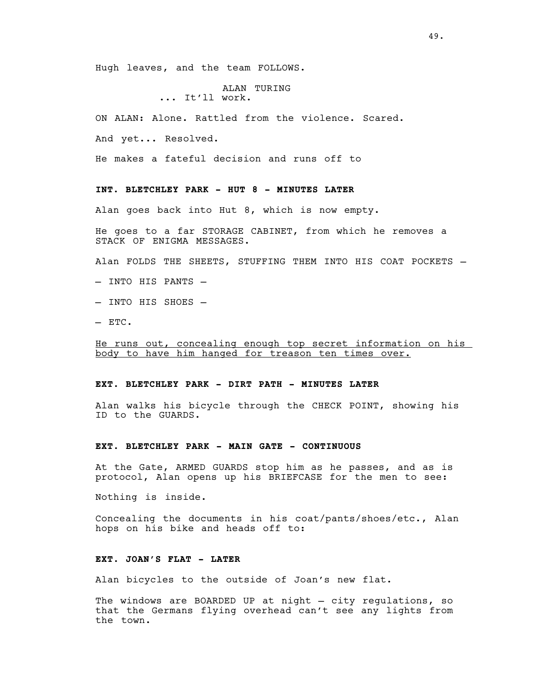Hugh leaves, and the team FOLLOWS.

ALAN TURING ... It'll work.

ON ALAN: Alone. Rattled from the violence. Scared.

And yet... Resolved.

He makes a fateful decision and runs off to

# **INT. BLETCHLEY PARK - HUT 8 - MINUTES LATER**

Alan goes back into Hut 8, which is now empty.

He goes to a far STORAGE CABINET, from which he removes a STACK OF ENIGMA MESSAGES.

Alan FOLDS THE SHEETS, STUFFING THEM INTO HIS COAT POCKETS —

— INTO HIS PANTS —

- INTO HIS SHOES —
- ETC.

He runs out, concealing enough top secret information on his body to have him hanged for treason ten times over.

# **EXT. BLETCHLEY PARK - DIRT PATH - MINUTES LATER**

Alan walks his bicycle through the CHECK POINT, showing his ID to the GUARDS.

#### **EXT. BLETCHLEY PARK - MAIN GATE - CONTINUOUS**

At the Gate, ARMED GUARDS stop him as he passes, and as is protocol, Alan opens up his BRIEFCASE for the men to see:

Nothing is inside.

Concealing the documents in his coat/pants/shoes/etc., Alan hops on his bike and heads off to:

# **EXT. JOAN'S FLAT - LATER**

Alan bicycles to the outside of Joan's new flat.

The windows are BOARDED UP at night — city regulations, so that the Germans flying overhead can't see any lights from the town.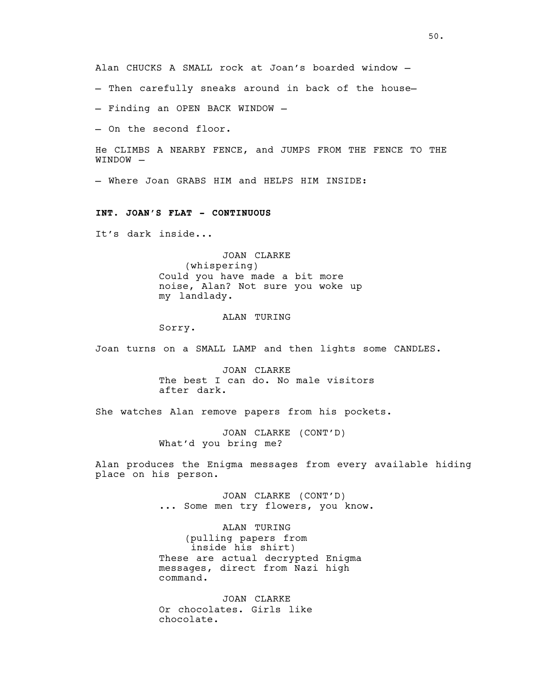Alan CHUCKS A SMALL rock at Joan's boarded window —

— Then carefully sneaks around in back of the house—

— Finding an OPEN BACK WINDOW —

— On the second floor.

He CLIMBS A NEARBY FENCE, and JUMPS FROM THE FENCE TO THE WINDOW —

— Where Joan GRABS HIM and HELPS HIM INSIDE:

#### **INT. JOAN'S FLAT - CONTINUOUS**

It's dark inside...

JOAN CLARKE (whispering) Could you have made a bit more noise, Alan? Not sure you woke up my landlady.

## ALAN TURING

Sorry.

Joan turns on a SMALL LAMP and then lights some CANDLES.

JOAN CLARKE The best I can do. No male visitors after dark.

She watches Alan remove papers from his pockets.

JOAN CLARKE (CONT'D) What'd you bring me?

Alan produces the Enigma messages from every available hiding place on his person.

> JOAN CLARKE (CONT'D) ... Some men try flowers, you know.

ALAN TURING (pulling papers from inside his shirt) These are actual decrypted Enigma messages, direct from Nazi high command.

JOAN CLARKE Or chocolates. Girls like chocolate.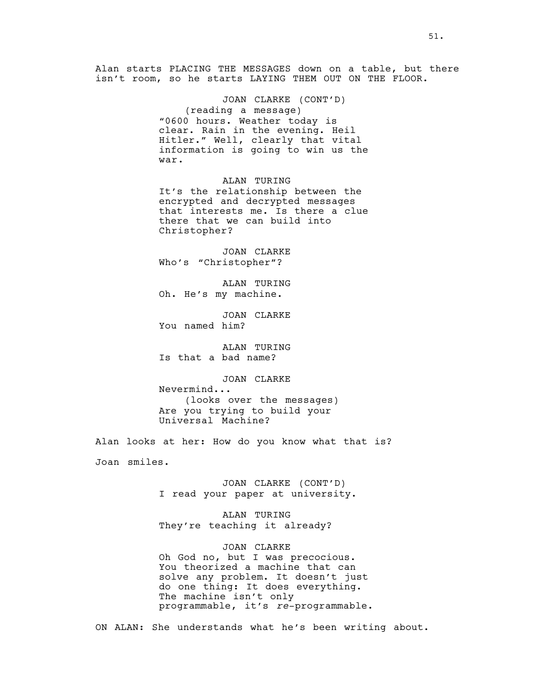Alan starts PLACING THE MESSAGES down on a table, but there isn't room, so he starts LAYING THEM OUT ON THE FLOOR.

> JOAN CLARKE (CONT'D) (reading a message) "0600 hours. Weather today is clear. Rain in the evening. Heil Hitler." Well, clearly that vital information is going to win us the war.

> ALAN TURING It's the relationship between the encrypted and decrypted messages that interests me. Is there a clue there that we can build into Christopher?

JOAN CLARKE Who's "Christopher"?

ALAN TURING Oh. He's my machine.

JOAN CLARKE You named him?

ALAN TURING Is that a bad name?

JOAN CLARKE

Nevermind... (looks over the messages) Are you trying to build your Universal Machine?

Alan looks at her: How do you know what that is? Joan smiles.

> JOAN CLARKE (CONT'D) I read your paper at university.

ALAN TURING They're teaching it already?

JOAN CLARKE Oh God no, but I was precocious. You theorized a machine that can solve any problem. It doesn't just do one thing: It does everything. The machine isn't only programmable, it's *re*-programmable.

ON ALAN: She understands what he's been writing about.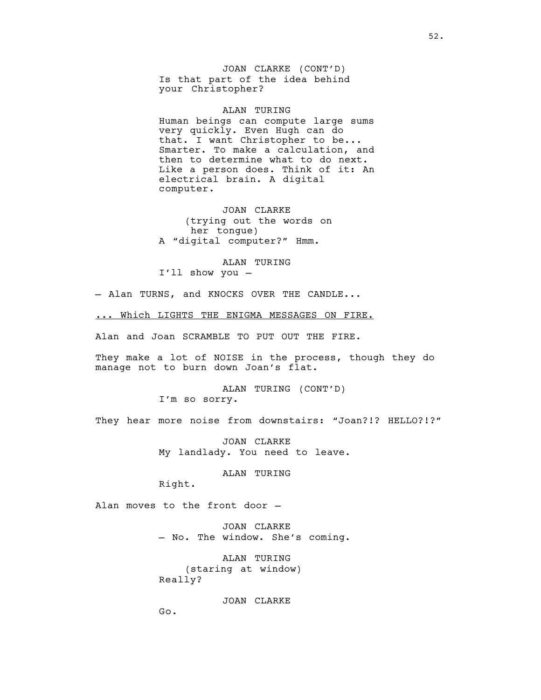JOAN CLARKE (CONT'D) Is that part of the idea behind your Christopher?

ALAN TURING Human beings can compute large sums very quickly. Even Hugh can do that. I want Christopher to be... Smarter. To make a calculation, and then to determine what to do next. Like a person does. Think of it: An electrical brain. A digital computer.

JOAN CLARKE (trying out the words on her tongue) A "digital computer?" Hmm.

ALAN TURING I'll show you —

- Alan TURNS, and KNOCKS OVER THE CANDLE...

... Which LIGHTS THE ENIGMA MESSAGES ON FIRE.

Alan and Joan SCRAMBLE TO PUT OUT THE FIRE.

They make a lot of NOISE in the process, though they do manage not to burn down Joan's flat.

> ALAN TURING (CONT'D) I'm so sorry.

They hear more noise from downstairs: "Joan?!? HELLO?!?"

JOAN CLARKE My landlady. You need to leave.

ALAN TURING

Right.

Alan moves to the front door —

JOAN CLARKE — No. The window. She's coming.

ALAN TURING (staring at window) Really?

JOAN CLARKE

Go.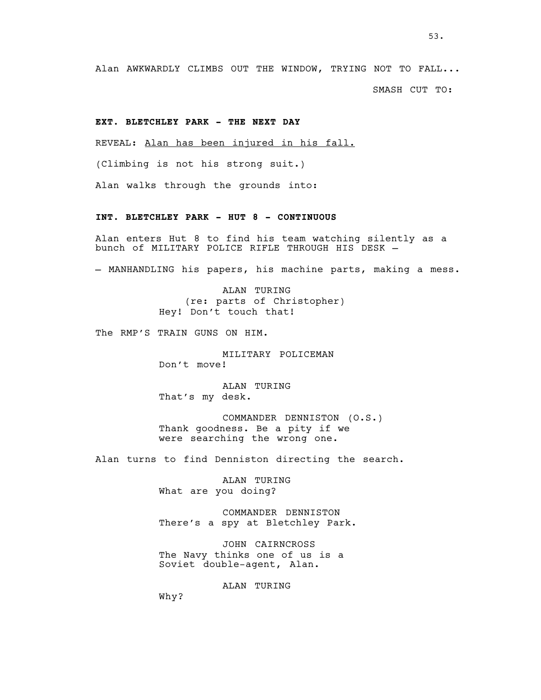Alan AWKWARDLY CLIMBS OUT THE WINDOW, TRYING NOT TO FALL...

SMASH CUT TO:

# **EXT. BLETCHLEY PARK - THE NEXT DAY**

REVEAL: Alan has been injured in his fall.

(Climbing is not his strong suit.)

Alan walks through the grounds into:

#### **INT. BLETCHLEY PARK - HUT 8 - CONTINUOUS**

Alan enters Hut 8 to find his team watching silently as a bunch of MILITARY POLICE RIFLE THROUGH HIS DESK —

— MANHANDLING his papers, his machine parts, making a mess.

ALAN TURING (re: parts of Christopher) Hey! Don't touch that!

The RMP'S TRAIN GUNS ON HIM.

MILITARY POLICEMAN Don't move!

ALAN TURING That's my desk.

COMMANDER DENNISTON (O.S.) Thank goodness. Be a pity if we were searching the wrong one.

Alan turns to find Denniston directing the search.

ALAN TURING What are you doing?

COMMANDER DENNISTON There's a spy at Bletchley Park.

JOHN CAIRNCROSS The Navy thinks one of us is a Soviet double-agent, Alan.

ALAN TURING

Why?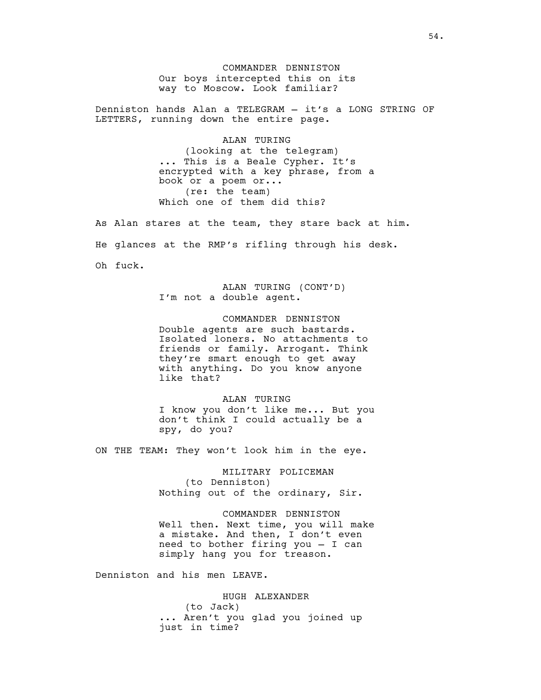COMMANDER DENNISTON Our boys intercepted this on its way to Moscow. Look familiar?

Denniston hands Alan a TELEGRAM — it's a LONG STRING OF LETTERS, running down the entire page.

> ALAN TURING (looking at the telegram) ... This is a Beale Cypher. It's encrypted with a key phrase, from a book or a poem or... (re: the team) Which one of them did this?

As Alan stares at the team, they stare back at him. He glances at the RMP's rifling through his desk. Oh fuck.

> ALAN TURING (CONT'D) I'm not a double agent.

COMMANDER DENNISTON Double agents are such bastards. Isolated loners. No attachments to friends or family. Arrogant. Think they're smart enough to get away with anything. Do you know anyone like that?

ALAN TURING I know you don't like me... But you don't think I could actually be a spy, do you?

ON THE TEAM: They won't look him in the eye.

MILITARY POLICEMAN (to Denniston) Nothing out of the ordinary, Sir.

COMMANDER DENNISTON Well then. Next time, you will make a mistake. And then, I don't even need to bother firing you — I can simply hang you for treason.

Denniston and his men LEAVE.

HUGH ALEXANDER (to Jack) ... Aren't you glad you joined up just in time?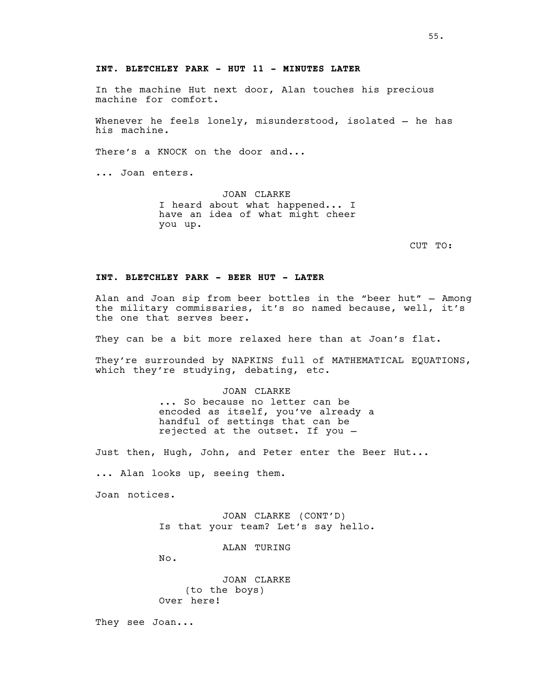# **INT. BLETCHLEY PARK - HUT 11 - MINUTES LATER**

In the machine Hut next door, Alan touches his precious machine for comfort.

Whenever he feels lonely, misunderstood, isolated — he has his machine.

There's a KNOCK on the door and...

... Joan enters.

JOAN CLARKE I heard about what happened... I have an idea of what might cheer you up.

CUT TO:

## **INT. BLETCHLEY PARK - BEER HUT - LATER**

Alan and Joan sip from beer bottles in the "beer hut" — Among the military commissaries, it's so named because, well, it's the one that serves beer.

They can be a bit more relaxed here than at Joan's flat.

They're surrounded by NAPKINS full of MATHEMATICAL EQUATIONS, which they're studying, debating, etc.

> JOAN CLARKE ... So because no letter can be encoded as itself, you've already a handful of settings that can be rejected at the outset. If you —

Just then, Hugh, John, and Peter enter the Beer Hut...

... Alan looks up, seeing them.

Joan notices.

JOAN CLARKE (CONT'D) Is that your team? Let's say hello.

ALAN TURING

No.

JOAN CLARKE (to the boys) Over here!

They see Joan...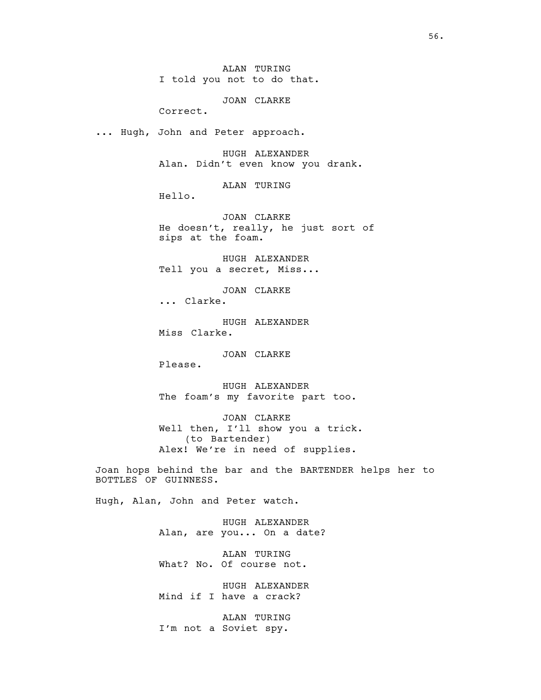ALAN TURING I told you not to do that.

JOAN CLARKE

Correct.

... Hugh, John and Peter approach.

HUGH ALEXANDER Alan. Didn't even know you drank.

ALAN TURING

Hello.

JOAN CLARKE He doesn't, really, he just sort of sips at the foam.

HUGH ALEXANDER Tell you a secret, Miss...

JOAN CLARKE ... Clarke.

HUGH ALEXANDER Miss Clarke.

JOAN CLARKE

Please.

HUGH ALEXANDER The foam's my favorite part too.

JOAN CLARKE Well then, I'll show you a trick. (to Bartender) Alex! We're in need of supplies.

Joan hops behind the bar and the BARTENDER helps her to BOTTLES OF GUINNESS.

Hugh, Alan, John and Peter watch.

HUGH ALEXANDER Alan, are you... On a date?

ALAN TURING What? No. Of course not.

HUGH ALEXANDER Mind if I have a crack?

ALAN TURING I'm not a Soviet spy.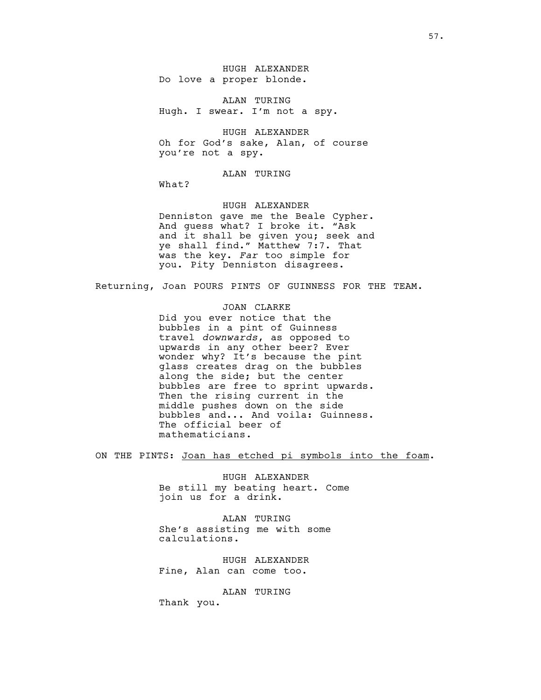HUGH ALEXANDER Do love a proper blonde.

ALAN TURING Hugh. I swear. I'm not a spy.

HUGH ALEXANDER Oh for God's sake, Alan, of course you're not a spy.

ALAN TURING

What?

HUGH ALEXANDER

Denniston gave me the Beale Cypher. And guess what? I broke it. "Ask and it shall be given you; seek and ye shall find." Matthew 7:7. That was the key. *Far* too simple for you. Pity Denniston disagrees.

Returning, Joan POURS PINTS OF GUINNESS FOR THE TEAM.

# JOAN CLARKE

Did you ever notice that the bubbles in a pint of Guinness travel *downwards*, as opposed to upwards in any other beer? Ever wonder why? It's because the pint glass creates drag on the bubbles along the side; but the center bubbles are free to sprint upwards. Then the rising current in the middle pushes down on the side bubbles and... And voila: Guinness. The official beer of mathematicians.

ON THE PINTS: Joan has etched pi symbols into the foam.

HUGH ALEXANDER Be still my beating heart. Come join us for a drink.

ALAN TURING She's assisting me with some calculations.

HUGH ALEXANDER Fine, Alan can come too.

ALAN TURING

Thank you.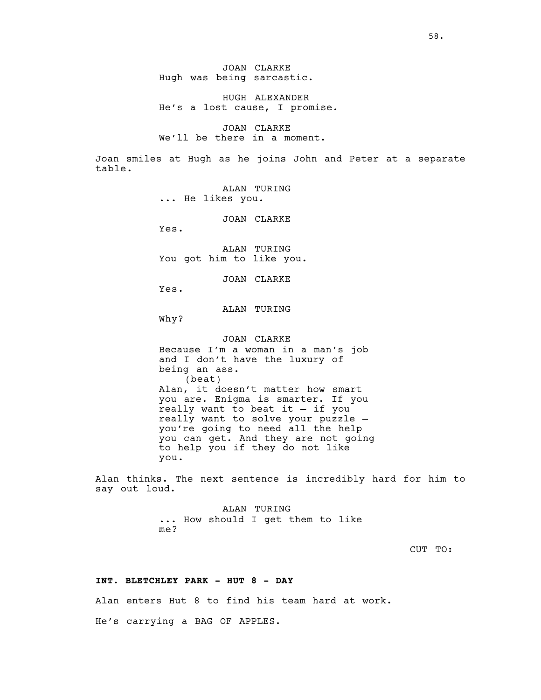JOAN CLARKE Hugh was being sarcastic.

HUGH ALEXANDER He's a lost cause, I promise.

JOAN CLARKE We'll be there in a moment.

Joan smiles at Hugh as he joins John and Peter at a separate table.

> ALAN TURING ... He likes you.

> > JOAN CLARKE

Yes.

ALAN TURING You got him to like you.

JOAN CLARKE

Yes.

# ALAN TURING

Why?

JOAN CLARKE Because I'm a woman in a man's job and I don't have the luxury of being an ass. (beat) Alan, it doesn't matter how smart you are. Enigma is smarter. If you really want to beat it — if you really want to solve your puzzle you're going to need all the help you can get. And they are not going to help you if they do not like you.

Alan thinks. The next sentence is incredibly hard for him to say out loud.

> ALAN TURING ... How should I get them to like me?

> > CUT TO:

#### **INT. BLETCHLEY PARK - HUT 8 - DAY**

Alan enters Hut 8 to find his team hard at work.

He's carrying a BAG OF APPLES.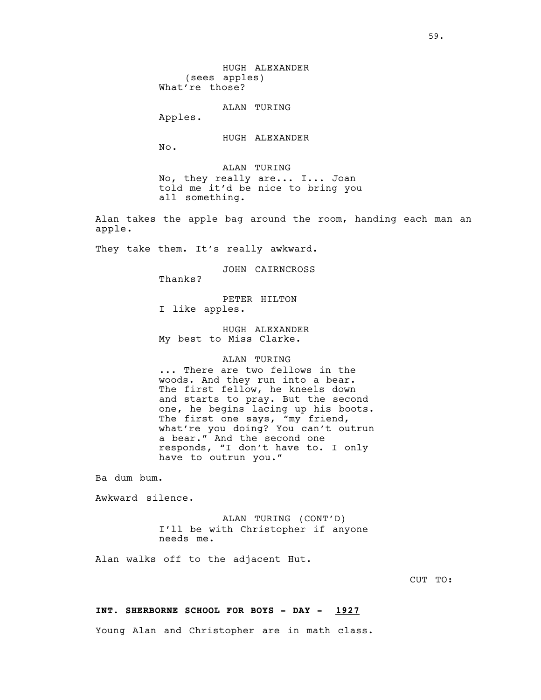(sees apples) What're those? ALAN TURING Apples. HUGH ALEXANDER No. ALAN TURING No, they really are... I... Joan told me it'd be nice to bring you all something. Alan takes the apple bag around the room, handing each man an apple. They take them. It's really awkward. JOHN CAIRNCROSS Thanks? PETER HILTON I like apples. HUGH ALEXANDER My best to Miss Clarke. ALAN TURING ... There are two fellows in the woods. And they run into a bear. The first fellow, he kneels down and starts to pray. But the second one, he begins lacing up his boots. The first one says, "my friend, what're you doing? You can't outrun a bear." And the second one responds, "I don't have to. I only have to outrun you." Ba dum bum.

HUGH ALEXANDER

Awkward silence.

ALAN TURING (CONT'D) I'll be with Christopher if anyone needs me.

Alan walks off to the adjacent Hut.

CUT TO:

# **INT. SHERBORNE SCHOOL FOR BOYS - DAY - 1927**

Young Alan and Christopher are in math class.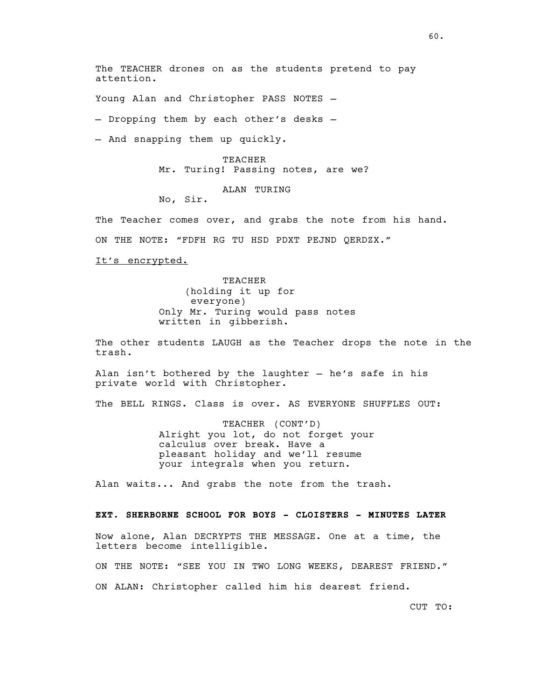The TEACHER drones on as the students pretend to pay attention.

Young Alan and Christopher PASS NOTES —

— Dropping them by each other's desks —

— And snapping them up quickly.

TEACHER Mr. Turing! Passing notes, are we?

ALAN TURING

No, Sir.

The Teacher comes over, and grabs the note from his hand.

ON THE NOTE: "FDFH RG TU HSD PDXT PEJND QERDZX."

It's encrypted.

TEACHER (holding it up for everyone) Only Mr. Turing would pass notes written in gibberish.

The other students LAUGH as the Teacher drops the note in the trash.

Alan isn't bothered by the laughter — he's safe in his private world with Christopher.

The BELL RINGS. Class is over. AS EVERYONE SHUFFLES OUT:

TEACHER (CONT'D) Alright you lot, do not forget your calculus over break. Have a pleasant holiday and we'll resume your integrals when you return.

Alan waits... And grabs the note from the trash.

#### **EXT. SHERBORNE SCHOOL FOR BOYS - CLOISTERS - MINUTES LATER**

Now alone, Alan DECRYPTS THE MESSAGE. One at a time, the letters become intelligible.

ON THE NOTE: "SEE YOU IN TWO LONG WEEKS, DEAREST FRIEND." ON ALAN: Christopher called him his dearest friend.

CUT TO: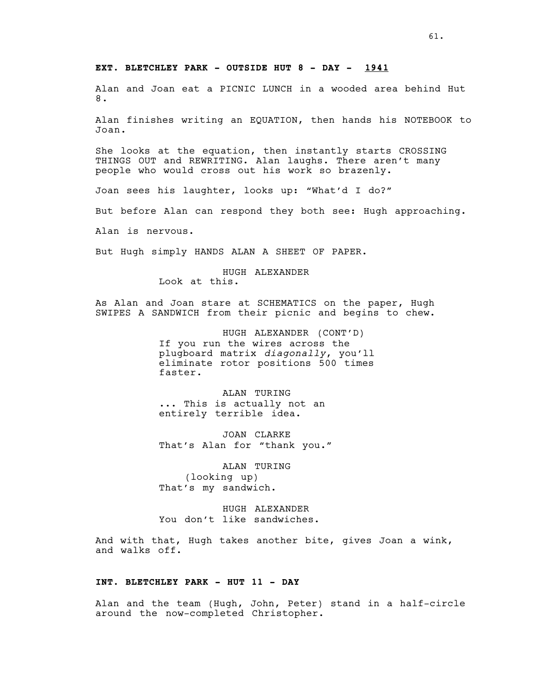#### **EXT. BLETCHLEY PARK - OUTSIDE HUT 8 - DAY - 1941**

Alan and Joan eat a PICNIC LUNCH in a wooded area behind Hut 8.

Alan finishes writing an EQUATION, then hands his NOTEBOOK to Joan.

She looks at the equation, then instantly starts CROSSING THINGS OUT and REWRITING. Alan laughs. There aren't many people who would cross out his work so brazenly.

Joan sees his laughter, looks up: "What'd I do?"

But before Alan can respond they both see: Hugh approaching.

Alan is nervous.

But Hugh simply HANDS ALAN A SHEET OF PAPER.

HUGH ALEXANDER Look at this.

As Alan and Joan stare at SCHEMATICS on the paper, Hugh SWIPES A SANDWICH from their picnic and begins to chew.

> HUGH ALEXANDER (CONT'D) If you run the wires across the plugboard matrix *diagonally*, you'll eliminate rotor positions 500 times faster.

ALAN TURING ... This is actually not an entirely terrible idea.

JOAN CLARKE That's Alan for "thank you."

ALAN TURING (looking up) That's my sandwich.

HUGH ALEXANDER You don't like sandwiches.

And with that, Hugh takes another bite, gives Joan a wink, and walks off.

#### **INT. BLETCHLEY PARK - HUT 11 - DAY**

Alan and the team (Hugh, John, Peter) stand in a half-circle around the now-completed Christopher.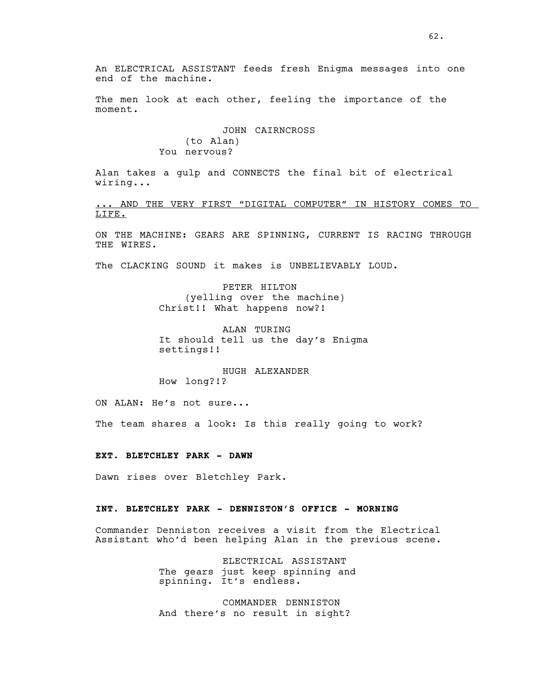The men look at each other, feeling the importance of the moment.

# JOHN CAIRNCROSS (to Alan) You nervous?

Alan takes a gulp and CONNECTS the final bit of electrical wiring...

... AND THE VERY FIRST "DIGITAL COMPUTER" IN HISTORY COMES TO LIFE.

ON THE MACHINE: GEARS ARE SPINNING, CURRENT IS RACING THROUGH THE WIRES.

The CLACKING SOUND it makes is UNBELIEVABLY LOUD.

PETER HILTON (yelling over the machine) Christ!! What happens now?!

ALAN TURING It should tell us the day's Enigma settings!!

HUGH ALEXANDER How long?!?

ON ALAN: He's not sure...

The team shares a look: Is this really going to work?

**EXT. BLETCHLEY PARK - DAWN**

Dawn rises over Bletchley Park.

## **INT. BLETCHLEY PARK - DENNISTON'S OFFICE - MORNING**

Commander Denniston receives a visit from the Electrical Assistant who'd been helping Alan in the previous scene.

> ELECTRICAL ASSISTANT The gears just keep spinning and spinning. It's endless.

COMMANDER DENNISTON And there's no result in sight?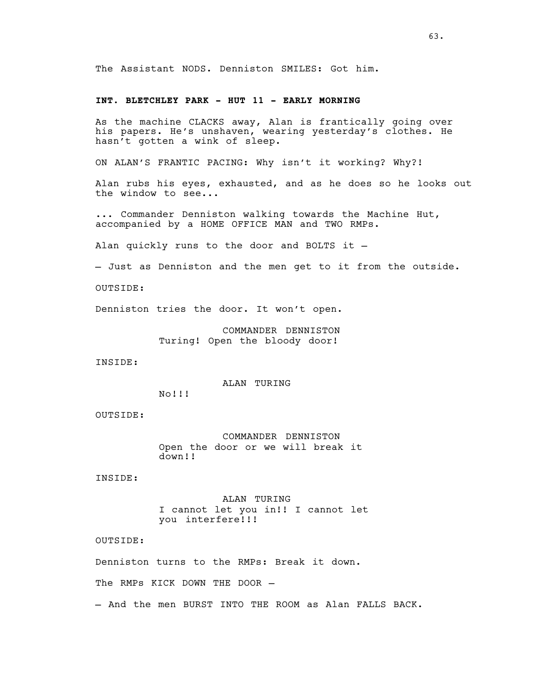The Assistant NODS. Denniston SMILES: Got him.

#### **INT. BLETCHLEY PARK - HUT 11 - EARLY MORNING**

As the machine CLACKS away, Alan is frantically going over his papers. He's unshaven, wearing yesterday's clothes. He hasn't gotten a wink of sleep.

ON ALAN'S FRANTIC PACING: Why isn't it working? Why?!

Alan rubs his eyes, exhausted, and as he does so he looks out the window to see...

... Commander Denniston walking towards the Machine Hut, accompanied by a HOME OFFICE MAN and TWO RMPs.

Alan quickly runs to the door and BOLTS it —

— Just as Denniston and the men get to it from the outside.

OUTSIDE:

Denniston tries the door. It won't open.

COMMANDER DENNISTON Turing! Open the bloody door!

INSIDE:

ALAN TURING

No!!!

OUTSIDE:

COMMANDER DENNISTON Open the door or we will break it down!!

INSIDE:

ALAN TURING I cannot let you in!! I cannot let you interfere!!!

OUTSIDE:

Denniston turns to the RMPs: Break it down.

The RMPs KICK DOWN THE DOOR —

— And the men BURST INTO THE ROOM as Alan FALLS BACK.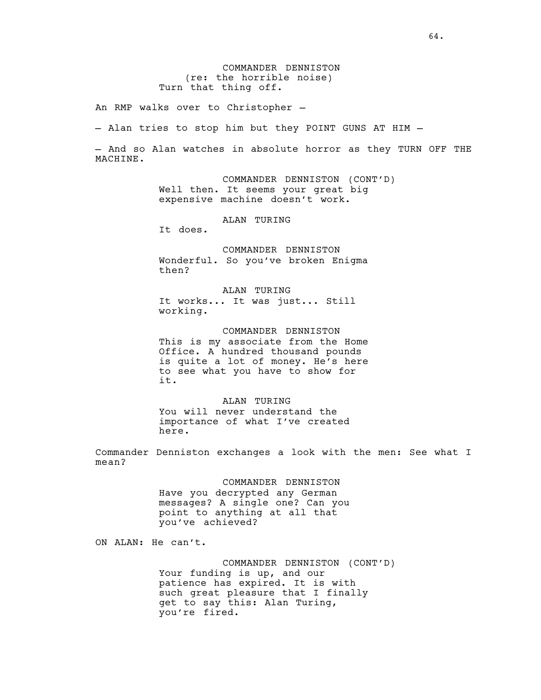COMMANDER DENNISTON (re: the horrible noise) Turn that thing off.

An RMP walks over to Christopher —

— Alan tries to stop him but they POINT GUNS AT HIM —

— And so Alan watches in absolute horror as they TURN OFF THE MACHINE.

> COMMANDER DENNISTON (CONT'D) Well then. It seems your great big expensive machine doesn't work.

> > ALAN TURING

It does.

COMMANDER DENNISTON Wonderful. So you've broken Enigma then?

ALAN TURING It works... It was just... Still working.

COMMANDER DENNISTON This is my associate from the Home Office. A hundred thousand pounds is quite a lot of money. He's here to see what you have to show for it.

ALAN TURING You will never understand the importance of what I've created here.

Commander Denniston exchanges a look with the men: See what I mean?

> COMMANDER DENNISTON Have you decrypted any German messages? A single one? Can you point to anything at all that you've achieved?

ON ALAN: He can't.

COMMANDER DENNISTON (CONT'D) Your funding is up, and our patience has expired. It is with such great pleasure that I finally get to say this: Alan Turing, you're fired.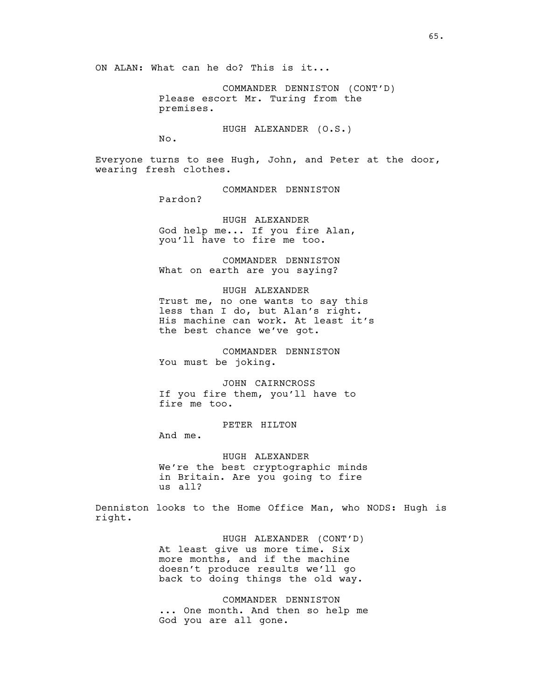ON ALAN: What can he do? This is it...

COMMANDER DENNISTON (CONT'D) Please escort Mr. Turing from the premises.

HUGH ALEXANDER (O.S.)

 $N<sub>O</sub>$ .

Everyone turns to see Hugh, John, and Peter at the door, wearing fresh clothes.

COMMANDER DENNISTON

Pardon?

HUGH ALEXANDER God help me... If you fire Alan, you'll have to fire me too.

COMMANDER DENNISTON What on earth are you saying?

HUGH ALEXANDER Trust me, no one wants to say this less than I do, but Alan's right. His machine can work. At least it's

the best chance we've got.

COMMANDER DENNISTON You must be joking.

JOHN CAIRNCROSS If you fire them, you'll have to fire me too.

PETER HILTON

And me.

HUGH ALEXANDER We're the best cryptographic minds in Britain. Are you going to fire us all?

Denniston looks to the Home Office Man, who NODS: Hugh is right.

> HUGH ALEXANDER (CONT'D) At least give us more time. Six more months, and if the machine doesn't produce results we'll go back to doing things the old way.

COMMANDER DENNISTON ... One month. And then so help me God you are all gone.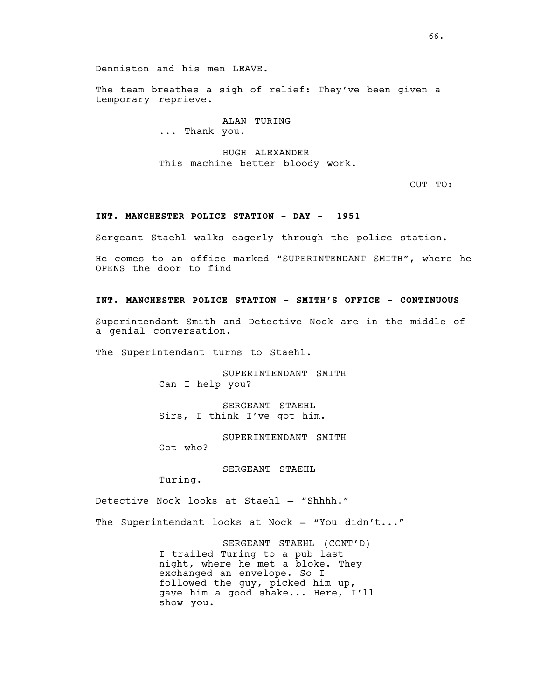Denniston and his men LEAVE.

The team breathes a sigh of relief: They've been given a temporary reprieve.

> ALAN TURING ... Thank you.

HUGH ALEXANDER This machine better bloody work.

CUT TO:

# **INT. MANCHESTER POLICE STATION - DAY - 1951**

Sergeant Staehl walks eagerly through the police station.

He comes to an office marked "SUPERINTENDANT SMITH", where he OPENS the door to find

#### **INT. MANCHESTER POLICE STATION - SMITH'S OFFICE - CONTINUOUS**

Superintendant Smith and Detective Nock are in the middle of a genial conversation.

The Superintendant turns to Staehl.

SUPERINTENDANT SMITH Can I help you?

SERGEANT STAEHL Sirs, I think I've got him.

SUPERINTENDANT SMITH

Got who?

SERGEANT STAEHL

Turing.

Detective Nock looks at Staehl — "Shhhh!"

The Superintendant looks at Nock - "You didn't..."

SERGEANT STAEHL (CONT'D) I trailed Turing to a pub last night, where he met a bloke. They exchanged an envelope. So I followed the guy, picked him up, gave him a good shake... Here, I'll show you.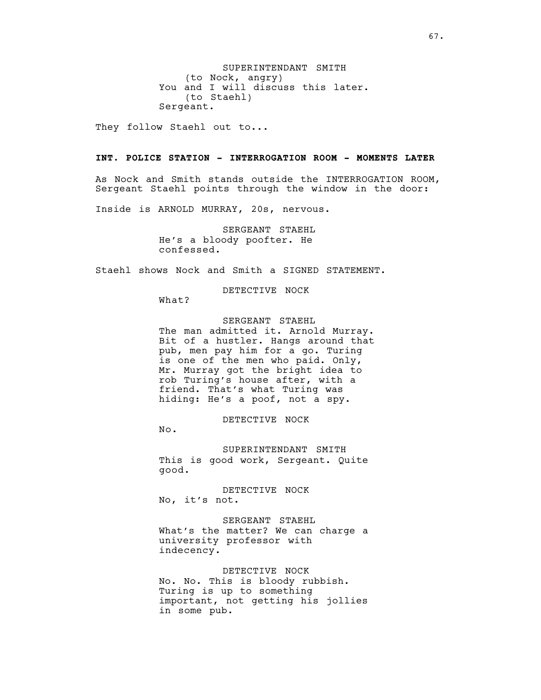SUPERINTENDANT SMITH (to Nock, angry) You and I will discuss this later. (to Staehl) Sergeant.

They follow Staehl out to...

## **INT. POLICE STATION - INTERROGATION ROOM - MOMENTS LATER**

As Nock and Smith stands outside the INTERROGATION ROOM, Sergeant Staehl points through the window in the door:

Inside is ARNOLD MURRAY, 20s, nervous.

SERGEANT STAEHL He's a bloody poofter. He confessed.

Staehl shows Nock and Smith a SIGNED STATEMENT.

DETECTIVE NOCK

What?

# SERGEANT STAEHL

The man admitted it. Arnold Murray. Bit of a hustler. Hangs around that pub, men pay him for a go. Turing is one of the men who paid. Only, Mr. Murray got the bright idea to rob Turing's house after, with a friend. That's what Turing was hiding: He's a poof, not a spy.

DETECTIVE NOCK

No.

SUPERINTENDANT SMITH This is good work, Sergeant. Quite good.

DETECTIVE NOCK No, it's not.

SERGEANT STAEHL What's the matter? We can charge a university professor with indecency.

DETECTIVE NOCK

No. No. This is bloody rubbish. Turing is up to something important, not getting his jollies in some pub.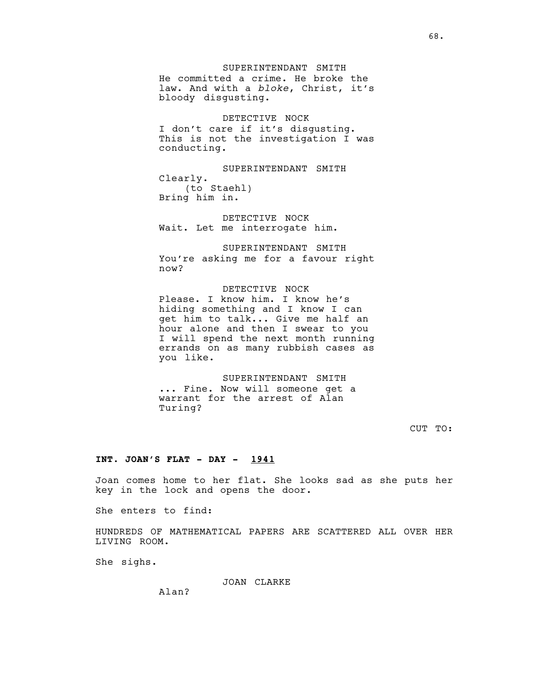#### SUPERINTENDANT SMITH

He committed a crime. He broke the law. And with a *bloke*, Christ, it's bloody disgusting.

#### DETECTIVE NOCK

I don't care if it's disgusting. This is not the investigation I was conducting.

SUPERINTENDANT SMITH Clearly. (to Staehl) Bring him in.

DETECTIVE NOCK Wait. Let me interrogate him.

SUPERINTENDANT SMITH You're asking me for a favour right now?

## DETECTIVE NOCK

Please. I know him. I know he's hiding something and I know I can get him to talk... Give me half an hour alone and then I swear to you I will spend the next month running errands on as many rubbish cases as you like.

## SUPERINTENDANT SMITH

... Fine. Now will someone get a warrant for the arrest of Alan Turing?

CUT TO:

#### **INT. JOAN'S FLAT - DAY - 1941**

Joan comes home to her flat. She looks sad as she puts her key in the lock and opens the door.

She enters to find:

HUNDREDS OF MATHEMATICAL PAPERS ARE SCATTERED ALL OVER HER LIVING ROOM.

She sighs.

JOAN CLARKE

Alan?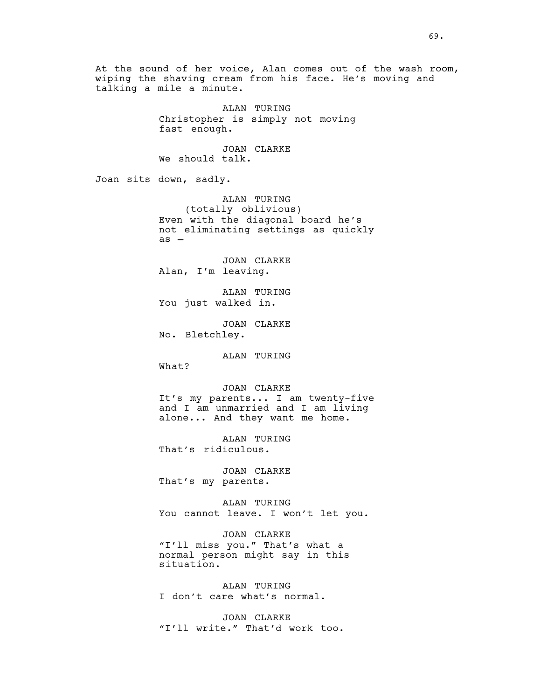At the sound of her voice, Alan comes out of the wash room, wiping the shaving cream from his face. He's moving and talking a mile a minute. ALAN TURING Christopher is simply not moving fast enough. JOAN CLARKE We should talk. Joan sits down, sadly. ALAN TURING (totally oblivious) Even with the diagonal board he's not eliminating settings as quickly as — JOAN CLARKE Alan, I'm leaving. ALAN TURING You just walked in. JOAN CLARKE No. Bletchley. ALAN TURING What? JOAN CLARKE It's my parents... I am twenty-five and I am unmarried and I am living alone... And they want me home. ALAN TURING That's ridiculous. JOAN CLARKE That's my parents. ALAN TURING You cannot leave. I won't let you. JOAN CLARKE "I'll miss you." That's what a normal person might say in this situation. ALAN TURING I don't care what's normal. JOAN CLARKE "I'll write." That'd work too.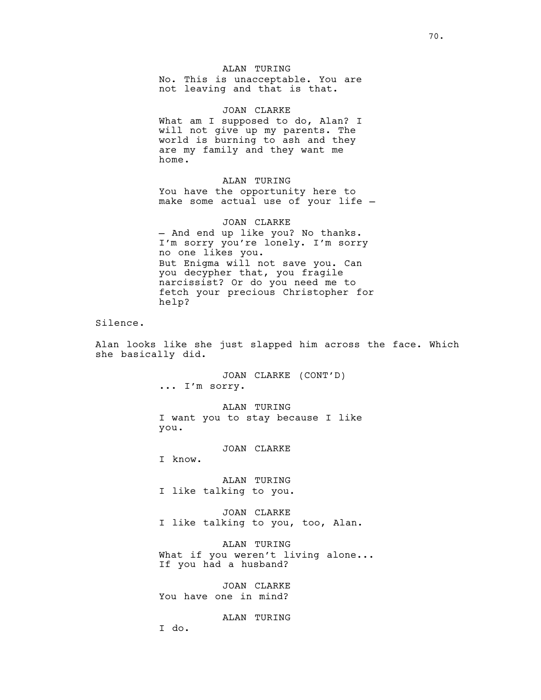ALAN TURING No. This is unacceptable. You are not leaving and that is that.

JOAN CLARKE What am I supposed to do, Alan? I will not give up my parents. The world is burning to ash and they are my family and they want me home.

ALAN TURING You have the opportunity here to make some actual use of your life —

JOAN CLARKE — And end up like you? No thanks. I'm sorry you're lonely. I'm sorry no one likes you. But Enigma will not save you. Can you decypher that, you fragile narcissist? Or do you need me to fetch your precious Christopher for help?

Silence.

Alan looks like she just slapped him across the face. Which she basically did.

> JOAN CLARKE (CONT'D) ... I'm sorry.

ALAN TURING I want you to stay because I like you.

JOAN CLARKE

I know.

ALAN TURING I like talking to you.

JOAN CLARKE I like talking to you, too, Alan.

ALAN TURING What if you weren't living alone... If you had a husband?

JOAN CLARKE You have one in mind?

ALAN TURING

I do.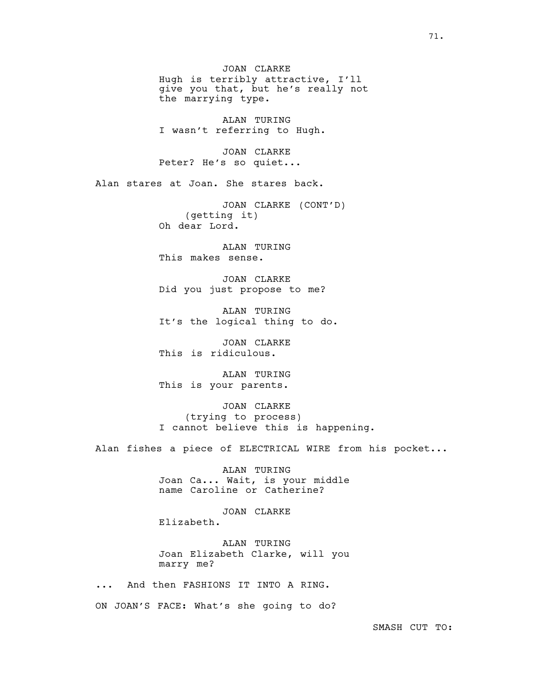JOAN CLARKE Hugh is terribly attractive, I'll give you that, but he's really not the marrying type.

ALAN TURING I wasn't referring to Hugh.

JOAN CLARKE Peter? He's so quiet...

Alan stares at Joan. She stares back.

JOAN CLARKE (CONT'D) (getting it) Oh dear Lord.

ALAN TURING This makes sense.

JOAN CLARKE Did you just propose to me?

ALAN TURING It's the logical thing to do.

JOAN CLARKE This is ridiculous.

ALAN TURING This is your parents.

JOAN CLARKE (trying to process) I cannot believe this is happening.

Alan fishes a piece of ELECTRICAL WIRE from his pocket...

ALAN TURING Joan Ca... Wait, is your middle name Caroline or Catherine?

JOAN CLARKE

Elizabeth.

ALAN TURING Joan Elizabeth Clarke, will you marry me?

... And then FASHIONS IT INTO A RING.

ON JOAN'S FACE: What's she going to do?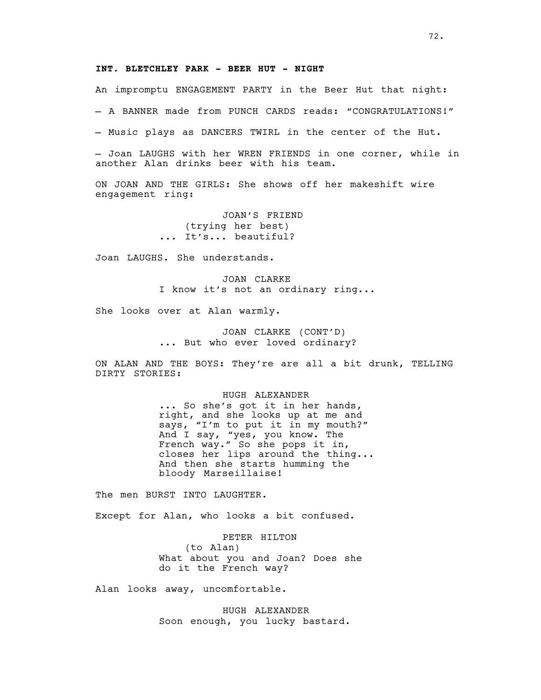### **INT. BLETCHLEY PARK - BEER HUT - NIGHT**

An impromptu ENGAGEMENT PARTY in the Beer Hut that night:

— A BANNER made from PUNCH CARDS reads: "CONGRATULATIONS!"

— Music plays as DANCERS TWIRL in the center of the Hut.

— Joan LAUGHS with her WREN FRIENDS in one corner, while in another Alan drinks beer with his team.

ON JOAN AND THE GIRLS: She shows off her makeshift wire engagement ring:

> JOAN'S FRIEND (trying her best) ... It's... beautiful?

Joan LAUGHS. She understands.

JOAN CLARKE I know it's not an ordinary ring...

She looks over at Alan warmly.

JOAN CLARKE (CONT'D) ... But who ever loved ordinary?

ON ALAN AND THE BOYS: They're are all a bit drunk, TELLING DIRTY STORIES:

#### HUGH ALEXANDER

... So she's got it in her hands, right, and she looks up at me and says, "I'm to put it in my mouth?" And I say, "yes, you know. The French way." So she pops it in, closes her lips around the thing... And then she starts humming the bloody Marseillaise!

The men BURST INTO LAUGHTER.

Except for Alan, who looks a bit confused.

PETER HILTON (to Alan) What about you and Joan? Does she do it the French way?

Alan looks away, uncomfortable.

HUGH ALEXANDER Soon enough, you lucky bastard.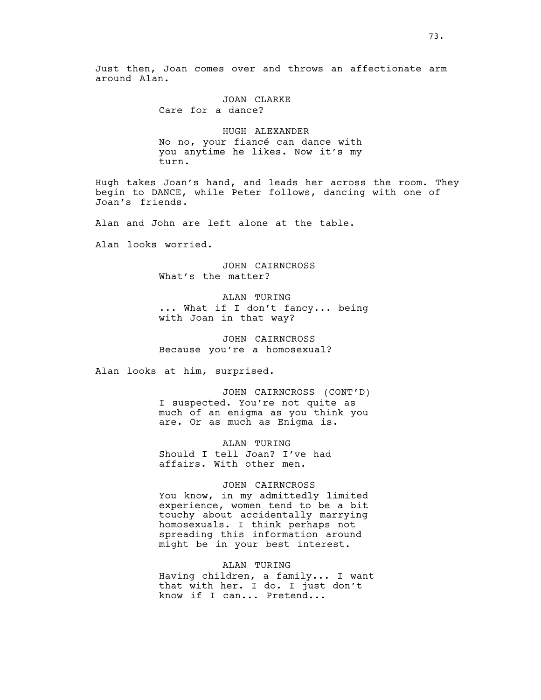Just then, Joan comes over and throws an affectionate arm around Alan.

> JOAN CLARKE Care for a dance?

HUGH ALEXANDER No no, your fiancé can dance with you anytime he likes. Now it's my turn.

Hugh takes Joan's hand, and leads her across the room. They begin to DANCE, while Peter follows, dancing with one of Joan's friends.

Alan and John are left alone at the table.

Alan looks worried.

JOHN CAIRNCROSS What's the matter?

ALAN TURING ... What if I don't fancy... being with Joan in that way?

JOHN CAIRNCROSS Because you're a homosexual?

Alan looks at him, surprised.

JOHN CAIRNCROSS (CONT'D) I suspected. You're not quite as much of an enigma as you think you are. Or as much as Enigma is.

ALAN TURING Should I tell Joan? I've had affairs. With other men.

#### JOHN CAIRNCROSS

You know, in my admittedly limited experience, women tend to be a bit touchy about accidentally marrying homosexuals. I think perhaps not spreading this information around might be in your best interest.

### ALAN TURING

Having children, a family... I want that with her. I do. I just don't know if I can... Pretend...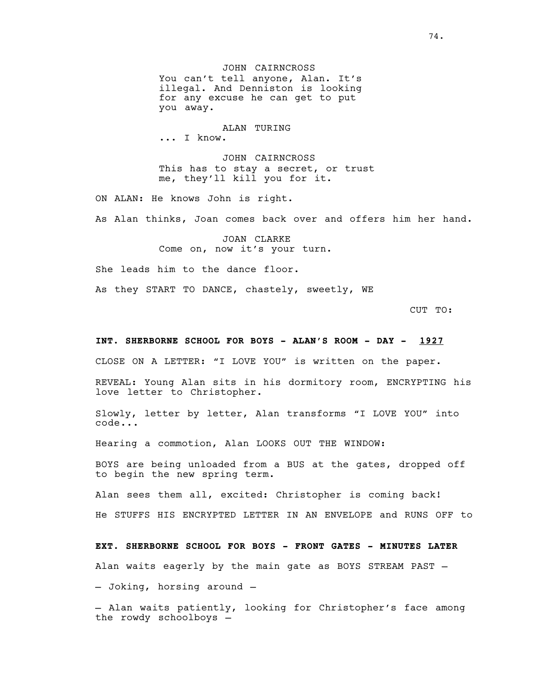JOHN CAIRNCROSS You can't tell anyone, Alan. It's illegal. And Denniston is looking for any excuse he can get to put you away.

#### ALAN TURING

... I know.

JOHN CAIRNCROSS This has to stay a secret, or trust me, they'll kill you for it.

ON ALAN: He knows John is right.

As Alan thinks, Joan comes back over and offers him her hand.

JOAN CLARKE Come on, now it's your turn.

She leads him to the dance floor.

As they START TO DANCE, chastely, sweetly, WE

CUT TO:

### **INT. SHERBORNE SCHOOL FOR BOYS - ALAN'S ROOM - DAY - 1927**

CLOSE ON A LETTER: "I LOVE YOU" is written on the paper.

REVEAL: Young Alan sits in his dormitory room, ENCRYPTING his love letter to Christopher.

Slowly, letter by letter, Alan transforms "I LOVE YOU" into code...

Hearing a commotion, Alan LOOKS OUT THE WINDOW:

BOYS are being unloaded from a BUS at the gates, dropped off to begin the new spring term.

Alan sees them all, excited: Christopher is coming back! He STUFFS HIS ENCRYPTED LETTER IN AN ENVELOPE and RUNS OFF to

**EXT. SHERBORNE SCHOOL FOR BOYS - FRONT GATES - MINUTES LATER** Alan waits eagerly by the main gate as BOYS STREAM PAST — — Joking, horsing around —

— Alan waits patiently, looking for Christopher's face among the rowdy schoolboys —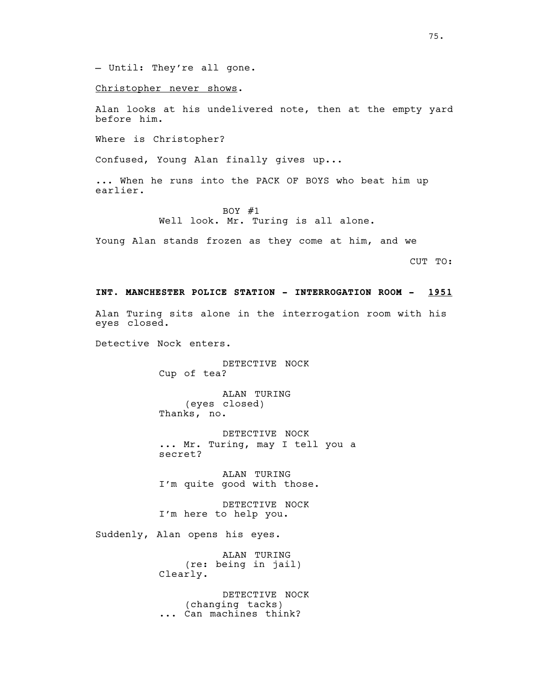— Until: They're all gone.

Christopher never shows.

Alan looks at his undelivered note, then at the empty yard before him.

Where is Christopher?

Confused, Young Alan finally gives up...

... When he runs into the PACK OF BOYS who beat him up earlier.

> BOY #1 Well look. Mr. Turing is all alone.

Young Alan stands frozen as they come at him, and we

CUT TO:

### **INT. MANCHESTER POLICE STATION - INTERROGATION ROOM - 1951**

Alan Turing sits alone in the interrogation room with his eyes closed.

Detective Nock enters.

DETECTIVE NOCK Cup of tea?

ALAN TURING (eyes closed) Thanks, no.

DETECTIVE NOCK ... Mr. Turing, may I tell you a secret?

ALAN TURING I'm quite good with those.

DETECTIVE NOCK I'm here to help you.

Suddenly, Alan opens his eyes.

ALAN TURING (re: being in jail) Clearly.

DETECTIVE NOCK (changing tacks) ... Can machines think?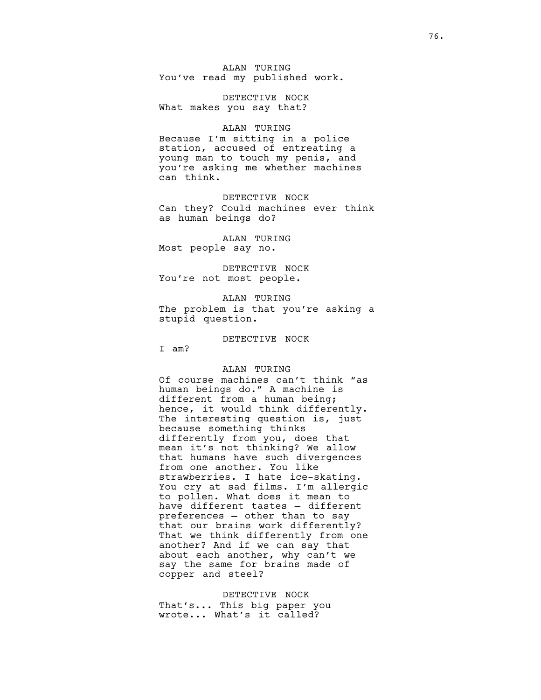ALAN TURING You've read my published work.

DETECTIVE NOCK What makes you say that?

#### ALAN TURING

Because I'm sitting in a police station, accused of entreating a young man to touch my penis, and you're asking me whether machines can think.

DETECTIVE NOCK Can they? Could machines ever think as human beings do?

ALAN TURING Most people say no.

DETECTIVE NOCK You're not most people.

ALAN TURING

The problem is that you're asking a stupid question.

DETECTIVE NOCK

I am?

#### ALAN TURING

Of course machines can't think "as human beings do." A machine is different from a human being; hence, it would think differently. The interesting question is, just because something thinks differently from you, does that mean it's not thinking? We allow that humans have such divergences from one another. You like strawberries. I hate ice-skating. You cry at sad films. I'm allergic to pollen. What does it mean to have different tastes — different preferences — other than to say that our brains work differently? That we think differently from one another? And if we can say that about each another, why can't we say the same for brains made of copper and steel?

DETECTIVE NOCK That's... This big paper you wrote... What's it called?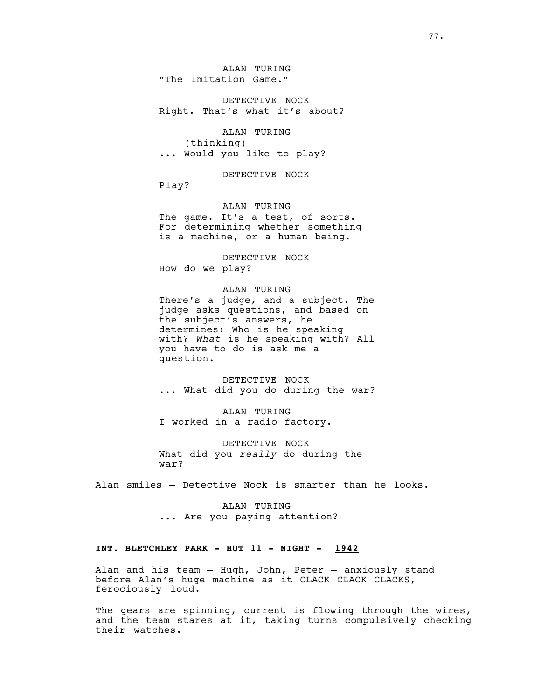ALAN TURING "The Imitation Game."

DETECTIVE NOCK Right. That's what it's about?

ALAN TURING (thinking) ... Would you like to play?

DETECTIVE NOCK

Play?

### ALAN TURING

The game. It's a test, of sorts. For determining whether something is a machine, or a human being.

DETECTIVE NOCK How do we play?

### ALAN TURING

There's a judge, and a subject. The judge asks questions, and based on the subject's answers, he determines: Who is he speaking with? *What* is he speaking with? All you have to do is ask me a question.

DETECTIVE NOCK ... What did you do during the war?

ALAN TURING I worked in a radio factory.

DETECTIVE NOCK What did you *really* do during the war?

Alan smiles — Detective Nock is smarter than he looks.

ALAN TURING ... Are you paying attention?

#### **INT. BLETCHLEY PARK - HUT 11 - NIGHT - 1942**

Alan and his team — Hugh, John, Peter — anxiously stand before Alan's huge machine as it CLACK CLACK CLACKS, ferociously loud.

The gears are spinning, current is flowing through the wires, and the team stares at it, taking turns compulsively checking their watches.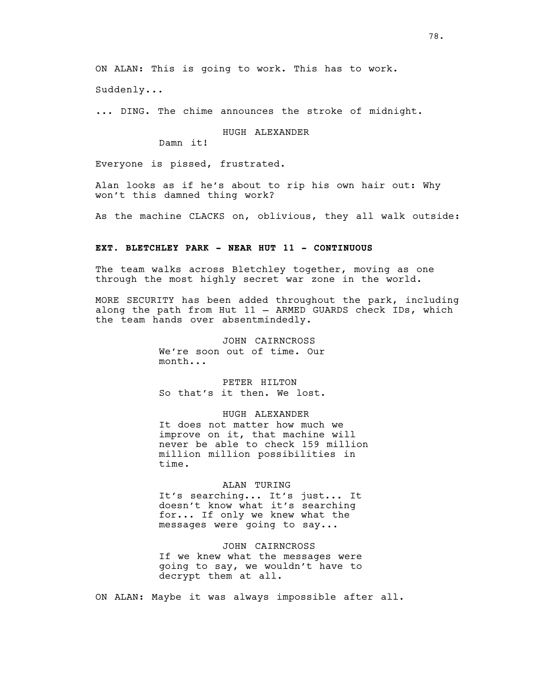ON ALAN: This is going to work. This has to work.

Suddenly...

... DING. The chime announces the stroke of midnight.

HUGH ALEXANDER

Damn it!

Everyone is pissed, frustrated.

Alan looks as if he's about to rip his own hair out: Why won't this damned thing work?

As the machine CLACKS on, oblivious, they all walk outside:

## **EXT. BLETCHLEY PARK - NEAR HUT 11 - CONTINUOUS**

The team walks across Bletchley together, moving as one through the most highly secret war zone in the world.

MORE SECURITY has been added throughout the park, including along the path from Hut 11 — ARMED GUARDS check IDs, which the team hands over absentmindedly.

> JOHN CAIRNCROSS We're soon out of time. Our month...

> PETER HILTON So that's it then. We lost.

> > HUGH ALEXANDER

It does not matter how much we improve on it, that machine will never be able to check 159 million million million possibilities in time.

ALAN TURING

It's searching... It's just... It doesn't know what it's searching for... If only we knew what the messages were going to say...

JOHN CAIRNCROSS If we knew what the messages were going to say, we wouldn't have to decrypt them at all.

ON ALAN: Maybe it was always impossible after all.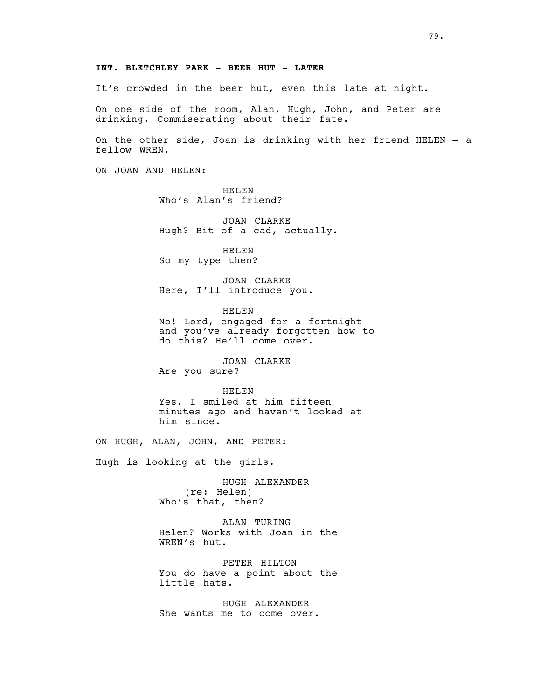### **INT. BLETCHLEY PARK - BEER HUT - LATER**

It's crowded in the beer hut, even this late at night.

On one side of the room, Alan, Hugh, John, and Peter are drinking. Commiserating about their fate.

On the other side, Joan is drinking with her friend HELEN — a fellow WREN.

ON JOAN AND HELEN:

HELEN Who's Alan's friend?

JOAN CLARKE Hugh? Bit of a cad, actually.

HELEN So my type then?

JOAN CLARKE Here, I'll introduce you.

HELEN No! Lord, engaged for a fortnight and you've already forgotten how to do this? He'll come over.

JOAN CLARKE Are you sure?

HELEN Yes. I smiled at him fifteen minutes ago and haven't looked at him since.

ON HUGH, ALAN, JOHN, AND PETER:

Hugh is looking at the girls.

HUGH ALEXANDER (re: Helen) Who's that, then?

ALAN TURING Helen? Works with Joan in the WREN's hut.

PETER HILTON You do have a point about the little hats.

HUGH ALEXANDER She wants me to come over.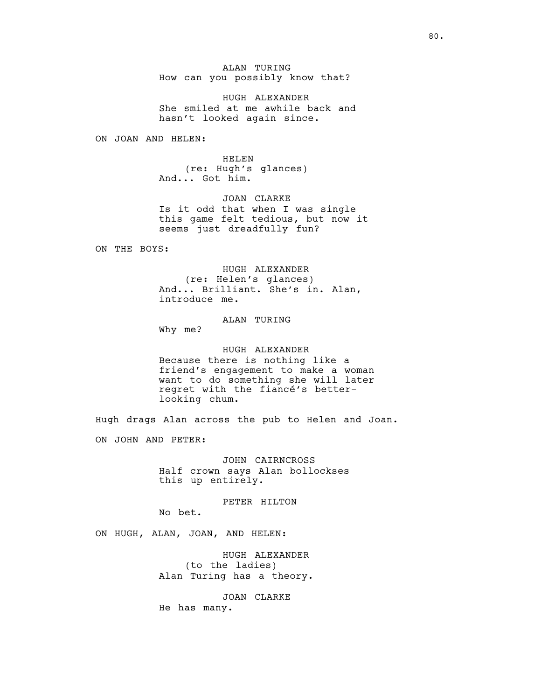ALAN TURING How can you possibly know that?

HUGH ALEXANDER She smiled at me awhile back and hasn't looked again since.

ON JOAN AND HELEN:

HELEN (re: Hugh's glances) And... Got him.

JOAN CLARKE Is it odd that when I was single this game felt tedious, but now it seems just dreadfully fun?

ON THE BOYS:

HUGH ALEXANDER (re: Helen's glances) And... Brilliant. She's in. Alan, introduce me.

ALAN TURING

Why me?

### HUGH ALEXANDER

Because there is nothing like a friend's engagement to make a woman want to do something she will later regret with the fiancé's betterlooking chum.

Hugh drags Alan across the pub to Helen and Joan.

ON JOHN AND PETER:

JOHN CAIRNCROSS Half crown says Alan bollockses this up entirely.

PETER HILTON

No bet.

ON HUGH, ALAN, JOAN, AND HELEN:

HUGH ALEXANDER (to the ladies) Alan Turing has a theory.

JOAN CLARKE He has many.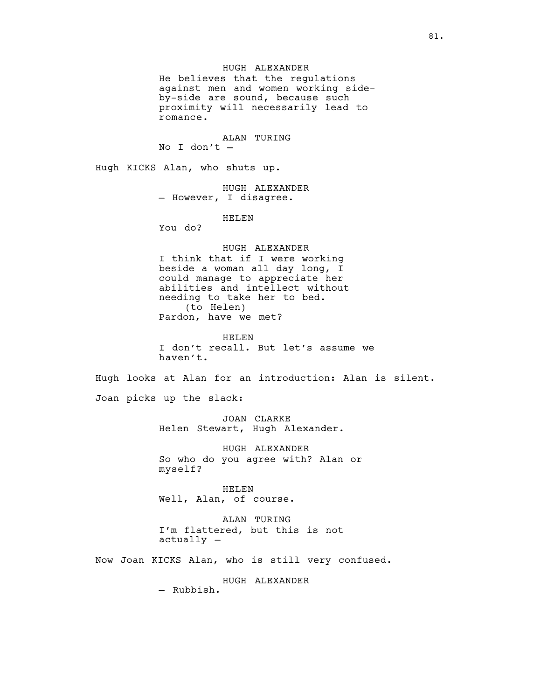### HUGH ALEXANDER

He believes that the regulations against men and women working sideby-side are sound, because such proximity will necessarily lead to romance.

ALAN TURING

No I don't —

Hugh KICKS Alan, who shuts up.

HUGH ALEXANDER — However, I disagree.

HELEN

You do?

## HUGH ALEXANDER

I think that if I were working beside a woman all day long, I could manage to appreciate her abilities and intellect without needing to take her to bed. (to Helen) Pardon, have we met?

HELEN

I don't recall. But let's assume we haven't.

Hugh looks at Alan for an introduction: Alan is silent.

Joan picks up the slack:

JOAN CLARKE Helen Stewart, Hugh Alexander.

HUGH ALEXANDER So who do you agree with? Alan or myself?

HELEN Well, Alan, of course.

ALAN TURING I'm flattered, but this is not actually —

Now Joan KICKS Alan, who is still very confused.

HUGH ALEXANDER

— Rubbish.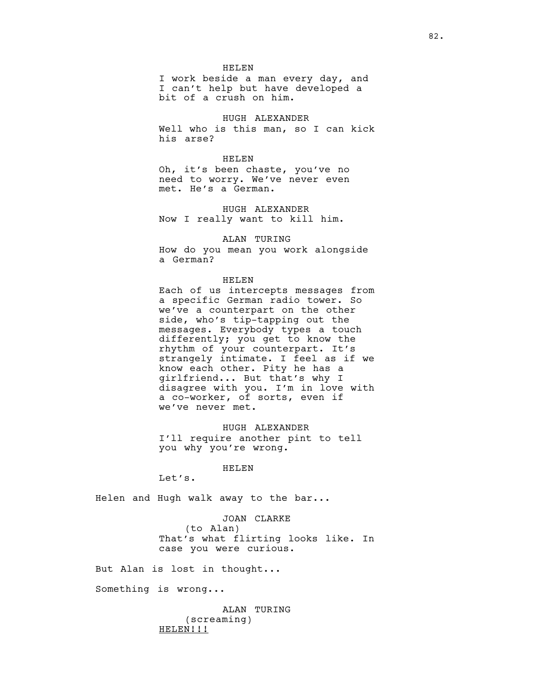HELEN

I work beside a man every day, and I can't help but have developed a bit of a crush on him.

#### HUGH ALEXANDER

Well who is this man, so I can kick his arse?

#### HELEN

Oh, it's been chaste, you've no need to worry. We've never even met. He's a German.

HUGH ALEXANDER Now I really want to kill him.

#### ALAN TURING

How do you mean you work alongside a German?

#### HELEN

Each of us intercepts messages from a specific German radio tower. So we've a counterpart on the other side, who's tip-tapping out the messages. Everybody types a touch differently; you get to know the rhythm of your counterpart. It's strangely intimate. I feel as if we know each other. Pity he has a girlfriend... But that's why I disagree with you. I'm in love with a co-worker, of sorts, even if we've never met.

HUGH ALEXANDER I'll require another pint to tell you why you're wrong.

#### HELEN

Let's.

Helen and Hugh walk away to the bar...

JOAN CLARKE (to Alan) That's what flirting looks like. In case you were curious.

But Alan is lost in thought...

Something is wrong...

ALAN TURING (screaming) HELEN!!!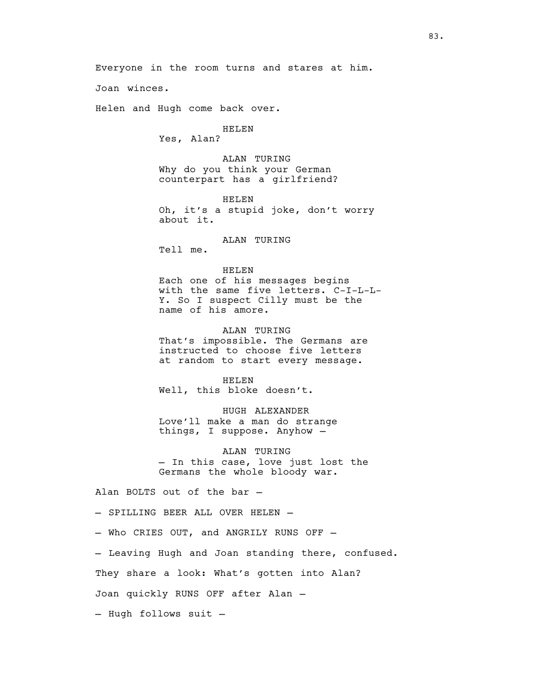Joan winces.

Helen and Hugh come back over.

HELEN Yes, Alan?

ALAN TURING Why do you think your German counterpart has a girlfriend?

Everyone in the room turns and stares at him.

HELEN Oh, it's a stupid joke, don't worry about it.

### ALAN TURING

Tell me.

HELEN

Each one of his messages begins with the same five letters. C-I-L-L-Y. So I suspect Cilly must be the name of his amore.

ALAN TURING

That's impossible. The Germans are instructed to choose five letters at random to start every message.

HELEN Well, this bloke doesn't.

HUGH ALEXANDER Love'll make a man do strange things, I suppose. Anyhow —

ALAN TURING - In this case, love just lost the Germans the whole bloody war.

Alan BOLTS out of the bar —

— SPILLING BEER ALL OVER HELEN —

— Who CRIES OUT, and ANGRILY RUNS OFF —

— Leaving Hugh and Joan standing there, confused.

They share a look: What's gotten into Alan?

Joan quickly RUNS OFF after Alan —

— Hugh follows suit —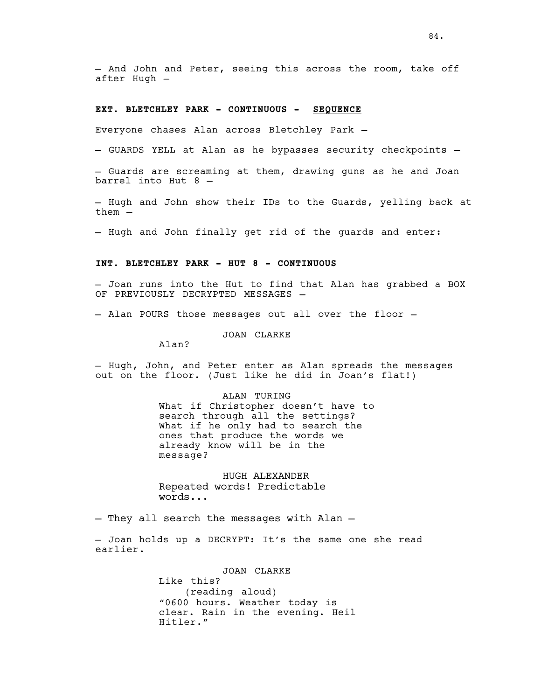— And John and Peter, seeing this across the room, take off after Hugh —

#### **EXT. BLETCHLEY PARK - CONTINUOUS - SEQUENCE**

Everyone chases Alan across Bletchley Park —

— GUARDS YELL at Alan as he bypasses security checkpoints —

— Guards are screaming at them, drawing guns as he and Joan barrel into Hut 8 —

— Hugh and John show their IDs to the Guards, yelling back at them —

— Hugh and John finally get rid of the guards and enter:

## **INT. BLETCHLEY PARK - HUT 8 - CONTINUOUS**

— Joan runs into the Hut to find that Alan has grabbed a BOX OF PREVIOUSLY DECRYPTED MESSAGES —

— Alan POURS those messages out all over the floor —

JOAN CLARKE

Alan?

— Hugh, John, and Peter enter as Alan spreads the messages out on the floor. (Just like he did in Joan's flat!)

> ALAN TURING What if Christopher doesn't have to search through all the settings? What if he only had to search the ones that produce the words we already know will be in the message?

HUGH ALEXANDER Repeated words! Predictable words...

— They all search the messages with Alan —

— Joan holds up a DECRYPT: It's the same one she read earlier.

> JOAN CLARKE Like this? (reading aloud) "0600 hours. Weather today is clear. Rain in the evening. Heil Hitler."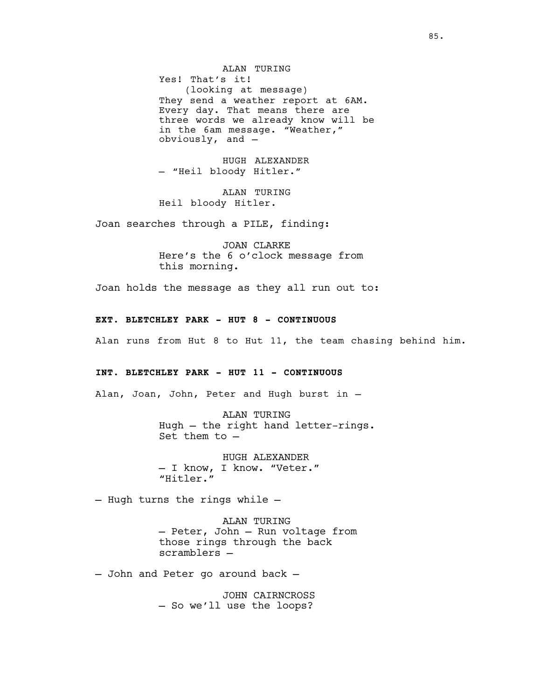ALAN TURING Yes! That's it! (looking at message) They send a weather report at 6AM. Every day. That means there are three words we already know will be in the 6am message. "Weather," obviously, and —

HUGH ALEXANDER — "Heil bloody Hitler."

ALAN TURING Heil bloody Hitler.

Joan searches through a PILE, finding:

JOAN CLARKE Here's the 6 o'clock message from this morning.

Joan holds the message as they all run out to:

### **EXT. BLETCHLEY PARK - HUT 8 - CONTINUOUS**

Alan runs from Hut 8 to Hut 11, the team chasing behind him.

### **INT. BLETCHLEY PARK - HUT 11 - CONTINUOUS**

Alan, Joan, John, Peter and Hugh burst in —

ALAN TURING Hugh — the right hand letter-rings. Set them to —

HUGH ALEXANDER — I know, I know. "Veter." "Hitler."

— Hugh turns the rings while —

ALAN TURING — Peter, John — Run voltage from those rings through the back scramblers —

— John and Peter go around back —

JOHN CAIRNCROSS — So we'll use the loops?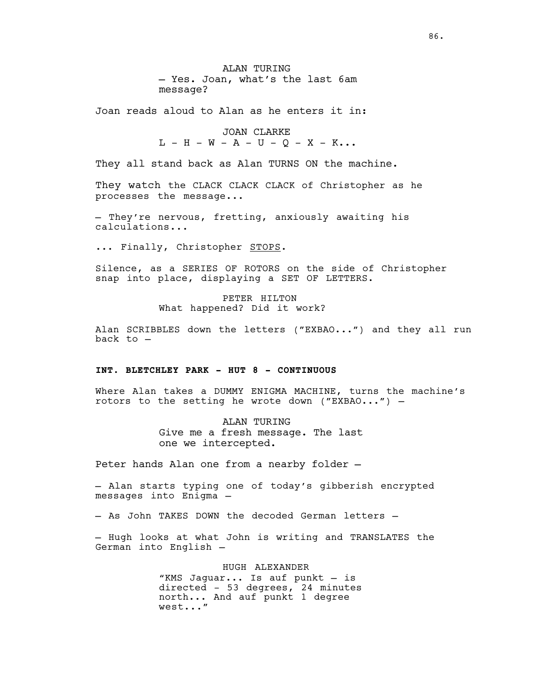ALAN TURING — Yes. Joan, what's the last 6am message?

Joan reads aloud to Alan as he enters it in:

JOAN CLARKE  $L - H - W - A - U - Q - X - K...$ 

They all stand back as Alan TURNS ON the machine.

They watch the CLACK CLACK CLACK of Christopher as he processes the message...

— They're nervous, fretting, anxiously awaiting his calculations...

... Finally, Christopher STOPS.

Silence, as a SERIES OF ROTORS on the side of Christopher snap into place, displaying a SET OF LETTERS.

> PETER HILTON What happened? Did it work?

Alan SCRIBBLES down the letters ("EXBAO...") and they all run back to —

### **INT. BLETCHLEY PARK - HUT 8 - CONTINUOUS**

Where Alan takes a DUMMY ENIGMA MACHINE, turns the machine's rotors to the setting he wrote down ("EXBAO...") —

> ALAN TURING Give me a fresh message. The last one we intercepted.

Peter hands Alan one from a nearby folder —

— Alan starts typing one of today's gibberish encrypted messages into Enigma —

— As John TAKES DOWN the decoded German letters —

— Hugh looks at what John is writing and TRANSLATES the German into English —

> HUGH ALEXANDER "KMS Jaguar... Is auf punkt — is directed - 53 degrees, 24 minutes north... And auf punkt 1 degree west..."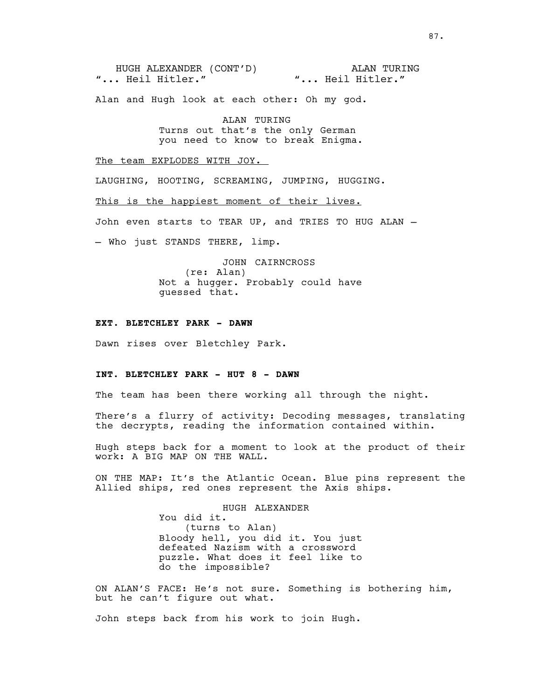HUGH ALEXANDER (CONT'D) "... Heil Hitler." ALAN TURING "... Heil Hitler."

Alan and Hugh look at each other: Oh my god.

ALAN TURING Turns out that's the only German you need to know to break Enigma.

The team EXPLODES WITH JOY.

LAUGHING, HOOTING, SCREAMING, JUMPING, HUGGING.

This is the happiest moment of their lives.

John even starts to TEAR UP, and TRIES TO HUG ALAN —

— Who just STANDS THERE, limp.

JOHN CAIRNCROSS (re: Alan) Not a hugger. Probably could have guessed that.

#### **EXT. BLETCHLEY PARK - DAWN**

Dawn rises over Bletchley Park.

## **INT. BLETCHLEY PARK - HUT 8 - DAWN**

The team has been there working all through the night.

There's a flurry of activity: Decoding messages, translating the decrypts, reading the information contained within.

Hugh steps back for a moment to look at the product of their work: A BIG MAP ON THE WALL.

ON THE MAP: It's the Atlantic Ocean. Blue pins represent the Allied ships, red ones represent the Axis ships.

> HUGH ALEXANDER You did it. (turns to Alan) Bloody hell, you did it. You just defeated Nazism with a crossword puzzle. What does it feel like to do the impossible?

ON ALAN'S FACE: He's not sure. Something is bothering him, but he can't figure out what.

John steps back from his work to join Hugh.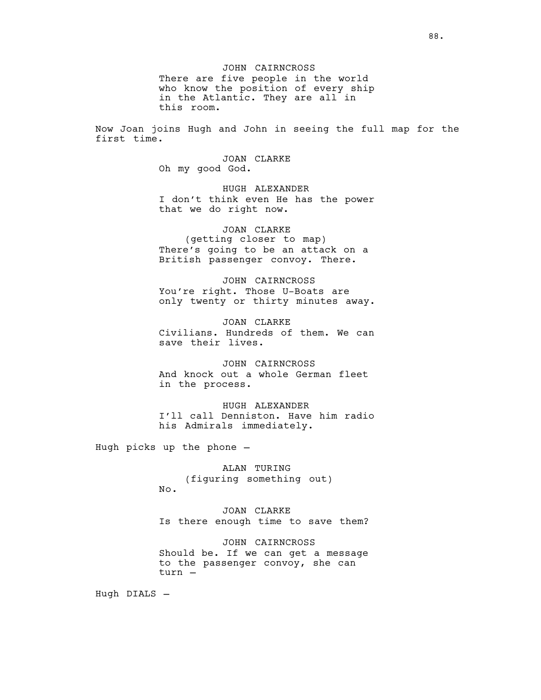JOHN CAIRNCROSS There are five people in the world who know the position of every ship in the Atlantic. They are all in this room.

Now Joan joins Hugh and John in seeing the full map for the first time.

> JOAN CLARKE Oh my good God.

HUGH ALEXANDER I don't think even He has the power that we do right now.

JOAN CLARKE (getting closer to map) There's going to be an attack on a British passenger convoy. There.

JOHN CAIRNCROSS You're right. Those U-Boats are only twenty or thirty minutes away.

JOAN CLARKE Civilians. Hundreds of them. We can save their lives.

JOHN CAIRNCROSS And knock out a whole German fleet in the process.

HUGH ALEXANDER I'll call Denniston. Have him radio his Admirals immediately.

Hugh picks up the phone —

ALAN TURING (figuring something out) No.

JOAN CLARKE Is there enough time to save them?

JOHN CAIRNCROSS Should be. If we can get a message to the passenger convoy, she can turn —

Hugh DIALS —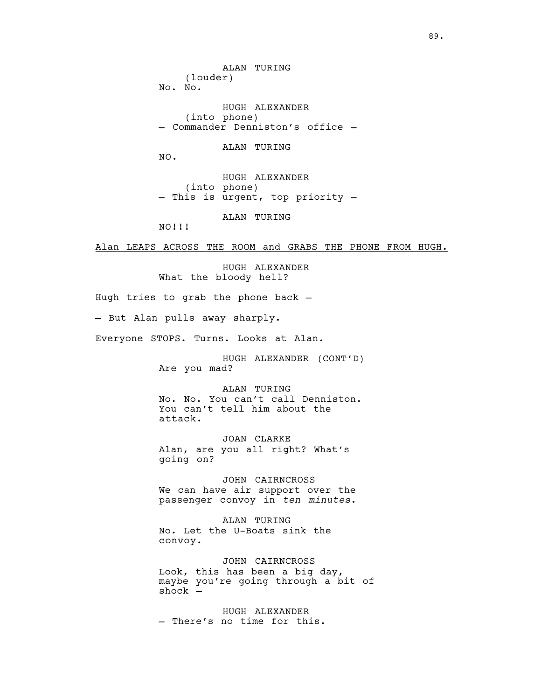(louder) No. No. HUGH ALEXANDER (into phone) — Commander Denniston's office — ALAN TURING

ALAN TURING

NO.

HUGH ALEXANDER (into phone) — This is urgent, top priority —

ALAN TURING

NO!!!

Alan LEAPS ACROSS THE ROOM and GRABS THE PHONE FROM HUGH.

HUGH ALEXANDER What the bloody hell?

Hugh tries to grab the phone back —

— But Alan pulls away sharply.

Everyone STOPS. Turns. Looks at Alan.

HUGH ALEXANDER (CONT'D) Are you mad?

ALAN TURING No. No. You can't call Denniston. You can't tell him about the attack.

JOAN CLARKE Alan, are you all right? What's going on?

JOHN CAIRNCROSS We can have air support over the passenger convoy in *ten minutes*.

ALAN TURING No. Let the U-Boats sink the convoy.

JOHN CAIRNCROSS Look, this has been a big day, maybe you're going through a bit of shock —

HUGH ALEXANDER — There's no time for this.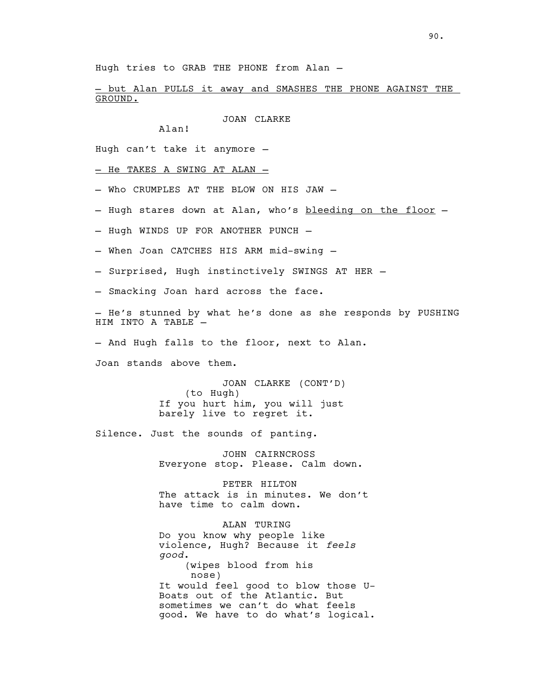Hugh tries to GRAB THE PHONE from Alan —

— but Alan PULLS it away and SMASHES THE PHONE AGAINST THE GROUND.

JOAN CLARKE

Alan!

Hugh can't take it anymore —

— He TAKES A SWING AT ALAN —

— Who CRUMPLES AT THE BLOW ON HIS JAW —

- Hugh stares down at Alan, who's bleeding on the floor -

— Hugh WINDS UP FOR ANOTHER PUNCH —

- When Joan CATCHES HIS ARM mid-swing —
- Surprised, Hugh instinctively SWINGS AT HER —

— Smacking Joan hard across the face.

— He's stunned by what he's done as she responds by PUSHING HIM INTO A TABLE —

— And Hugh falls to the floor, next to Alan.

Joan stands above them.

JOAN CLARKE (CONT'D) (to Hugh) If you hurt him, you will just barely live to regret it.

Silence. Just the sounds of panting.

JOHN CAIRNCROSS Everyone stop. Please. Calm down.

PETER HILTON The attack is in minutes. We don't have time to calm down.

ALAN TURING Do you know why people like violence, Hugh? Because it *feels good*. (wipes blood from his nose) It would feel good to blow those U-Boats out of the Atlantic. But sometimes we can't do what feels good. We have to do what's logical.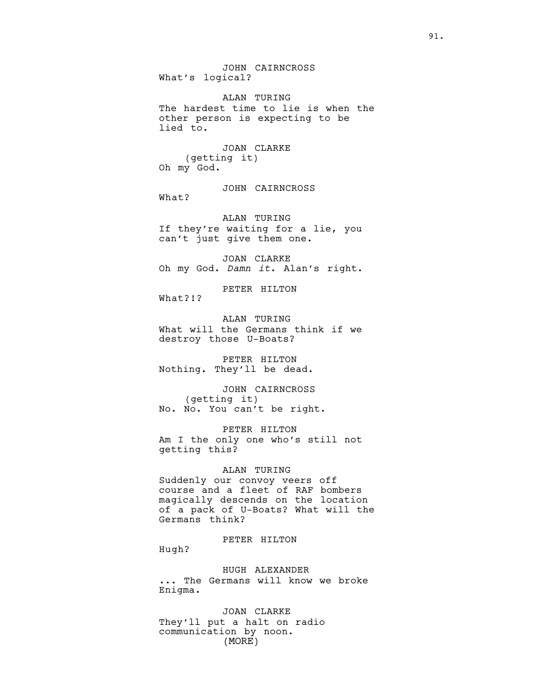JOHN CAIRNCROSS What's logical?

ALAN TURING The hardest time to lie is when the other person is expecting to be lied to.

JOAN CLARKE (getting it) Oh my God.

JOHN CAIRNCROSS

What?

ALAN TURING If they're waiting for a lie, you can't just give them one.

JOAN CLARKE Oh my God. *Damn it*. Alan's right.

PETER HILTON

What?!?

ALAN TURING What will the Germans think if we destroy those U-Boats?

PETER HILTON Nothing. They'll be dead.

JOHN CAIRNCROSS (getting it) No. No. You can't be right.

PETER HILTON Am I the only one who's still not getting this?

#### ALAN TURING

Suddenly our convoy veers off course and a fleet of RAF bombers magically descends on the location of a pack of U-Boats? What will the Germans think?

# PETER HILTON

Hugh?

HUGH ALEXANDER

... The Germans will know we broke Enigma.

JOAN CLARKE They'll put a halt on radio communication by noon. (MORE)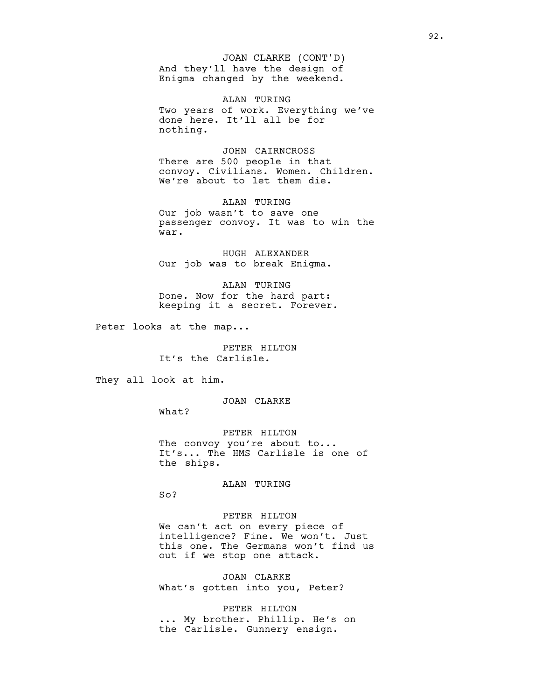And they'll have the design of Enigma changed by the weekend. JOAN CLARKE (CONT'D)

ALAN TURING Two years of work. Everything we've done here. It'll all be for nothing.

JOHN CAIRNCROSS There are 500 people in that convoy. Civilians. Women. Children. We're about to let them die.

ALAN TURING Our job wasn't to save one passenger convoy. It was to win the war.

HUGH ALEXANDER Our job was to break Enigma.

ALAN TURING Done. Now for the hard part: keeping it a secret. Forever.

Peter looks at the map...

PETER HILTON It's the Carlisle.

They all look at him.

JOAN CLARKE

What?

PETER HILTON The convoy you're about to... It's... The HMS Carlisle is one of the ships.

ALAN TURING

So?

PETER HILTON We can't act on every piece of intelligence? Fine. We won't. Just this one. The Germans won't find us out if we stop one attack.

JOAN CLARKE What's gotten into you, Peter?

PETER HILTON ... My brother. Phillip. He's on the Carlisle. Gunnery ensign.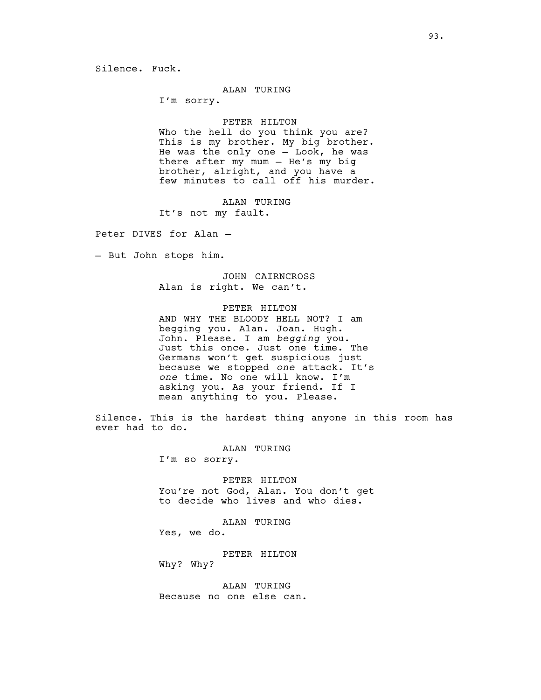### Silence. Fuck.

#### ALAN TURING

I'm sorry.

## PETER HILTON

Who the hell do you think you are? This is my brother. My big brother. He was the only one — Look, he was there after my mum — He's my big brother, alright, and you have a few minutes to call off his murder.

ALAN TURING

It's not my fault.

Peter DIVES for Alan —

— But John stops him.

JOHN CAIRNCROSS Alan is right. We can't.

### PETER HILTON

AND WHY THE BLOODY HELL NOT? I am begging you. Alan. Joan. Hugh. John. Please. I am *begging* you. Just this once. Just one time. The Germans won't get suspicious just because we stopped *one* attack. It's *one* time. No one will know. I'm asking you. As your friend. If I mean anything to you. Please.

Silence. This is the hardest thing anyone in this room has ever had to do.

ALAN TURING

I'm so sorry.

PETER HILTON You're not God, Alan. You don't get to decide who lives and who dies.

ALAN TURING

Yes, we do.

PETER HILTON Why? Why?

ALAN TURING Because no one else can.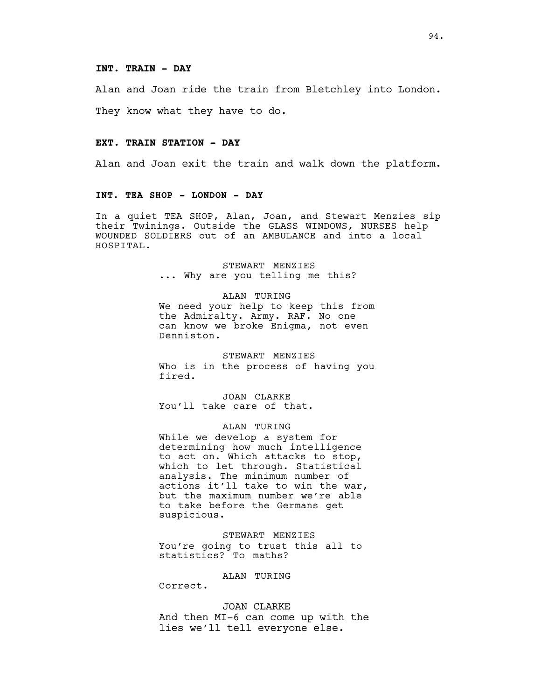#### **INT. TRAIN - DAY**

Alan and Joan ride the train from Bletchley into London.

They know what they have to do.

#### **EXT. TRAIN STATION - DAY**

Alan and Joan exit the train and walk down the platform.

## **INT. TEA SHOP - LONDON - DAY**

In a quiet TEA SHOP, Alan, Joan, and Stewart Menzies sip their Twinings. Outside the GLASS WINDOWS, NURSES help WOUNDED SOLDIERS out of an AMBULANCE and into a local HOSPITAL.

> STEWART MENZIES ... Why are you telling me this?

ALAN TURING We need your help to keep this from the Admiralty. Army. RAF. No one can know we broke Enigma, not even Denniston.

STEWART MENZIES Who is in the process of having you fired.

JOAN CLARKE You'll take care of that.

ALAN TURING

While we develop a system for determining how much intelligence to act on. Which attacks to stop, which to let through. Statistical analysis. The minimum number of actions it'll take to win the war, but the maximum number we're able to take before the Germans get suspicious.

STEWART MENZIES You're going to trust this all to statistics? To maths?

ALAN TURING

Correct.

JOAN CLARKE

And then MI-6 can come up with the lies we'll tell everyone else.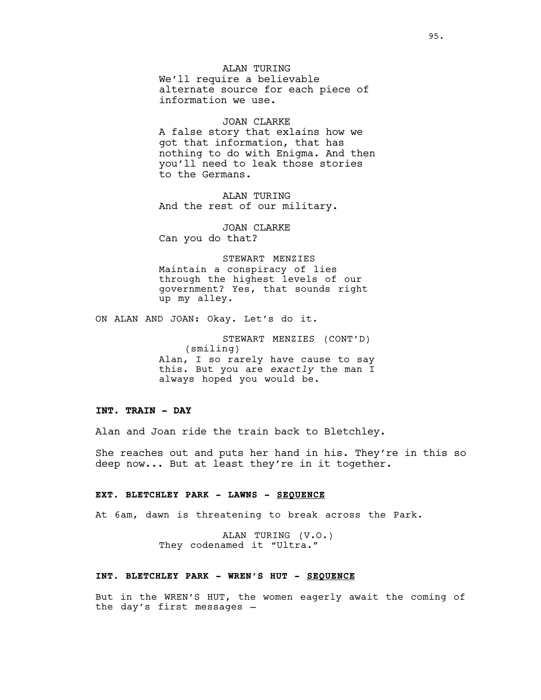ALAN TURING We'll require a believable alternate source for each piece of information we use.

JOAN CLARKE A false story that exlains how we got that information, that has nothing to do with Enigma. And then you'll need to leak those stories to the Germans.

ALAN TURING And the rest of our military.

JOAN CLARKE Can you do that?

STEWART MENZIES Maintain a conspiracy of lies through the highest levels of our government? Yes, that sounds right up my alley.

ON ALAN AND JOAN: Okay. Let's do it.

STEWART MENZIES (CONT'D) (smiling) Alan, I so rarely have cause to say this. But you are *exactly* the man I always hoped you would be.

## **INT. TRAIN - DAY**

Alan and Joan ride the train back to Bletchley.

She reaches out and puts her hand in his. They're in this so deep now... But at least they're in it together.

#### **EXT. BLETCHLEY PARK - LAWNS - SEQUENCE**

At 6am, dawn is threatening to break across the Park.

ALAN TURING (V.O.) They codenamed it "Ultra."

### **INT. BLETCHLEY PARK - WREN'S HUT - SEQUENCE**

But in the WREN'S HUT, the women eagerly await the coming of the day's first messages —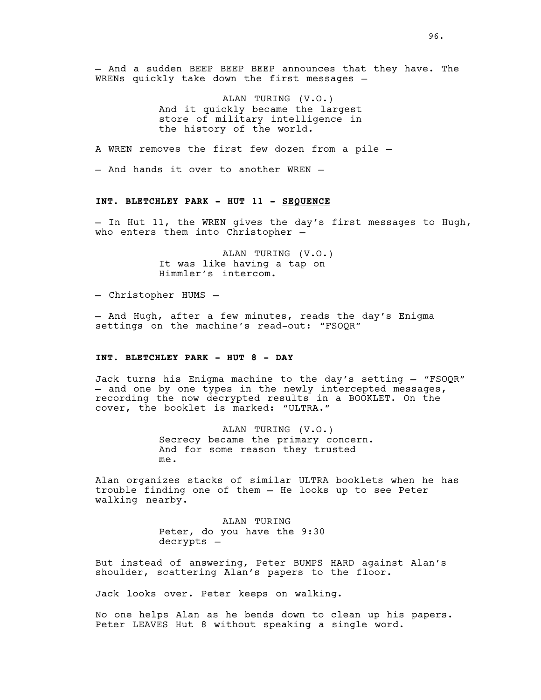— And a sudden BEEP BEEP BEEP announces that they have. The WRENs quickly take down the first messages —

> ALAN TURING (V.O.) And it quickly became the largest store of military intelligence in the history of the world.

A WREN removes the first few dozen from a pile —

— And hands it over to another WREN —

### **INT. BLETCHLEY PARK - HUT 11 - SEQUENCE**

— In Hut 11, the WREN gives the day's first messages to Hugh, who enters them into Christopher —

> ALAN TURING (V.O.) It was like having a tap on Himmler's intercom.

— Christopher HUMS —

— And Hugh, after a few minutes, reads the day's Enigma settings on the machine's read-out: "FSOQR"

#### **INT. BLETCHLEY PARK - HUT 8 - DAY**

Jack turns his Enigma machine to the day's setting — <mark>"FSOQR"</mark><br>— and one by one types in the newly intercepted messages, recording the now decrypted results in a BOOKLET. On the cover, the booklet is marked: "ULTRA."

> ALAN TURING (V.O.) Secrecy became the primary concern. And for some reason they trusted me.

Alan organizes stacks of similar ULTRA booklets when he has trouble finding one of them — He looks up to see Peter walking nearby.

> ALAN TURING Peter, do you have the 9:30 decrypts —

But instead of answering, Peter BUMPS HARD against Alan's shoulder, scattering Alan's papers to the floor.

Jack looks over. Peter keeps on walking.

No one helps Alan as he bends down to clean up his papers. Peter LEAVES Hut 8 without speaking a single word.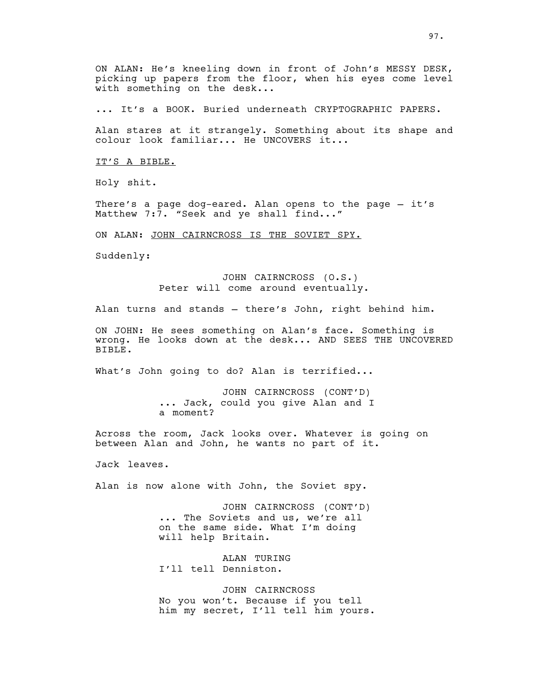ON ALAN: He's kneeling down in front of John's MESSY DESK, picking up papers from the floor, when his eyes come level with something on the desk...

... It's a BOOK. Buried underneath CRYPTOGRAPHIC PAPERS.

Alan stares at it strangely. Something about its shape and colour look familiar... He UNCOVERS it...

IT'S A BIBLE.

Holy shit.

There's a page dog-eared. Alan opens to the page — it's Matthew 7:7. "Seek and ye shall find..."

ON ALAN: JOHN CAIRNCROSS IS THE SOVIET SPY.

Suddenly:

JOHN CAIRNCROSS (O.S.) Peter will come around eventually.

Alan turns and stands — there's John, right behind him.

ON JOHN: He sees something on Alan's face. Something is wrong. He looks down at the desk... AND SEES THE UNCOVERED BIBLE.

What's John going to do? Alan is terrified...

JOHN CAIRNCROSS (CONT'D) ... Jack, could you give Alan and I a moment?

Across the room, Jack looks over. Whatever is going on between Alan and John, he wants no part of it.

Jack leaves.

Alan is now alone with John, the Soviet spy.

JOHN CAIRNCROSS (CONT'D) ... The Soviets and us, we're all on the same side. What I'm doing will help Britain.

ALAN TURING I'll tell Denniston.

JOHN CAIRNCROSS No you won't. Because if you tell him my secret, I'll tell him yours.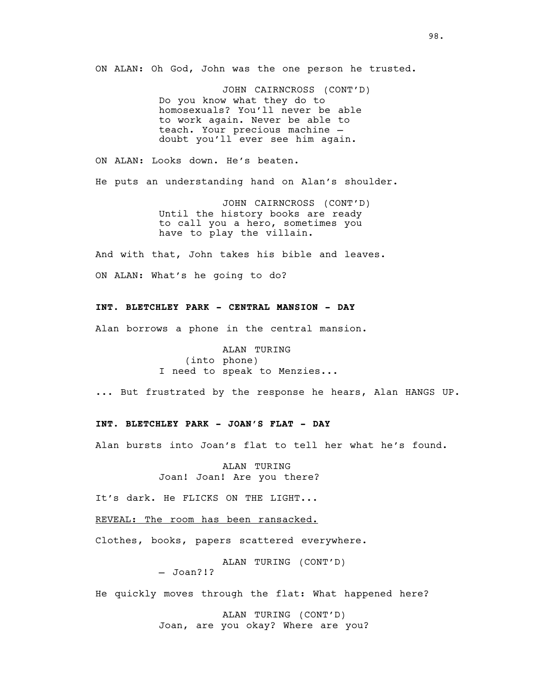ON ALAN: Oh God, John was the one person he trusted.

JOHN CAIRNCROSS (CONT'D) Do you know what they do to homosexuals? You'll never be able to work again. Never be able to teach. Your precious machine -<br>doubt you'll ever see him again.

ON ALAN: Looks down. He's beaten. He puts an understanding hand on Alan's shoulder.

> JOHN CAIRNCROSS (CONT'D) Until the history books are ready to call you a hero, sometimes you have to play the villain.

And with that, John takes his bible and leaves. ON ALAN: What's he going to do?

## **INT. BLETCHLEY PARK - CENTRAL MANSION - DAY**

Alan borrows a phone in the central mansion.

ALAN TURING (into phone) I need to speak to Menzies...

... But frustrated by the response he hears, Alan HANGS UP.

## **INT. BLETCHLEY PARK - JOAN'S FLAT - DAY**

Alan bursts into Joan's flat to tell her what he's found.

ALAN TURING Joan! Joan! Are you there?

It's dark. He FLICKS ON THE LIGHT...

REVEAL: The room has been ransacked.

Clothes, books, papers scattered everywhere.

ALAN TURING (CONT'D)

— Joan?!?

He quickly moves through the flat: What happened here?

ALAN TURING (CONT'D) Joan, are you okay? Where are you?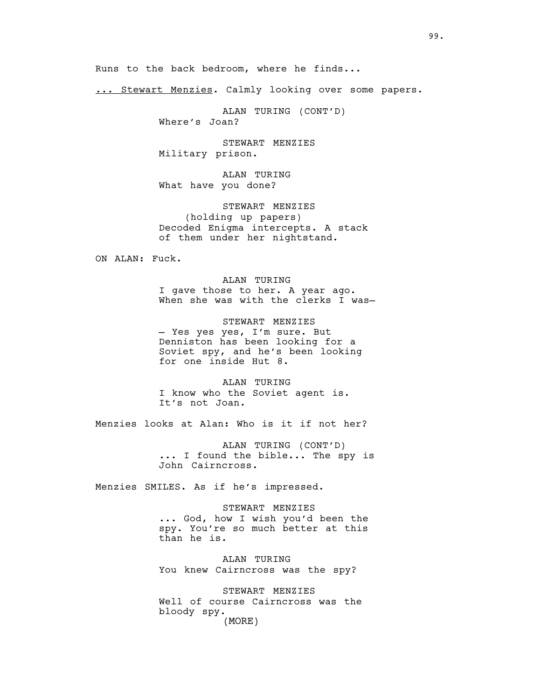Runs to the back bedroom, where he finds...

... Stewart Menzies. Calmly looking over some papers.

ALAN TURING (CONT'D)

Where's Joan?

STEWART MENZIES Military prison.

ALAN TURING What have you done?

STEWART MENZIES (holding up papers) Decoded Enigma intercepts. A stack of them under her nightstand.

ON ALAN: Fuck.

ALAN TURING I gave those to her. A year ago. When she was with the clerks I was-

STEWART MENZIES — Yes yes yes, I'm sure. But Denniston has been looking for a Soviet spy, and he's been looking for one inside Hut 8.

ALAN TURING I know who the Soviet agent is. It's not Joan.

Menzies looks at Alan: Who is it if not her?

ALAN TURING (CONT'D) ... I found the bible... The spy is John Cairncross.

Menzies SMILES. As if he's impressed.

STEWART MENZIES ... God, how I wish you'd been the spy. You're so much better at this than he is.

ALAN TURING You knew Cairncross was the spy?

STEWART MENZIES Well of course Cairncross was the bloody spy. (MORE)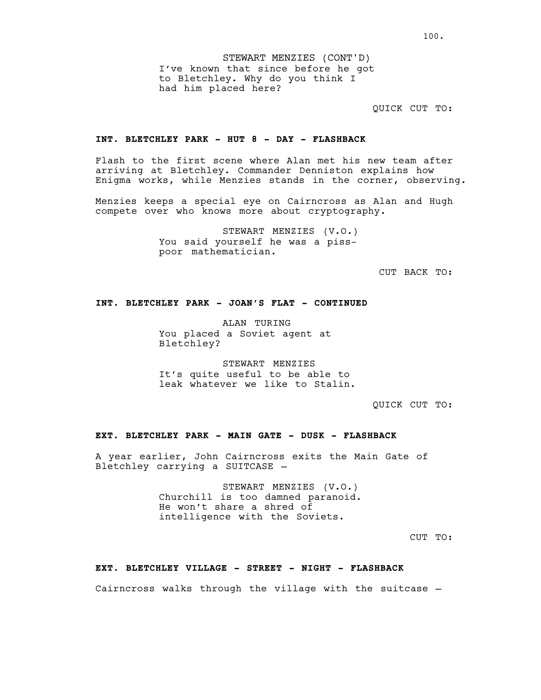QUICK CUT TO:

### **INT. BLETCHLEY PARK - HUT 8 - DAY - FLASHBACK**

Flash to the first scene where Alan met his new team after arriving at Bletchley. Commander Denniston explains how Enigma works, while Menzies stands in the corner, observing.

Menzies keeps a special eye on Cairncross as Alan and Hugh compete over who knows more about cryptography.

> STEWART MENZIES (V.O.) You said yourself he was a pisspoor mathematician.

> > CUT BACK TO:

## **INT. BLETCHLEY PARK - JOAN'S FLAT - CONTINUED**

ALAN TURING You placed a Soviet agent at Bletchley?

STEWART MENZIES It's quite useful to be able to leak whatever we like to Stalin.

QUICK CUT TO:

### **EXT. BLETCHLEY PARK - MAIN GATE - DUSK - FLASHBACK**

A year earlier, John Cairncross exits the Main Gate of Bletchley carrying a SUITCASE —

> STEWART MENZIES (V.O.) Churchill is too damned paranoid. He won't share a shred of intelligence with the Soviets.

> > CUT TO:

#### **EXT. BLETCHLEY VILLAGE - STREET - NIGHT - FLASHBACK**

Cairncross walks through the village with the suitcase —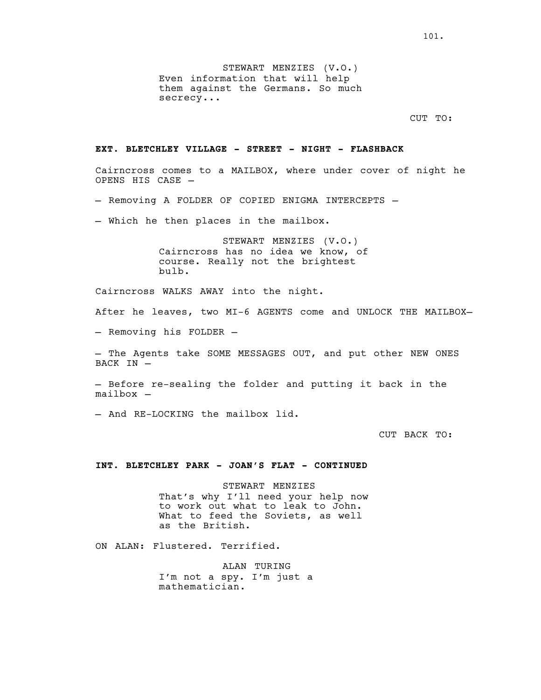STEWART MENZIES (V.O.) Even information that will help them against the Germans. So much secrecy...

CUT TO:

#### **EXT. BLETCHLEY VILLAGE - STREET - NIGHT - FLASHBACK**

Cairncross comes to a MAILBOX, where under cover of night he OPENS HIS CASE —

— Removing A FOLDER OF COPIED ENIGMA INTERCEPTS —

— Which he then places in the mailbox.

STEWART MENZIES (V.O.) Cairncross has no idea we know, of course. Really not the brightest bulb.

Cairncross WALKS AWAY into the night.

After he leaves, two MI-6 AGENTS come and UNLOCK THE MAILBOX—

— Removing his FOLDER —

— The Agents take SOME MESSAGES OUT, and put other NEW ONES BACK IN -

— Before re-sealing the folder and putting it back in the mailbox —

— And RE-LOCKING the mailbox lid.

CUT BACK TO:

#### **INT. BLETCHLEY PARK - JOAN'S FLAT - CONTINUED**

STEWART MENZIES That's why I'll need your help now to work out what to leak to John. What to feed the Soviets, as well as the British.

ON ALAN: Flustered. Terrified.

ALAN TURING I'm not a spy. I'm just a mathematician.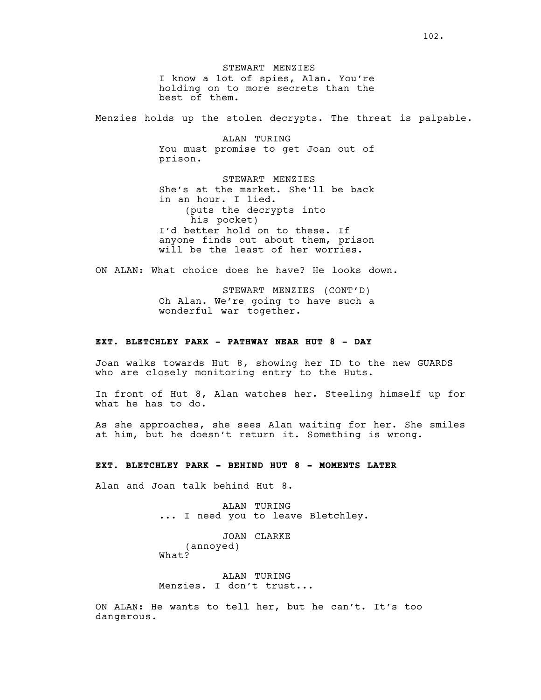STEWART MENZIES I know a lot of spies, Alan. You're holding on to more secrets than the best of them.

Menzies holds up the stolen decrypts. The threat is palpable.

ALAN TURING You must promise to get Joan out of prison.

STEWART MENZIES She's at the market. She'll be back in an hour. I lied. (puts the decrypts into his pocket) I'd better hold on to these. If anyone finds out about them, prison will be the least of her worries.

ON ALAN: What choice does he have? He looks down.

STEWART MENZIES (CONT'D) Oh Alan. We're going to have such a wonderful war together.

## **EXT. BLETCHLEY PARK - PATHWAY NEAR HUT 8 - DAY**

Joan walks towards Hut 8, showing her ID to the new GUARDS who are closely monitoring entry to the Huts.

In front of Hut 8, Alan watches her. Steeling himself up for what he has to do.

As she approaches, she sees Alan waiting for her. She smiles at him, but he doesn't return it. Something is wrong.

#### **EXT. BLETCHLEY PARK - BEHIND HUT 8 - MOMENTS LATER**

Alan and Joan talk behind Hut 8.

ALAN TURING ... I need you to leave Bletchley.

JOAN CLARKE (annoyed) What?

ALAN TURING Menzies. I don't trust...

ON ALAN: He wants to tell her, but he can't. It's too dangerous.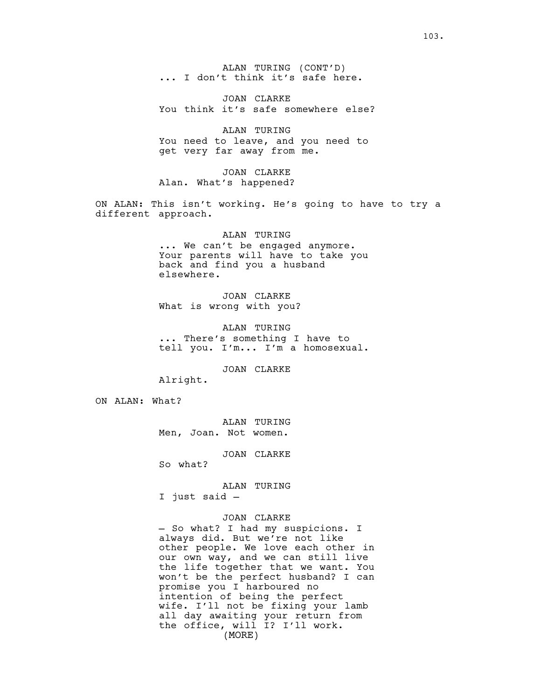ALAN TURING (CONT'D)<br>... I don't think it's safe here.

JOAN CLARKE You think it's safe somewhere else?

ALAN TURING You need to leave, and you need to get very far away from me.

JOAN CLARKE Alan. What's happened?

ON ALAN: This isn't working. He's going to have to try a different approach.

#### ALAN TURING

... We can't be engaged anymore. Your parents will have to take you back and find you a husband elsewhere.

JOAN CLARKE What is wrong with you?

ALAN TURING ... There's something I have to tell you. I'm... I'm a homosexual.

JOAN CLARKE

Alright.

ON ALAN: What?

ALAN TURING Men, Joan. Not women.

JOAN CLARKE

So what?

ALAN TURING

I just said —

JOAN CLARKE

— So what? I had my suspicions. I always did. But we're not like other people. We love each other in our own way, and we can still live the life together that we want. You won't be the perfect husband? I can promise you I harboured no intention of being the perfect wife. I'll not be fixing your lamb all day awaiting your return from the office, will I? I'll work. (MORE)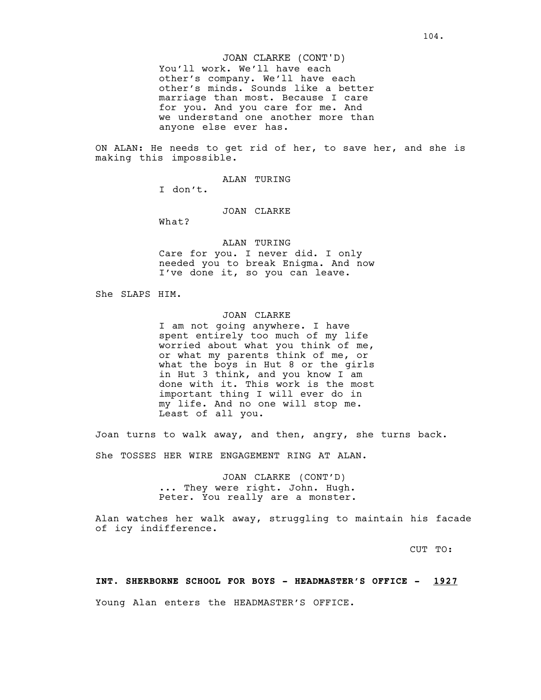### JOAN CLARKE (CONT'D)

You'll work. We'll have each other's company. We'll have each other's minds. Sounds like a better marriage than most. Because I care for you. And you care for me. And we understand one another more than anyone else ever has.

ON ALAN: He needs to get rid of her, to save her, and she is making this impossible.

ALAN TURING

I don't.

JOAN CLARKE

What?

ALAN TURING Care for you. I never did. I only needed you to break Enigma. And now I've done it, so you can leave.

She SLAPS HIM.

### JOAN CLARKE

I am not going anywhere. I have spent entirely too much of my life worried about what you think of me, or what my parents think of me, or what the boys in Hut 8 or the girls in Hut 3 think, and you know I am done with it. This work is the most important thing I will ever do in my life. And no one will stop me. Least of all you.

Joan turns to walk away, and then, angry, she turns back.

She TOSSES HER WIRE ENGAGEMENT RING AT ALAN.

JOAN CLARKE (CONT'D) ... They were right. John. Hugh. Peter. You really are a monster.

Alan watches her walk away, struggling to maintain his facade of icy indifference.

CUT TO:

#### **INT. SHERBORNE SCHOOL FOR BOYS - HEADMASTER'S OFFICE - 1927**

Young Alan enters the HEADMASTER'S OFFICE.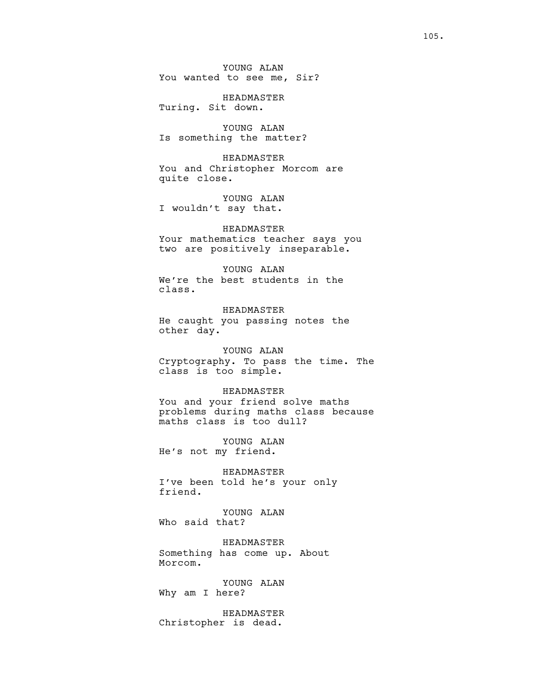YOUNG ALAN You wanted to see me, Sir?

HEADMASTER Turing. Sit down.

YOUNG ALAN Is something the matter?

HEADMASTER You and Christopher Morcom are quite close.

YOUNG ALAN I wouldn't say that.

HEADMASTER Your mathematics teacher says you two are positively inseparable.

### YOUNG ALAN We're the best students in the class.

HEADMASTER He caught you passing notes the other day.

## YOUNG ALAN

Cryptography. To pass the time. The class is too simple.

#### HEADMASTER

You and your friend solve maths problems during maths class because maths class is too dull?

YOUNG ALAN He's not my friend.

HEADMASTER I've been told he's your only friend.

YOUNG ALAN Who said that?

HEADMASTER Something has come up. About Morcom.

YOUNG ALAN Why am I here?

HEADMASTER Christopher is dead.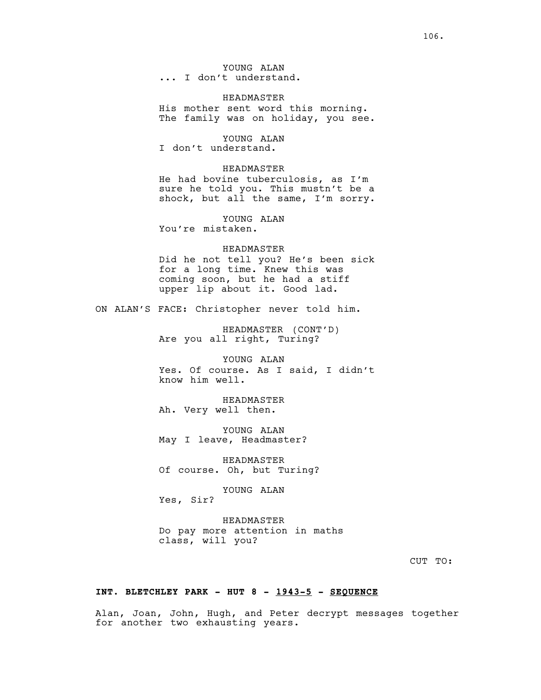YOUNG ALAN<br>I don't understand.

#### HEADMASTER

His mother sent word this morning. The family was on holiday, you see.

YOUNG ALAN I don't understand.

HEADMASTER

He had bovine tuberculosis, as I'm sure he told you. This mustn't be a shock, but all the same, I'm sorry.

YOUNG ALAN You're mistaken.

HEADMASTER Did he not tell you? He's been sick for a long time. Knew this was coming soon, but he had a stiff upper lip about it. Good lad.

ON ALAN'S FACE: Christopher never told him.

HEADMASTER (CONT'D) Are you all right, Turing?

YOUNG ALAN Yes. Of course. As I said, I didn't know him well.

HEADMASTER Ah. Very well then.

YOUNG ALAN May I leave, Headmaster?

HEADMASTER Of course. Oh, but Turing?

YOUNG ALAN

Yes, Sir?

HEADMASTER Do pay more attention in maths class, will you?

CUT TO:

### **INT. BLETCHLEY PARK - HUT 8 - 1943-5 - SEQUENCE**

Alan, Joan, John, Hugh, and Peter decrypt messages together for another two exhausting years.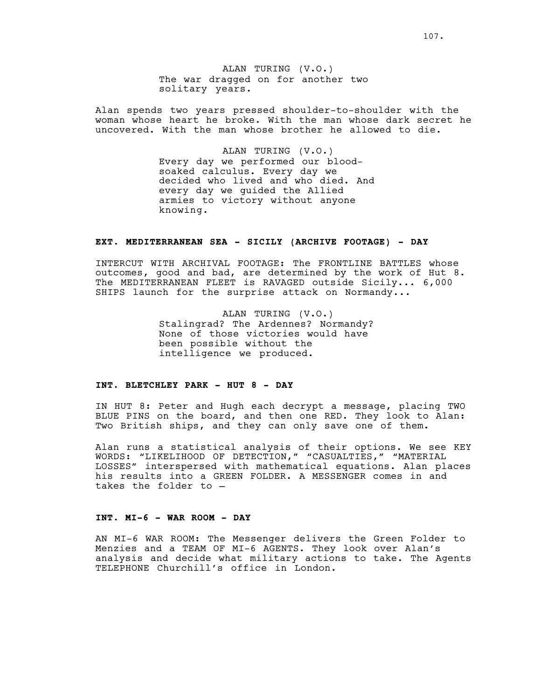ALAN TURING (V.O.) The war dragged on for another two solitary years.

Alan spends two years pressed shoulder-to-shoulder with the woman whose heart he broke. With the man whose dark secret he uncovered. With the man whose brother he allowed to die.

> ALAN TURING (V.O.) Every day we performed our bloodsoaked calculus. Every day we decided who lived and who died. And every day we guided the Allied armies to victory without anyone knowing.

# **EXT. MEDITERRANEAN SEA - SICILY (ARCHIVE FOOTAGE) - DAY**

INTERCUT WITH ARCHIVAL FOOTAGE: The FRONTLINE BATTLES whose outcomes, good and bad, are determined by the work of Hut 8. The MEDITERRANEAN FLEET is RAVAGED outside Sicily... 6,000 SHIPS launch for the surprise attack on Normandy...

> ALAN TURING (V.O.) Stalingrad? The Ardennes? Normandy? None of those victories would have been possible without the intelligence we produced.

## **INT. BLETCHLEY PARK - HUT 8 - DAY**

IN HUT 8: Peter and Hugh each decrypt a message, placing TWO BLUE PINS on the board, and then one RED. They look to Alan: Two British ships, and they can only save one of them.

Alan runs a statistical analysis of their options. We see KEY WORDS: "LIKELIHOOD OF DETECTION," "CASUALTIES," "MATERIAL LOSSES" interspersed with mathematical equations. Alan places his results into a GREEN FOLDER. A MESSENGER comes in and takes the folder to —

## **INT. MI-6 - WAR ROOM - DAY**

AN MI-6 WAR ROOM: The Messenger delivers the Green Folder to Menzies and a TEAM OF MI-6 AGENTS. They look over Alan's analysis and decide what military actions to take. The Agents TELEPHONE Churchill's office in London.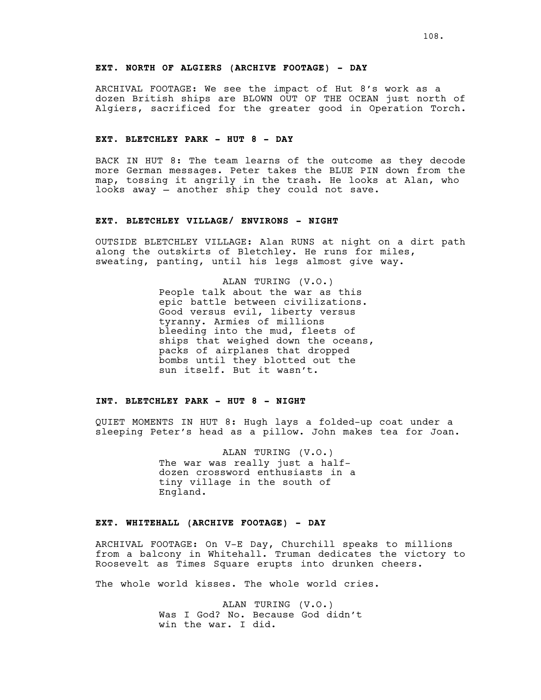## **EXT. NORTH OF ALGIERS (ARCHIVE FOOTAGE) - DAY**

ARCHIVAL FOOTAGE: We see the impact of Hut 8's work as a dozen British ships are BLOWN OUT OF THE OCEAN just north of Algiers, sacrificed for the greater good in Operation Torch.

### **EXT. BLETCHLEY PARK - HUT 8 - DAY**

BACK IN HUT 8: The team learns of the outcome as they decode more German messages. Peter takes the BLUE PIN down from the map, tossing it angrily in the trash. He looks at Alan, who looks away — another ship they could not save.

## **EXT. BLETCHLEY VILLAGE/ ENVIRONS - NIGHT**

OUTSIDE BLETCHLEY VILLAGE: Alan RUNS at night on a dirt path along the outskirts of Bletchley. He runs for miles, sweating, panting, until his legs almost give way.

> ALAN TURING (V.O.) People talk about the war as this epic battle between civilizations. Good versus evil, liberty versus tyranny. Armies of millions bleeding into the mud, fleets of ships that weighed down the oceans, packs of airplanes that dropped bombs until they blotted out the sun itself. But it wasn't.

#### **INT. BLETCHLEY PARK - HUT 8 - NIGHT**

QUIET MOMENTS IN HUT 8: Hugh lays a folded-up coat under a sleeping Peter's head as a pillow. John makes tea for Joan.

> ALAN TURING (V.O.) The war was really just a halfdozen crossword enthusiasts in a tiny village in the south of England.

#### **EXT. WHITEHALL (ARCHIVE FOOTAGE) - DAY**

ARCHIVAL FOOTAGE: On V-E Day, Churchill speaks to millions from a balcony in Whitehall. Truman dedicates the victory to Roosevelt as Times Square erupts into drunken cheers.

The whole world kisses. The whole world cries.

ALAN TURING (V.O.) Was I God? No. Because God didn't win the war. I did.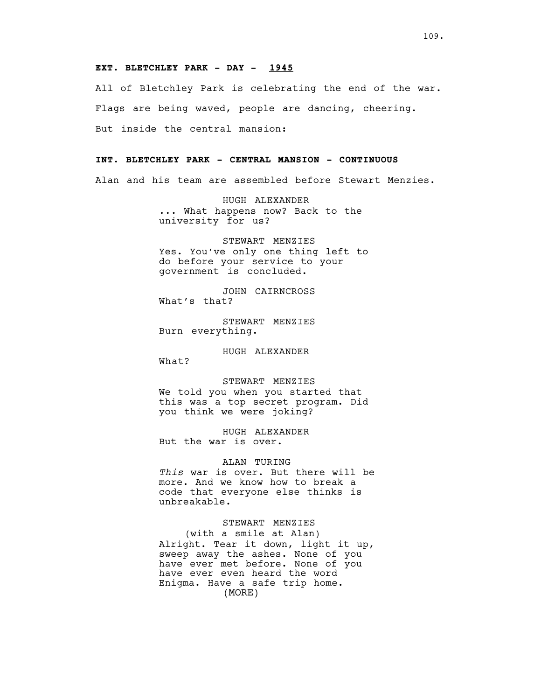## **EXT. BLETCHLEY PARK - DAY - 1945**

All of Bletchley Park is celebrating the end of the war. Flags are being waved, people are dancing, cheering. But inside the central mansion:

## **INT. BLETCHLEY PARK - CENTRAL MANSION - CONTINUOUS**

Alan and his team are assembled before Stewart Menzies.

HUGH ALEXANDER ... What happens now? Back to the university for us?

STEWART MENZIES Yes. You've only one thing left to do before your service to your government is concluded.

JOHN CAIRNCROSS What's that?

STEWART MENZIES Burn everything.

HUGH ALEXANDER What?

STEWART MENZIES

We told you when you started that this was a top secret program. Did you think we were joking?

HUGH ALEXANDER But the war is over.

### ALAN TURING

*This* war is over. But there will be more. And we know how to break a code that everyone else thinks is unbreakable.

#### STEWART MENZIES

(with a smile at Alan) Alright. Tear it down, light it up, sweep away the ashes. None of you have ever met before. None of you have ever even heard the word Enigma. Have a safe trip home. (MORE)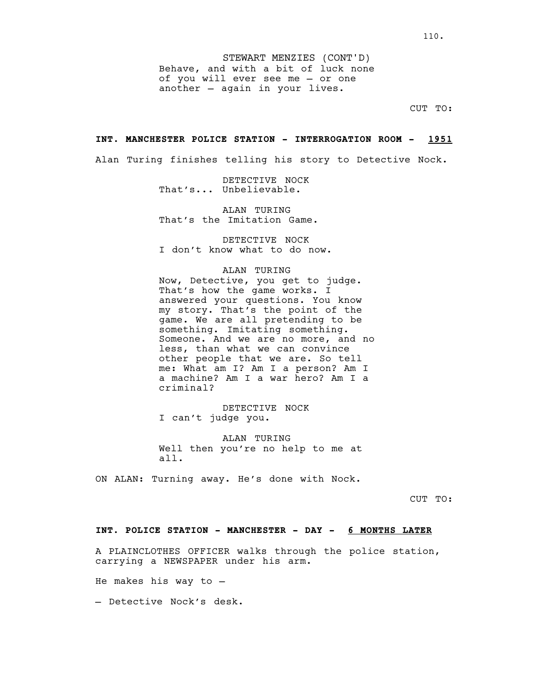Behave, and with a bit of luck none of you will ever see me — or one another — again in your lives. STEWART MENZIES (CONT'D)

CUT TO:

#### **INT. MANCHESTER POLICE STATION - INTERROGATION ROOM - 1951**

Alan Turing finishes telling his story to Detective Nock.

DETECTIVE NOCK That's... Unbelievable.

ALAN TURING That's the Imitation Game.

DETECTIVE NOCK I don't know what to do now.

## ALAN TURING

Now, Detective, you get to judge. That's how the game works. I answered your questions. You know my story. That's the point of the game. We are all pretending to be something. Imitating something. Someone. And we are no more, and no less, than what we can convince other people that we are. So tell me: What am I? Am I a person? Am I a machine? Am I a war hero? Am I a criminal?

DETECTIVE NOCK I can't judge you.

ALAN TURING Well then you're no help to me at all.

ON ALAN: Turning away. He's done with Nock.

CUT TO:

## **INT. POLICE STATION - MANCHESTER - DAY - 6 MONTHS LATER**

A PLAINCLOTHES OFFICER walks through the police station, carrying a NEWSPAPER under his arm.

He makes his way to —

— Detective Nock's desk.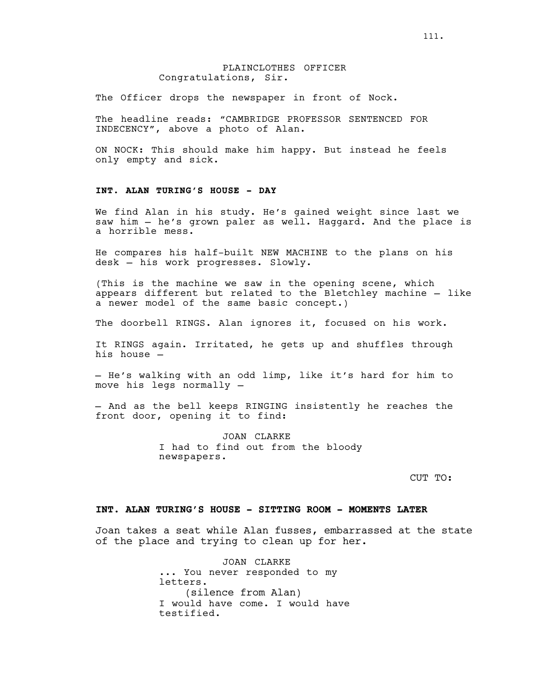## PLAINCLOTHES OFFICER Congratulations, Sir.

The Officer drops the newspaper in front of Nock.

The headline reads: "CAMBRIDGE PROFESSOR SENTENCED FOR INDECENCY", above a photo of Alan.

ON NOCK: This should make him happy. But instead he feels only empty and sick.

## **INT. ALAN TURING'S HOUSE - DAY**

We find Alan in his study. He's gained weight since last we saw him — he's grown paler as well. Haggard. And the place is a horrible mess.

He compares his half-built NEW MACHINE to the plans on his desk — his work progresses. Slowly.

(This is the machine we saw in the opening scene, which appears different but related to the Bletchley machine — like a newer model of the same basic concept.)

The doorbell RINGS. Alan ignores it, focused on his work.

It RINGS again. Irritated, he gets up and shuffles through his house —

— He's walking with an odd limp, like it's hard for him to move his legs normally —

— And as the bell keeps RINGING insistently he reaches the front door, opening it to find:

> JOAN CLARKE I had to find out from the bloody newspapers.

> > CUT TO:

#### **INT. ALAN TURING'S HOUSE - SITTING ROOM - MOMENTS LATER**

Joan takes a seat while Alan fusses, embarrassed at the state of the place and trying to clean up for her.

> JOAN CLARKE ... You never responded to my letters. (silence from Alan) I would have come. I would have testified.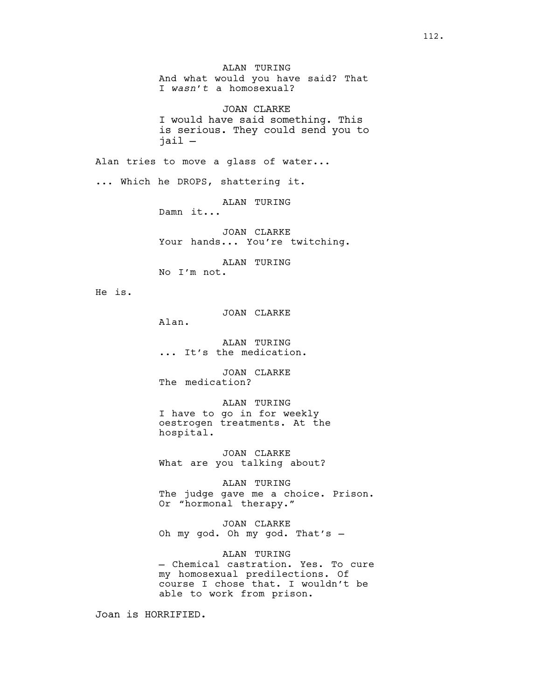And what would you have said? That I *wasn't* a homosexual? JOAN CLARKE I would have said something. This is serious. They could send you to jail — Alan tries to move a glass of water... ... Which he DROPS, shattering it. ALAN TURING Damn it... JOAN CLARKE Your hands... You're twitching. ALAN TURING No I'm not. He is. JOAN CLARKE Alan. ALAN TURING<br>It's the medication. JOAN CLARKE The medication? ALAN TURING I have to go in for weekly oestrogen treatments. At the hospital. JOAN CLARKE What are you talking about? ALAN TURING The judge gave me a choice. Prison. Or "hormonal therapy." JOAN CLARKE Oh my god. Oh my god. That's — ALAN TURING — Chemical castration. Yes. To cure my homosexual predilections. Of course I chose that. I wouldn't be able to work from prison.

ALAN TURING

Joan is HORRIFIED.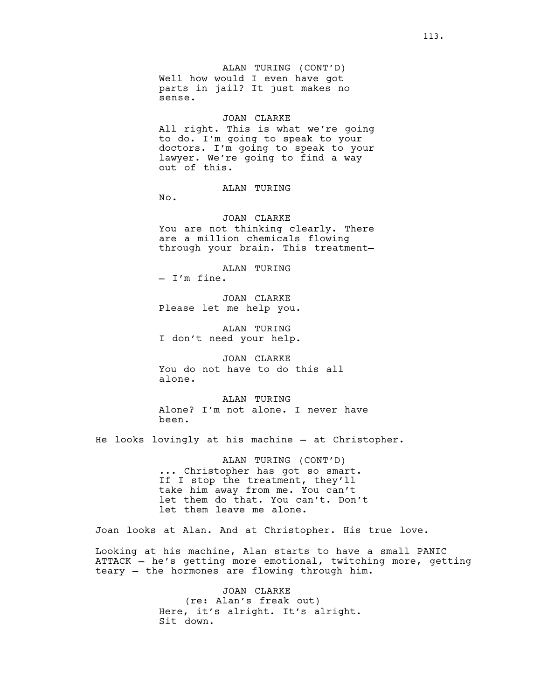ALAN TURING (CONT'D) Well how would I even have got parts in jail? It just makes no sense.

#### JOAN CLARKE

All right. This is what we're going to do. I'm going to speak to your doctors. I'm going to speak to your lawyer. We're going to find a way out of this.

ALAN TURING

No.

JOAN CLARKE You are not thinking clearly. There are a million chemicals flowing through your brain. This treatment—

ALAN TURING<br>- I'm fine.

JOAN CLARKE Please let me help you.

ALAN TURING I don't need your help.

JOAN CLARKE You do not have to do this all alone.

ALAN TURING Alone? I'm not alone. I never have been.

He looks lovingly at his machine — at Christopher.

ALAN TURING (CONT'D) . Christopher has got so smart. If I stop the treatment, they'll take him away from me. You can't let them do that. You can't. Don't let them leave me alone.

Joan looks at Alan. And at Christopher. His true love.

Looking at his machine, Alan starts to have a small PANIC ATTACK — he's getting more emotional, twitching more, getting teary — the hormones are flowing through him.

> JOAN CLARKE (re: Alan's freak out) Here, it's alright. It's alright. Sit down.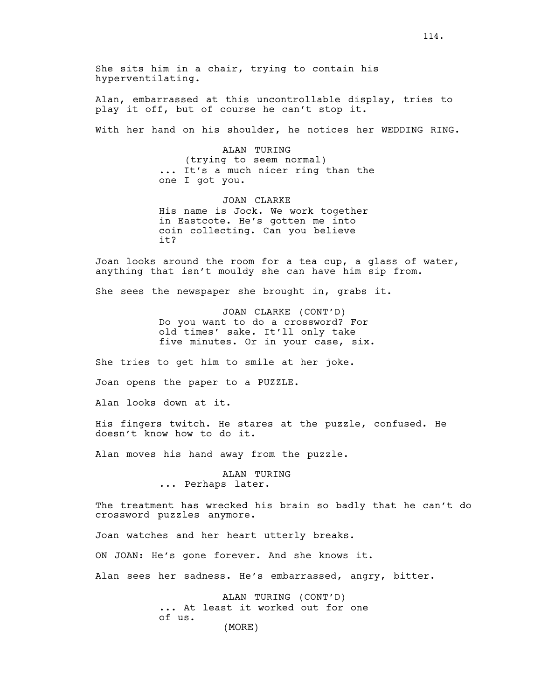She sits him in a chair, trying to contain his hyperventilating.

Alan, embarrassed at this uncontrollable display, tries to play it off, but of course he can't stop it.

With her hand on his shoulder, he notices her WEDDING RING.

ALAN TURING (trying to seem normal) ... It's a much nicer ring than the one I got you.

JOAN CLARKE His name is Jock. We work together in Eastcote. He's gotten me into coin collecting. Can you believe it?

Joan looks around the room for a tea cup, a glass of water, anything that isn't mouldy she can have him sip from.

She sees the newspaper she brought in, grabs it.

JOAN CLARKE (CONT'D) Do you want to do a crossword? For old times' sake. It'll only take five minutes. Or in your case, six.

She tries to get him to smile at her joke.

Joan opens the paper to a PUZZLE.

Alan looks down at it.

His fingers twitch. He stares at the puzzle, confused. He doesn't know how to do it.

Alan moves his hand away from the puzzle.

ALAN TURING<br>... Perhaps later.

The treatment has wrecked his brain so badly that he can't do crossword puzzles anymore.

Joan watches and her heart utterly breaks.

ON JOAN: He's gone forever. And she knows it.

Alan sees her sadness. He's embarrassed, angry, bitter.

ALAN TURING (CONT'D) ... At least it worked out for one of us. (MORE)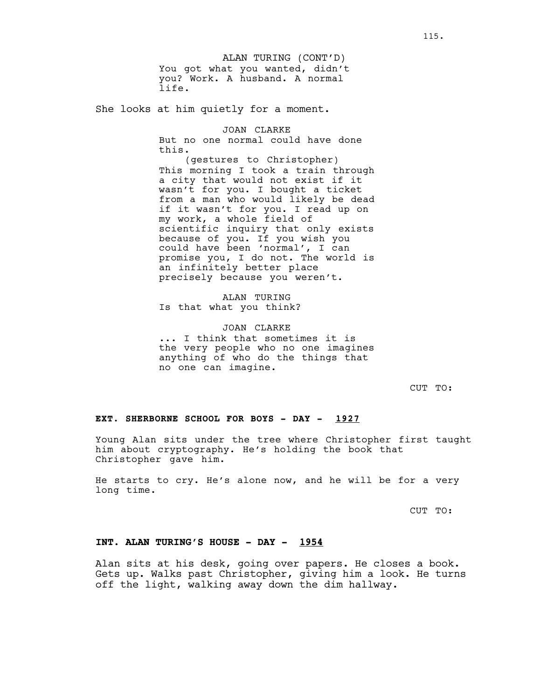You got what you wanted, didn't you? Work. A husband. A normal life. ALAN TURING (CONT'D)

She looks at him quietly for a moment.

JOAN CLARKE But no one normal could have done this.

(gestures to Christopher) This morning I took a train through a city that would not exist if it wasn't for you. I bought a ticket from a man who would likely be dead if it wasn't for you. I read up on my work, a whole field of scientific inquiry that only exists because of you. If you wish you could have been 'normal', I can promise you, I do not. The world is an infinitely better place precisely because you weren't.

ALAN TURING Is that what you think?

JOAN CLARKE ... I think that sometimes it is the very people who no one imagines anything of who do the things that no one can imagine.

CUT TO:

## **EXT. SHERBORNE SCHOOL FOR BOYS - DAY - 1927**

Young Alan sits under the tree where Christopher first taught him about cryptography. He's holding the book that Christopher gave him.

He starts to cry. He's alone now, and he will be for a very long time.

CUT TO:

## **INT. ALAN TURING'S HOUSE - DAY - 1954**

Alan sits at his desk, going over papers. He closes a book. Gets up. Walks past Christopher, giving him a look. He turns off the light, walking away down the dim hallway.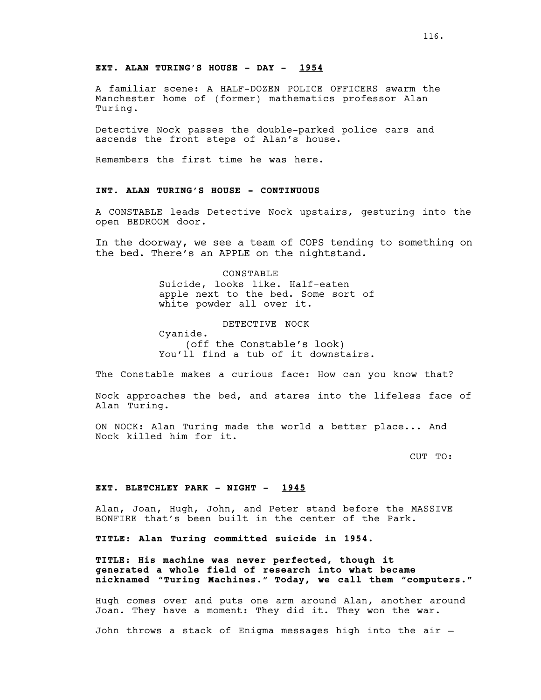## **EXT. ALAN TURING'S HOUSE - DAY - 1954**

A familiar scene: A HALF-DOZEN POLICE OFFICERS swarm the Manchester home of (former) mathematics professor Alan Turing.

Detective Nock passes the double-parked police cars and ascends the front steps of Alan's house.

Remembers the first time he was here.

# **INT. ALAN TURING'S HOUSE - CONTINUOUS**

A CONSTABLE leads Detective Nock upstairs, gesturing into the open BEDROOM door.

In the doorway, we see a team of COPS tending to something on the bed. There's an APPLE on the nightstand.

> CONSTABLE Suicide, looks like. Half-eaten apple next to the bed. Some sort of white powder all over it.

DETECTIVE NOCK Cyanide.

(off the Constable's look) You'll find a tub of it downstairs.

The Constable makes a curious face: How can you know that?

Nock approaches the bed, and stares into the lifeless face of Alan Turing.

ON NOCK: Alan Turing made the world a better place... And Nock killed him for it.

CUT TO:

#### **EXT. BLETCHLEY PARK - NIGHT - 1945**

Alan, Joan, Hugh, John, and Peter stand before the MASSIVE BONFIRE that's been built in the center of the Park.

**TITLE: Alan Turing committed suicide in 1954.**

**TITLE: His machine was never perfected, though it generated a whole field of research into what became nicknamed "Turing Machines." Today, we call them "computers."**

Hugh comes over and puts one arm around Alan, another around Joan. They have a moment: They did it. They won the war.

John throws a stack of Enigma messages high into the air —